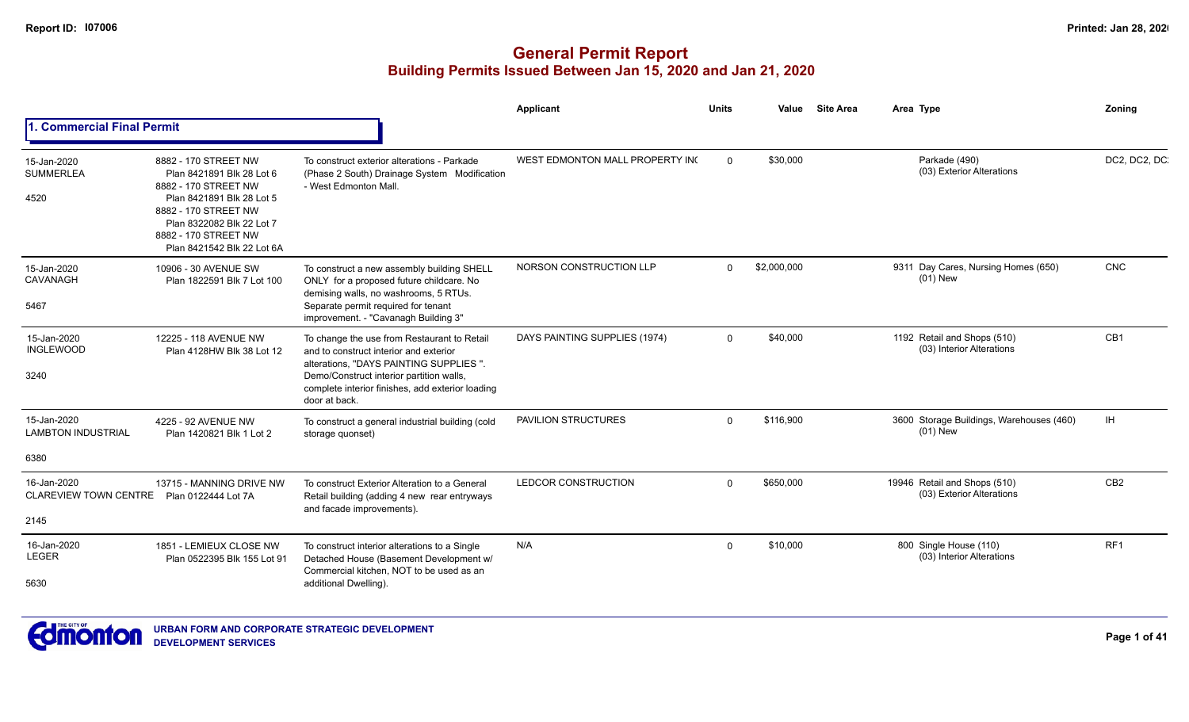|                                                     |                                                                                                                                                                                                                   |                                                                                                                                                                                                                                                  | Applicant                       | <b>Units</b> | Value       | <b>Site Area</b> | Area Type                                                 | <b>Zoning</b>   |
|-----------------------------------------------------|-------------------------------------------------------------------------------------------------------------------------------------------------------------------------------------------------------------------|--------------------------------------------------------------------------------------------------------------------------------------------------------------------------------------------------------------------------------------------------|---------------------------------|--------------|-------------|------------------|-----------------------------------------------------------|-----------------|
| 1. Commercial Final Permit                          |                                                                                                                                                                                                                   |                                                                                                                                                                                                                                                  |                                 |              |             |                  |                                                           |                 |
| 15-Jan-2020<br><b>SUMMERLEA</b><br>4520             | 8882 - 170 STREET NW<br>Plan 8421891 Blk 28 Lot 6<br>8882 - 170 STREET NW<br>Plan 8421891 Blk 28 Lot 5<br>8882 - 170 STREET NW<br>Plan 8322082 Blk 22 Lot 7<br>8882 - 170 STREET NW<br>Plan 8421542 Blk 22 Lot 6A | To construct exterior alterations - Parkade<br>(Phase 2 South) Drainage System Modification<br>- West Edmonton Mall.                                                                                                                             | WEST EDMONTON MALL PROPERTY INC | $\Omega$     | \$30,000    |                  | Parkade (490)<br>(03) Exterior Alterations                | DC2, DC2, DC.   |
| 15-Jan-2020<br>CAVANAGH<br>5467                     | 10906 - 30 AVENUE SW<br>Plan 1822591 Blk 7 Lot 100                                                                                                                                                                | To construct a new assembly building SHELL<br>ONLY for a proposed future childcare. No<br>demising walls, no washrooms, 5 RTUs.<br>Separate permit required for tenant<br>improvement. - "Cavanagh Building 3"                                   | NORSON CONSTRUCTION LLP         | $\Omega$     | \$2,000,000 |                  | 9311 Day Cares, Nursing Homes (650)<br>$(01)$ New         | <b>CNC</b>      |
| 15-Jan-2020<br><b>INGLEWOOD</b><br>3240             | 12225 - 118 AVENUE NW<br>Plan 4128HW Blk 38 Lot 12                                                                                                                                                                | To change the use from Restaurant to Retail<br>and to construct interior and exterior<br>alterations, "DAYS PAINTING SUPPLIES".<br>Demo/Construct interior partition walls,<br>complete interior finishes, add exterior loading<br>door at back. | DAYS PAINTING SUPPLIES (1974)   | $\Omega$     | \$40,000    |                  | 1192 Retail and Shops (510)<br>(03) Interior Alterations  | CB1             |
| 15-Jan-2020<br><b>LAMBTON INDUSTRIAL</b><br>6380    | 4225 - 92 AVENUE NW<br>Plan 1420821 Blk 1 Lot 2                                                                                                                                                                   | To construct a general industrial building (cold<br>storage quonset)                                                                                                                                                                             | PAVILION STRUCTURES             | $\Omega$     | \$116,900   |                  | 3600 Storage Buildings, Warehouses (460)<br>$(01)$ New    | IH              |
| 16-Jan-2020<br><b>CLAREVIEW TOWN CENTRE</b><br>2145 | 13715 - MANNING DRIVE NW<br>Plan 0122444 Lot 7A                                                                                                                                                                   | To construct Exterior Alteration to a General<br>Retail building (adding 4 new rear entryways<br>and facade improvements).                                                                                                                       | LEDCOR CONSTRUCTION             | $\Omega$     | \$650,000   |                  | 19946 Retail and Shops (510)<br>(03) Exterior Alterations | CB2             |
| 16-Jan-2020<br><b>LEGER</b><br>5630                 | 1851 - LEMIEUX CLOSE NW<br>Plan 0522395 Blk 155 Lot 91                                                                                                                                                            | To construct interior alterations to a Single<br>Detached House (Basement Development w/<br>Commercial kitchen, NOT to be used as an<br>additional Dwelling).                                                                                    | N/A                             | $\Omega$     | \$10,000    |                  | 800 Single House (110)<br>(03) Interior Alterations       | RF <sub>1</sub> |

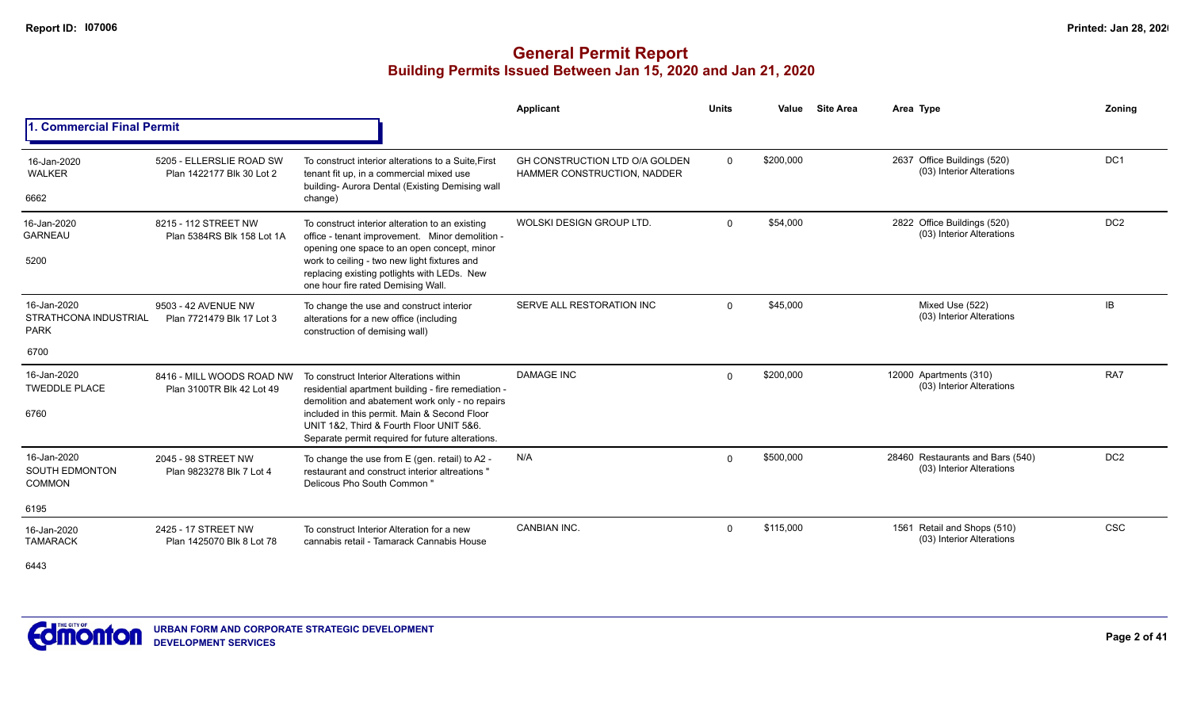## **General Permit Report Building Permits Issued Between Jan 15, 2020 and Jan 21, 2020**

|                                                            |                                                        |                                                                                                                                                                                                                                                                                                    | Applicant                                                     | <b>Units</b> | Value     | <b>Site Area</b> | Area Type                                                     | Zoning          |
|------------------------------------------------------------|--------------------------------------------------------|----------------------------------------------------------------------------------------------------------------------------------------------------------------------------------------------------------------------------------------------------------------------------------------------------|---------------------------------------------------------------|--------------|-----------|------------------|---------------------------------------------------------------|-----------------|
| 1. Commercial Final Permit                                 |                                                        |                                                                                                                                                                                                                                                                                                    |                                                               |              |           |                  |                                                               |                 |
| 16-Jan-2020<br><b>WALKER</b><br>6662                       | 5205 - ELLERSLIE ROAD SW<br>Plan 1422177 Blk 30 Lot 2  | To construct interior alterations to a Suite, First<br>tenant fit up, in a commercial mixed use<br>building- Aurora Dental (Existing Demising wall<br>change)                                                                                                                                      | GH CONSTRUCTION LTD O/A GOLDEN<br>HAMMER CONSTRUCTION, NADDER | 0            | \$200,000 |                  | 2637 Office Buildings (520)<br>(03) Interior Alterations      | DC <sub>1</sub> |
| 16-Jan-2020<br><b>GARNEAU</b><br>5200                      | 8215 - 112 STREET NW<br>Plan 5384RS Blk 158 Lot 1A     | To construct interior alteration to an existing<br>office - tenant improvement. Minor demolition -<br>opening one space to an open concept, minor<br>work to ceiling - two new light fixtures and<br>replacing existing potlights with LEDs. New<br>one hour fire rated Demising Wall.             | WOLSKI DESIGN GROUP LTD.                                      | $\Omega$     | \$54,000  |                  | 2822 Office Buildings (520)<br>(03) Interior Alterations      | DC <sub>2</sub> |
| 16-Jan-2020<br><b>STRATHCONA INDUSTRIAL</b><br><b>PARK</b> | 9503 - 42 AVENUE NW<br>Plan 7721479 Blk 17 Lot 3       | To change the use and construct interior<br>alterations for a new office (including<br>construction of demising wall)                                                                                                                                                                              | SERVE ALL RESTORATION INC                                     | $\Omega$     | \$45,000  |                  | Mixed Use (522)<br>(03) Interior Alterations                  | <b>IB</b>       |
| 6700                                                       |                                                        |                                                                                                                                                                                                                                                                                                    |                                                               |              |           |                  |                                                               |                 |
| 16-Jan-2020<br><b>TWEDDLE PLACE</b><br>6760                | 8416 - MILL WOODS ROAD NW<br>Plan 3100TR Blk 42 Lot 49 | To construct Interior Alterations within<br>residential apartment building - fire remediation -<br>demolition and abatement work only - no repairs<br>included in this permit. Main & Second Floor<br>UNIT 1&2. Third & Fourth Floor UNIT 5&6.<br>Separate permit required for future alterations. | <b>DAMAGE INC</b>                                             | $\Omega$     | \$200,000 |                  | 12000 Apartments (310)<br>(03) Interior Alterations           | RA7             |
| 16-Jan-2020<br><b>SOUTH EDMONTON</b><br><b>COMMON</b>      | 2045 - 98 STREET NW<br>Plan 9823278 Blk 7 Lot 4        | To change the use from E (gen. retail) to A2 -<br>restaurant and construct interior altreations "<br>Delicous Pho South Common"                                                                                                                                                                    | N/A                                                           | $\Omega$     | \$500,000 |                  | 28460 Restaurants and Bars (540)<br>(03) Interior Alterations | DC <sub>2</sub> |
| 6195                                                       |                                                        |                                                                                                                                                                                                                                                                                                    |                                                               |              |           |                  |                                                               |                 |
| 16-Jan-2020<br><b>TAMARACK</b>                             | 2425 - 17 STREET NW<br>Plan 1425070 Blk 8 Lot 78       | To construct Interior Alteration for a new<br>cannabis retail - Tamarack Cannabis House                                                                                                                                                                                                            | <b>CANBIAN INC.</b>                                           | $\Omega$     | \$115.000 |                  | 1561 Retail and Shops (510)<br>(03) Interior Alterations      | <b>CSC</b>      |

6443

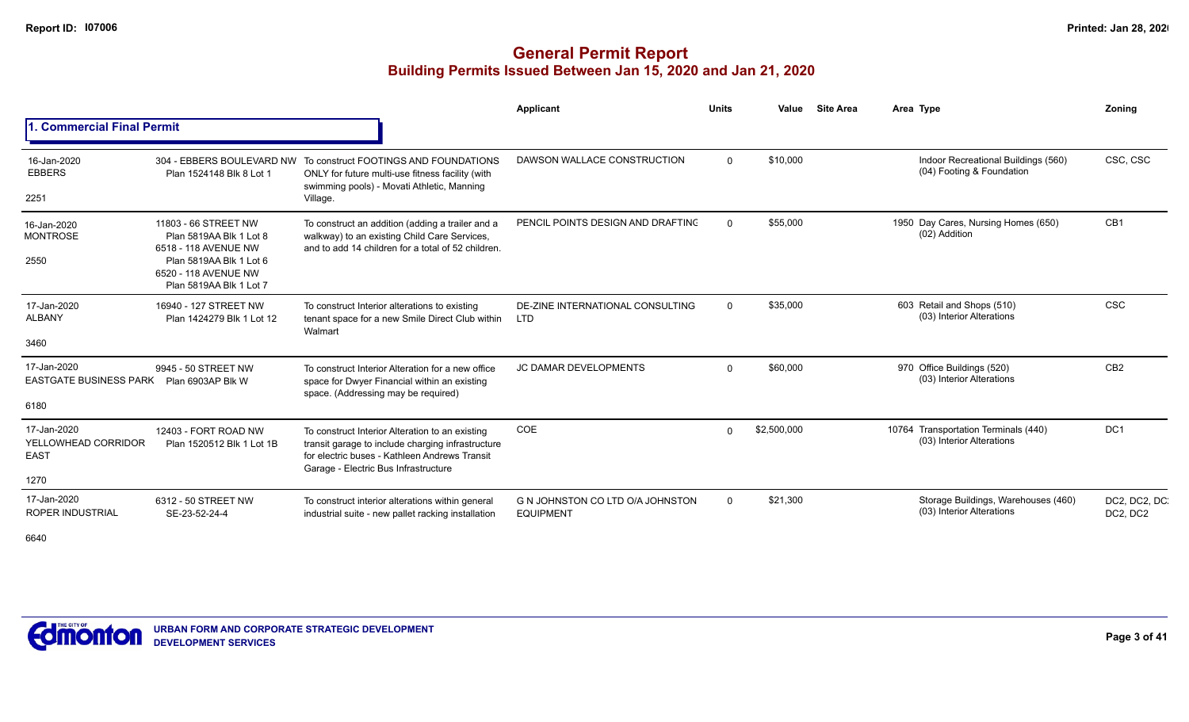# **General Permit Report Building Permits Issued Between Jan 15, 2020 and Jan 21, 2020**

|                                                           |                                                                                                                                                       |                                                                                                                                                                                               | <b>Applicant</b>                                     | <b>Units</b> | Value       | <b>Site Area</b> | Area Type                                                         | Zonina                    |
|-----------------------------------------------------------|-------------------------------------------------------------------------------------------------------------------------------------------------------|-----------------------------------------------------------------------------------------------------------------------------------------------------------------------------------------------|------------------------------------------------------|--------------|-------------|------------------|-------------------------------------------------------------------|---------------------------|
| <b>Commercial Final Permit</b>                            |                                                                                                                                                       |                                                                                                                                                                                               |                                                      |              |             |                  |                                                                   |                           |
| 16-Jan-2020<br><b>EBBERS</b><br>2251                      | 304 - EBBERS BOULEVARD NW<br>Plan 1524148 Blk 8 Lot 1                                                                                                 | To construct FOOTINGS AND FOUNDATIONS<br>ONLY for future multi-use fitness facility (with<br>swimming pools) - Movati Athletic, Manning<br>Village.                                           | DAWSON WALLACE CONSTRUCTION                          | $\Omega$     | \$10,000    |                  | Indoor Recreational Buildings (560)<br>(04) Footing & Foundation  | CSC, CSC                  |
| 16-Jan-2020<br><b>MONTROSE</b><br>2550                    | 11803 - 66 STREET NW<br>Plan 5819AA Blk 1 Lot 8<br>6518 - 118 AVENUE NW<br>Plan 5819AA Blk 1 Lot 6<br>6520 - 118 AVENUE NW<br>Plan 5819AA Blk 1 Lot 7 | To construct an addition (adding a trailer and a<br>walkway) to an existing Child Care Services,<br>and to add 14 children for a total of 52 children.                                        | PENCIL POINTS DESIGN AND DRAFTING                    | $\Omega$     | \$55,000    |                  | 1950 Day Cares, Nursing Homes (650)<br>(02) Addition              | CB1                       |
| 17-Jan-2020<br><b>ALBANY</b><br>3460                      | 16940 - 127 STREET NW<br>Plan 1424279 Blk 1 Lot 12                                                                                                    | To construct Interior alterations to existing<br>tenant space for a new Smile Direct Club within<br>Walmart                                                                                   | DE-ZINE INTERNATIONAL CONSULTING<br><b>LTD</b>       | $\Omega$     | \$35,000    |                  | 603 Retail and Shops (510)<br>(03) Interior Alterations           | <b>CSC</b>                |
| 17-Jan-2020<br><b>EASTGATE BUSINESS PARK</b><br>6180      | 9945 - 50 STREET NW<br>Plan 6903AP Blk W                                                                                                              | To construct Interior Alteration for a new office<br>space for Dwyer Financial within an existing<br>space. (Addressing may be required)                                                      | <b>JC DAMAR DEVELOPMENTS</b>                         | $\Omega$     | \$60,000    |                  | 970 Office Buildings (520)<br>(03) Interior Alterations           | CB <sub>2</sub>           |
| 17-Jan-2020<br>YELLOWHEAD CORRIDOR<br><b>EAST</b><br>1270 | 12403 - FORT ROAD NW<br>Plan 1520512 Blk 1 Lot 1B                                                                                                     | To construct Interior Alteration to an existing<br>transit garage to include charging infrastructure<br>for electric buses - Kathleen Andrews Transit<br>Garage - Electric Bus Infrastructure | COE                                                  | $\Omega$     | \$2,500,000 |                  | 10764 Transportation Terminals (440)<br>(03) Interior Alterations | DC <sub>1</sub>           |
| 17-Jan-2020<br><b>ROPER INDUSTRIAL</b>                    | 6312 - 50 STREET NW<br>SE-23-52-24-4                                                                                                                  | To construct interior alterations within general<br>industrial suite - new pallet racking installation                                                                                        | G N JOHNSTON CO LTD O/A JOHNSTON<br><b>EQUIPMENT</b> | $\Omega$     | \$21,300    |                  | Storage Buildings, Warehouses (460)<br>(03) Interior Alterations  | DC2, DC2, DC.<br>DC2, DC2 |

6640

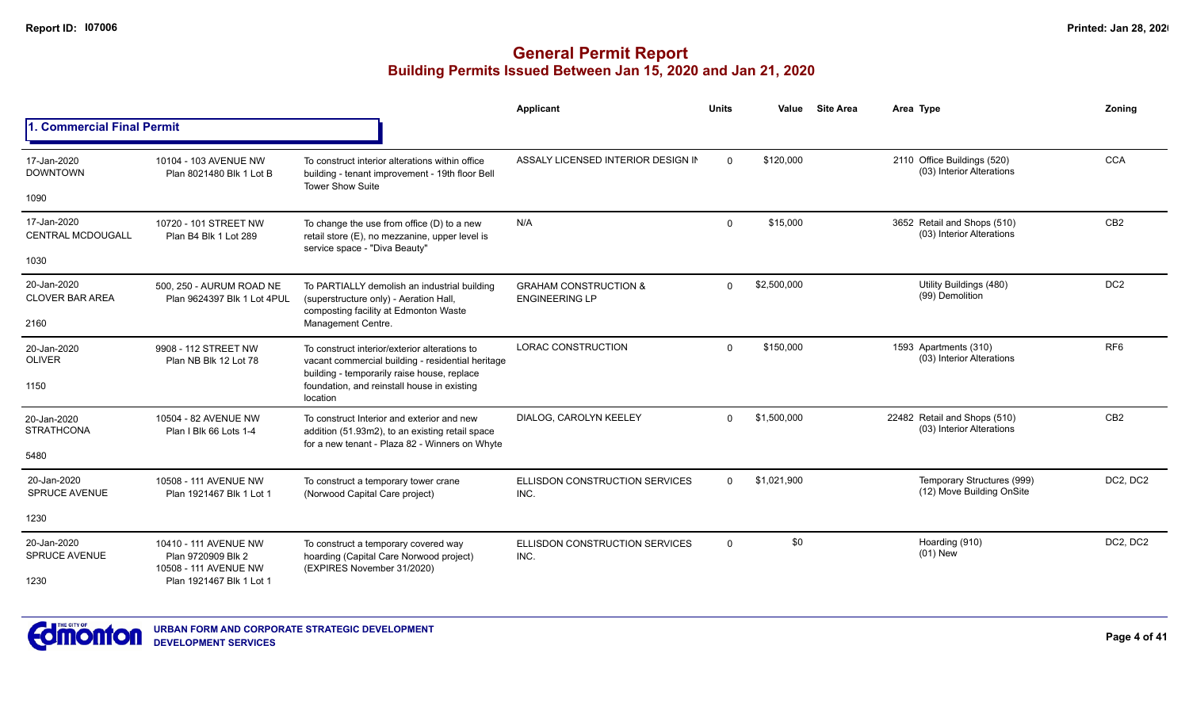|                                         |                                                         |                                                                                                                                                   | Applicant                                                 | <b>Units</b> | Value       | <b>Site Area</b> | Area Type                                                 | Zoning          |
|-----------------------------------------|---------------------------------------------------------|---------------------------------------------------------------------------------------------------------------------------------------------------|-----------------------------------------------------------|--------------|-------------|------------------|-----------------------------------------------------------|-----------------|
| 1. Commercial Final Permit              |                                                         |                                                                                                                                                   |                                                           |              |             |                  |                                                           |                 |
| 17-Jan-2020<br><b>DOWNTOWN</b>          | 10104 - 103 AVENUE NW<br>Plan 8021480 Blk 1 Lot B       | To construct interior alterations within office<br>building - tenant improvement - 19th floor Bell<br><b>Tower Show Suite</b>                     | ASSALY LICENSED INTERIOR DESIGN IN                        | $\Omega$     | \$120,000   |                  | 2110 Office Buildings (520)<br>(03) Interior Alterations  | <b>CCA</b>      |
| 1090                                    |                                                         |                                                                                                                                                   |                                                           |              |             |                  |                                                           |                 |
| 17-Jan-2020<br><b>CENTRAL MCDOUGALL</b> | 10720 - 101 STREET NW<br>Plan B4 Blk 1 Lot 289          | To change the use from office $(D)$ to a new<br>retail store (E), no mezzanine, upper level is                                                    | N/A                                                       | $\mathbf{0}$ | \$15,000    |                  | 3652 Retail and Shops (510)<br>(03) Interior Alterations  | CB <sub>2</sub> |
| 1030                                    |                                                         | service space - "Diva Beauty"                                                                                                                     |                                                           |              |             |                  |                                                           |                 |
| 20-Jan-2020<br><b>CLOVER BAR AREA</b>   | 500, 250 - AURUM ROAD NE<br>Plan 9624397 Blk 1 Lot 4PUL | To PARTIALLY demolish an industrial building<br>(superstructure only) - Aeration Hall,<br>composting facility at Edmonton Waste                   | <b>GRAHAM CONSTRUCTION &amp;</b><br><b>ENGINEERING LP</b> | $\Omega$     | \$2,500,000 |                  | Utility Buildings (480)<br>(99) Demolition                | DC <sub>2</sub> |
| 2160                                    |                                                         | Management Centre.                                                                                                                                |                                                           |              |             |                  |                                                           |                 |
| 20-Jan-2020<br><b>OLIVER</b>            | 9908 - 112 STREET NW<br>Plan NB Blk 12 Lot 78           | To construct interior/exterior alterations to<br>vacant commercial building - residential heritage<br>building - temporarily raise house, replace | LORAC CONSTRUCTION                                        | $\Omega$     | \$150,000   |                  | 1593 Apartments (310)<br>(03) Interior Alterations        | RF <sub>6</sub> |
| 1150                                    |                                                         | foundation, and reinstall house in existing<br>location                                                                                           |                                                           |              |             |                  |                                                           |                 |
| 20-Jan-2020<br><b>STRATHCONA</b>        | 10504 - 82 AVENUE NW<br>Plan I Blk 66 Lots 1-4          | To construct Interior and exterior and new<br>addition (51.93m2), to an existing retail space<br>for a new tenant - Plaza 82 - Winners on Whyte   | DIALOG. CAROLYN KEELEY                                    | $\Omega$     | \$1,500,000 |                  | 22482 Retail and Shops (510)<br>(03) Interior Alterations | CB <sub>2</sub> |
| 5480                                    |                                                         |                                                                                                                                                   |                                                           |              |             |                  |                                                           |                 |
| 20-Jan-2020<br><b>SPRUCE AVENUE</b>     | 10508 - 111 AVENUE NW<br>Plan 1921467 Blk 1 Lot 1       | To construct a temporary tower crane<br>(Norwood Capital Care project)                                                                            | ELLISDON CONSTRUCTION SERVICES<br>INC.                    | $\Omega$     | \$1,021,900 |                  | Temporary Structures (999)<br>(12) Move Building OnSite   | DC2, DC2        |
| 1230                                    |                                                         |                                                                                                                                                   |                                                           |              |             |                  |                                                           |                 |
| 20-Jan-2020<br><b>SPRUCE AVENUE</b>     | 10410 - 111 AVENUE NW<br>Plan 9720909 Blk 2             | To construct a temporary covered way<br>hoarding (Capital Care Norwood project)                                                                   | ELLISDON CONSTRUCTION SERVICES<br>INC.                    | $\mathbf{0}$ | \$0         |                  | Hoarding (910)<br>$(01)$ New                              | DC2, DC2        |
| 1230                                    | 10508 - 111 AVENUE NW<br>Plan 1921467 Blk 1 Lot 1       | (EXPIRES November 31/2020)                                                                                                                        |                                                           |              |             |                  |                                                           |                 |

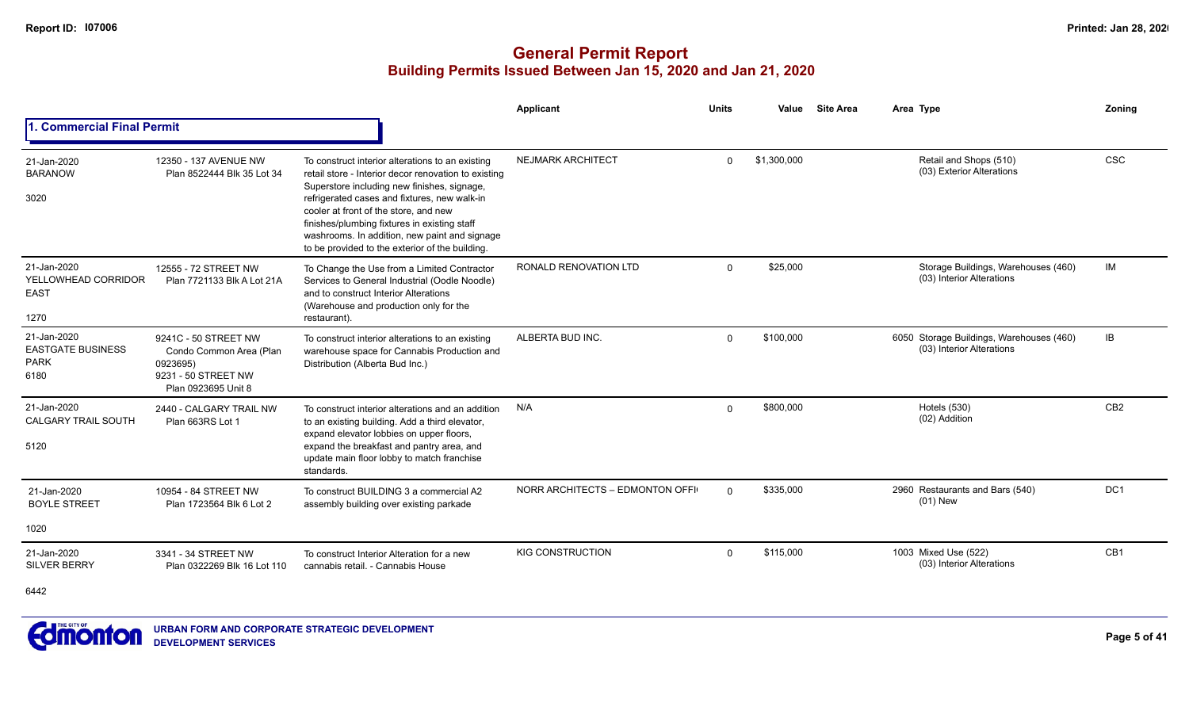## **General Permit Report Building Permits Issued Between Jan 15, 2020 and Jan 21, 2020**

|                                                                |                                                                                                           |                                                                                                                                                                                                                                                                                                                                                                                                      | Applicant                       | <b>Units</b> | Value       | <b>Site Area</b> | Area Type                                                             | Zoning          |
|----------------------------------------------------------------|-----------------------------------------------------------------------------------------------------------|------------------------------------------------------------------------------------------------------------------------------------------------------------------------------------------------------------------------------------------------------------------------------------------------------------------------------------------------------------------------------------------------------|---------------------------------|--------------|-------------|------------------|-----------------------------------------------------------------------|-----------------|
| <b>1. Commercial Final Permit</b>                              |                                                                                                           |                                                                                                                                                                                                                                                                                                                                                                                                      |                                 |              |             |                  |                                                                       |                 |
| 21-Jan-2020<br><b>BARANOW</b><br>3020                          | 12350 - 137 AVENUE NW<br>Plan 8522444 Blk 35 Lot 34                                                       | To construct interior alterations to an existing<br>retail store - Interior decor renovation to existing<br>Superstore including new finishes, signage,<br>refrigerated cases and fixtures, new walk-in<br>cooler at front of the store, and new<br>finishes/plumbing fixtures in existing staff<br>washrooms. In addition, new paint and signage<br>to be provided to the exterior of the building. | <b>NEJMARK ARCHITECT</b>        | $\Omega$     | \$1,300,000 |                  | Retail and Shops (510)<br>(03) Exterior Alterations                   | <b>CSC</b>      |
| 21-Jan-2020<br>YELLOWHEAD CORRIDOR<br><b>EAST</b><br>1270      | 12555 - 72 STREET NW<br>Plan 7721133 Blk A Lot 21A                                                        | To Change the Use from a Limited Contractor<br>Services to General Industrial (Oodle Noodle)<br>and to construct Interior Alterations<br>(Warehouse and production only for the<br>restaurant).                                                                                                                                                                                                      | <b>RONALD RENOVATION LTD</b>    | $\Omega$     | \$25,000    |                  | Storage Buildings, Warehouses (460)<br>(03) Interior Alterations      | IM              |
| 21-Jan-2020<br><b>EASTGATE BUSINESS</b><br><b>PARK</b><br>6180 | 9241C - 50 STREET NW<br>Condo Common Area (Plan<br>0923695)<br>9231 - 50 STREET NW<br>Plan 0923695 Unit 8 | To construct interior alterations to an existing<br>warehouse space for Cannabis Production and<br>Distribution (Alberta Bud Inc.)                                                                                                                                                                                                                                                                   | ALBERTA BUD INC.                | $\Omega$     | \$100,000   |                  | 6050 Storage Buildings, Warehouses (460)<br>(03) Interior Alterations | IB              |
| 21-Jan-2020<br><b>CALGARY TRAIL SOUTH</b><br>5120              | 2440 - CALGARY TRAIL NW<br>Plan 663RS Lot 1                                                               | To construct interior alterations and an addition<br>to an existing building. Add a third elevator,<br>expand elevator lobbies on upper floors,<br>expand the breakfast and pantry area, and<br>update main floor lobby to match franchise<br>standards.                                                                                                                                             | N/A                             | $\Omega$     | \$800,000   |                  | <b>Hotels (530)</b><br>(02) Addition                                  | CB <sub>2</sub> |
| 21-Jan-2020<br><b>BOYLE STREET</b><br>1020                     | 10954 - 84 STREET NW<br>Plan 1723564 Blk 6 Lot 2                                                          | To construct BUILDING 3 a commercial A2<br>assembly building over existing parkade                                                                                                                                                                                                                                                                                                                   | NORR ARCHITECTS - EDMONTON OFFI | $\Omega$     | \$335,000   |                  | 2960 Restaurants and Bars (540)<br>$(01)$ New                         | DC <sub>1</sub> |
| 21-Jan-2020<br><b>SILVER BERRY</b>                             | 3341 - 34 STREET NW<br>Plan 0322269 Blk 16 Lot 110                                                        | To construct Interior Alteration for a new<br>cannabis retail. - Cannabis House                                                                                                                                                                                                                                                                                                                      | <b>KIG CONSTRUCTION</b>         | $\Omega$     | \$115,000   |                  | 1003 Mixed Use (522)<br>(03) Interior Alterations                     | CB1             |

6442

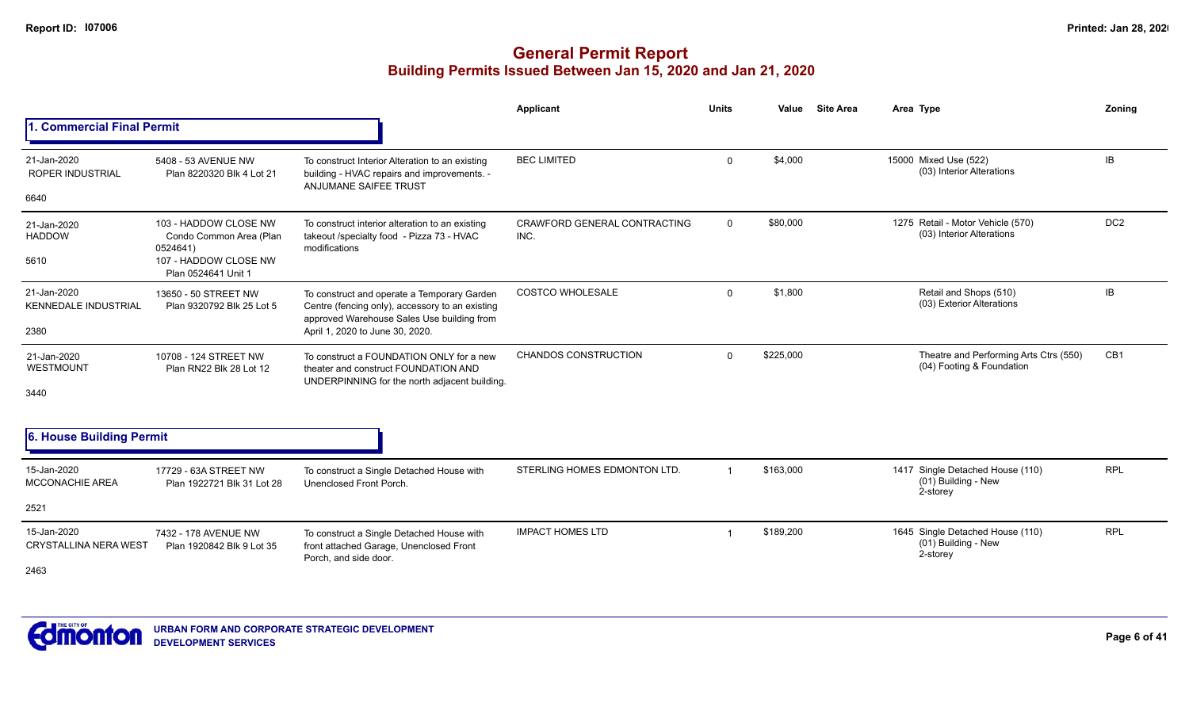|                                             |                                                              |                                                                                                                         | Applicant                            | <b>Units</b>            | Value     | <b>Site Area</b> | Area Type                                                           | Zoning          |
|---------------------------------------------|--------------------------------------------------------------|-------------------------------------------------------------------------------------------------------------------------|--------------------------------------|-------------------------|-----------|------------------|---------------------------------------------------------------------|-----------------|
| 1. Commercial Final Permit                  |                                                              |                                                                                                                         |                                      |                         |           |                  |                                                                     |                 |
| 21-Jan-2020<br><b>ROPER INDUSTRIAL</b>      | 5408 - 53 AVENUE NW<br>Plan 8220320 Blk 4 Lot 21             | To construct Interior Alteration to an existing<br>building - HVAC repairs and improvements. -<br>ANJUMANE SAIFEE TRUST | <b>BEC LIMITED</b>                   | $\mathbf 0$             | \$4,000   |                  | 15000 Mixed Use (522)<br>(03) Interior Alterations                  | <b>IB</b>       |
| 6640                                        |                                                              |                                                                                                                         |                                      |                         |           |                  |                                                                     |                 |
| 21-Jan-2020<br><b>HADDOW</b>                | 103 - HADDOW CLOSE NW<br>Condo Common Area (Plan<br>0524641) | To construct interior alteration to an existing<br>takeout /specialty food - Pizza 73 - HVAC<br>modifications           | CRAWFORD GENERAL CONTRACTING<br>INC. | $\mathbf 0$             | \$80,000  |                  | 1275 Retail - Motor Vehicle (570)<br>(03) Interior Alterations      | DC <sub>2</sub> |
| 5610                                        | 107 - HADDOW CLOSE NW<br>Plan 0524641 Unit 1                 |                                                                                                                         |                                      |                         |           |                  |                                                                     |                 |
| 21-Jan-2020<br><b>KENNEDALE INDUSTRIAL</b>  | 13650 - 50 STREET NW<br>Plan 9320792 Blk 25 Lot 5            | To construct and operate a Temporary Garden<br>Centre (fencing only), accessory to an existing                          | <b>COSTCO WHOLESALE</b>              | $\mathbf 0$             | \$1,800   |                  | Retail and Shops (510)<br>(03) Exterior Alterations                 | IB              |
| 2380                                        |                                                              | approved Warehouse Sales Use building from<br>April 1, 2020 to June 30, 2020.                                           |                                      |                         |           |                  |                                                                     |                 |
| 21-Jan-2020<br>WESTMOUNT                    | 10708 - 124 STREET NW<br>Plan RN22 Blk 28 Lot 12             | To construct a FOUNDATION ONLY for a new<br>theater and construct FOUNDATION AND                                        | <b>CHANDOS CONSTRUCTION</b>          | $\Omega$                | \$225,000 |                  | Theatre and Performing Arts Ctrs (550)<br>(04) Footing & Foundation | CB <sub>1</sub> |
| 3440                                        |                                                              | UNDERPINNING for the north adjacent building.                                                                           |                                      |                         |           |                  |                                                                     |                 |
| 6. House Building Permit                    |                                                              |                                                                                                                         |                                      |                         |           |                  |                                                                     |                 |
| 15-Jan-2020<br><b>MCCONACHIE AREA</b>       | 17729 - 63A STREET NW<br>Plan 1922721 Blk 31 Lot 28          | To construct a Single Detached House with<br>Unenclosed Front Porch.                                                    | STERLING HOMES EDMONTON LTD.         | $\overline{\mathbf{1}}$ | \$163,000 |                  | 1417 Single Detached House (110)<br>(01) Building - New<br>2-storey | <b>RPL</b>      |
| 2521                                        |                                                              |                                                                                                                         |                                      |                         |           |                  |                                                                     |                 |
| 15-Jan-2020<br><b>CRYSTALLINA NERA WEST</b> | 7432 - 178 AVENUE NW<br>Plan 1920842 Blk 9 Lot 35            | To construct a Single Detached House with<br>front attached Garage, Unenclosed Front<br>Porch, and side door.           | <b>IMPACT HOMES LTD</b>              | -1                      | \$189,200 |                  | 1645 Single Detached House (110)<br>(01) Building - New<br>2-storey | <b>RPL</b>      |
| 2463                                        |                                                              |                                                                                                                         |                                      |                         |           |                  |                                                                     |                 |

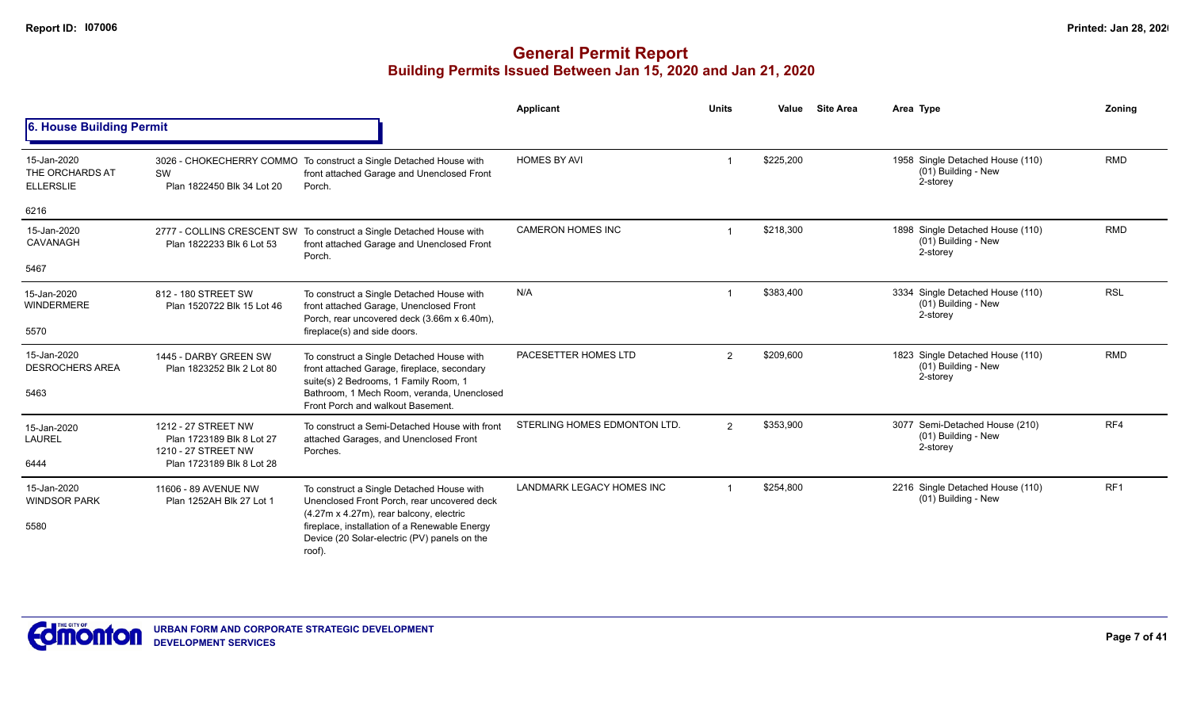|                                                    |                                                                                                                                                   |                                                                                                                                     | Applicant                        | <b>Units</b>   | Value     | <b>Site Area</b> | Area Type                                                           | Zoning          |
|----------------------------------------------------|---------------------------------------------------------------------------------------------------------------------------------------------------|-------------------------------------------------------------------------------------------------------------------------------------|----------------------------------|----------------|-----------|------------------|---------------------------------------------------------------------|-----------------|
| 6. House Building Permit                           |                                                                                                                                                   |                                                                                                                                     |                                  |                |           |                  |                                                                     |                 |
| 15-Jan-2020<br>THE ORCHARDS AT<br><b>ELLERSLIE</b> | SW<br>Plan 1822450 Blk 34 Lot 20                                                                                                                  | 3026 - CHOKECHERRY COMMO To construct a Single Detached House with<br>front attached Garage and Unenclosed Front<br>Porch.          | <b>HOMES BY AVI</b>              |                | \$225,200 |                  | 1958 Single Detached House (110)<br>(01) Building - New<br>2-storey | <b>RMD</b>      |
| 6216                                               |                                                                                                                                                   |                                                                                                                                     |                                  |                |           |                  |                                                                     |                 |
| 15-Jan-2020<br>CAVANAGH                            | Plan 1822233 Blk 6 Lot 53                                                                                                                         | 2777 - COLLINS CRESCENT SW To construct a Single Detached House with<br>front attached Garage and Unenclosed Front<br>Porch.        | <b>CAMERON HOMES INC</b>         |                | \$218,300 |                  | 1898 Single Detached House (110)<br>(01) Building - New<br>2-storey | <b>RMD</b>      |
| 5467                                               |                                                                                                                                                   |                                                                                                                                     |                                  |                |           |                  |                                                                     |                 |
| 15-Jan-2020<br><b>WINDERMERE</b>                   | 812 - 180 STREET SW<br>Plan 1520722 Blk 15 Lot 46                                                                                                 | To construct a Single Detached House with<br>front attached Garage, Unenclosed Front<br>Porch, rear uncovered deck (3.66m x 6.40m), | N/A                              |                | \$383,400 |                  | 3334 Single Detached House (110)<br>(01) Building - New<br>2-storey | <b>RSL</b>      |
| 5570                                               |                                                                                                                                                   | fireplace(s) and side doors.                                                                                                        |                                  |                |           |                  |                                                                     |                 |
| 15-Jan-2020<br><b>DESROCHERS AREA</b>              | 1445 - DARBY GREEN SW<br>Plan 1823252 Blk 2 Lot 80                                                                                                | To construct a Single Detached House with<br>front attached Garage, fireplace, secondary<br>suite(s) 2 Bedrooms, 1 Family Room, 1   | PACESETTER HOMES LTD             | 2              | \$209.600 |                  | 1823 Single Detached House (110)<br>(01) Building - New<br>2-storey | <b>RMD</b>      |
| 5463                                               |                                                                                                                                                   | Bathroom, 1 Mech Room, veranda, Unenclosed<br>Front Porch and walkout Basement.                                                     |                                  |                |           |                  |                                                                     |                 |
| 15-Jan-2020<br><b>LAUREL</b>                       | 1212 - 27 STREET NW<br>Plan 1723189 Blk 8 Lot 27                                                                                                  | To construct a Semi-Detached House with front<br>attached Garages, and Unenclosed Front                                             | STERLING HOMES EDMONTON LTD.     | $\overline{2}$ | \$353,900 |                  | 3077 Semi-Detached House (210)<br>(01) Building - New<br>2-storey   | RF4             |
| 6444                                               | 1210 - 27 STREET NW<br>Plan 1723189 Blk 8 Lot 28                                                                                                  | Porches.                                                                                                                            |                                  |                |           |                  |                                                                     |                 |
| 15-Jan-2020<br><b>WINDSOR PARK</b>                 | 11606 - 89 AVENUE NW<br>Plan 1252AH Blk 27 Lot 1                                                                                                  | To construct a Single Detached House with<br>Unenclosed Front Porch, rear uncovered deck                                            | <b>LANDMARK LEGACY HOMES INC</b> |                | \$254,800 |                  | 2216 Single Detached House (110)<br>(01) Building - New             | RF <sub>1</sub> |
| 5580                                               | (4.27m x 4.27m), rear balcony, electric<br>fireplace, installation of a Renewable Energy<br>Device (20 Solar-electric (PV) panels on the<br>roof) |                                                                                                                                     |                                  |                |           |                  |                                                                     |                 |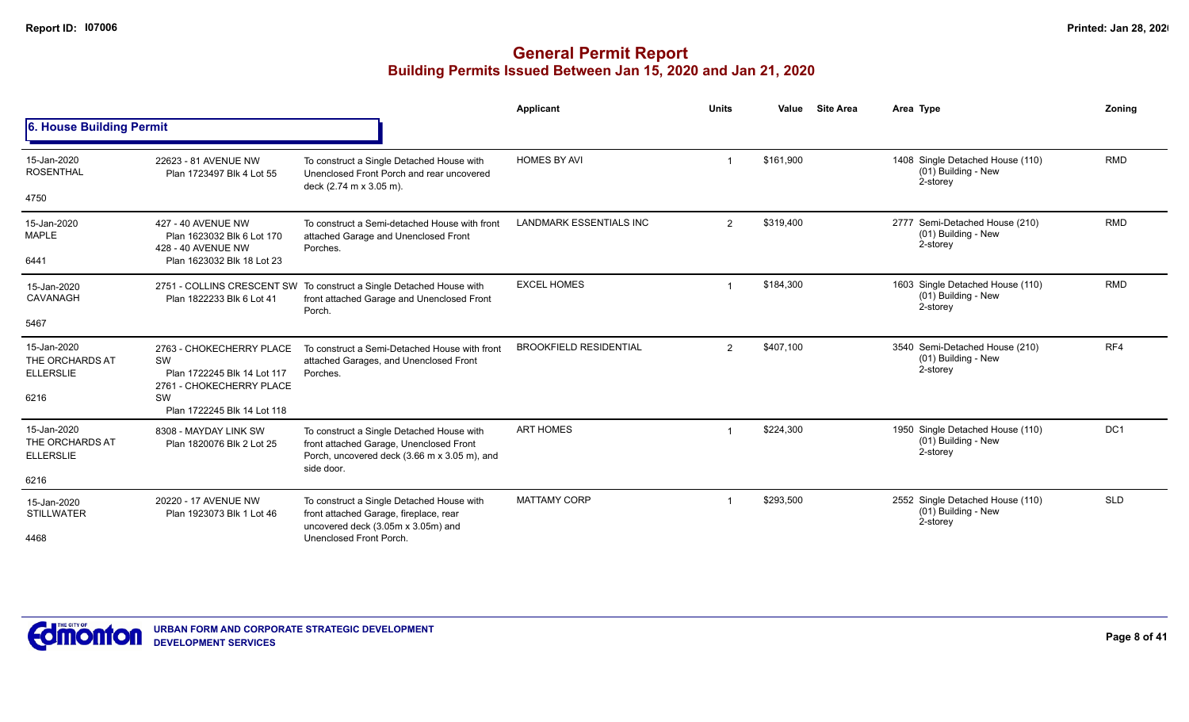|                                                    |                                                                                           |                                                                                                                                                    | Applicant                      | <b>Units</b>   | Value     | <b>Site Area</b> | Area Type                                                           | Zoning          |
|----------------------------------------------------|-------------------------------------------------------------------------------------------|----------------------------------------------------------------------------------------------------------------------------------------------------|--------------------------------|----------------|-----------|------------------|---------------------------------------------------------------------|-----------------|
| 6. House Building Permit                           |                                                                                           |                                                                                                                                                    |                                |                |           |                  |                                                                     |                 |
| 15-Jan-2020<br><b>ROSENTHAL</b>                    | 22623 - 81 AVENUE NW<br>Plan 1723497 Blk 4 Lot 55                                         | To construct a Single Detached House with<br>Unenclosed Front Porch and rear uncovered<br>deck (2.74 m x 3.05 m).                                  | <b>HOMES BY AVI</b>            |                | \$161,900 |                  | 1408 Single Detached House (110)<br>(01) Building - New<br>2-storey | <b>RMD</b>      |
| 4750                                               |                                                                                           |                                                                                                                                                    |                                |                |           |                  |                                                                     |                 |
| 15-Jan-2020<br><b>MAPLE</b>                        | 427 - 40 AVENUE NW<br>Plan 1623032 Blk 6 Lot 170<br>428 - 40 AVENUE NW                    | To construct a Semi-detached House with front<br>attached Garage and Unenclosed Front<br>Porches.                                                  | <b>LANDMARK ESSENTIALS INC</b> | 2              | \$319,400 |                  | 2777 Semi-Detached House (210)<br>(01) Building - New<br>2-storey   | <b>RMD</b>      |
| 6441                                               | Plan 1623032 Blk 18 Lot 23                                                                |                                                                                                                                                    |                                |                |           |                  |                                                                     |                 |
| 15-Jan-2020<br><b>CAVANAGH</b>                     | Plan 1822233 Blk 6 Lot 41                                                                 | 2751 - COLLINS CRESCENT SW To construct a Single Detached House with<br>front attached Garage and Unenclosed Front<br>Porch.                       | <b>EXCEL HOMES</b>             |                | \$184,300 |                  | 1603 Single Detached House (110)<br>(01) Building - New<br>2-storey | <b>RMD</b>      |
| 5467                                               |                                                                                           |                                                                                                                                                    |                                |                |           |                  |                                                                     |                 |
| 15-Jan-2020<br>THE ORCHARDS AT<br><b>ELLERSLIE</b> | 2763 - CHOKECHERRY PLACE<br>SW<br>Plan 1722245 Blk 14 Lot 117<br>2761 - CHOKECHERRY PLACE | To construct a Semi-Detached House with front<br>attached Garages, and Unenclosed Front<br>Porches.                                                | <b>BROOKFIELD RESIDENTIAL</b>  | $\overline{2}$ | \$407,100 |                  | 3540 Semi-Detached House (210)<br>(01) Building - New<br>2-storey   | RF4             |
| 6216                                               | SW<br>Plan 1722245 Blk 14 Lot 118                                                         |                                                                                                                                                    |                                |                |           |                  |                                                                     |                 |
| 15-Jan-2020<br>THE ORCHARDS AT<br><b>ELLERSLIE</b> | 8308 - MAYDAY LINK SW<br>Plan 1820076 Blk 2 Lot 25                                        | To construct a Single Detached House with<br>front attached Garage, Unenclosed Front<br>Porch, uncovered deck (3.66 m x 3.05 m), and<br>side door. | <b>ART HOMES</b>               |                | \$224,300 |                  | 1950 Single Detached House (110)<br>(01) Building - New<br>2-storey | DC <sub>1</sub> |
| 6216                                               |                                                                                           |                                                                                                                                                    |                                |                |           |                  |                                                                     |                 |
| 15-Jan-2020<br><b>STILLWATER</b>                   | 20220 - 17 AVENUE NW<br>Plan 1923073 Blk 1 Lot 46                                         | To construct a Single Detached House with<br>front attached Garage, fireplace, rear<br>uncovered deck (3.05m x 3.05m) and                          | <b>MATTAMY CORP</b>            |                | \$293,500 |                  | 2552 Single Detached House (110)<br>(01) Building - New<br>2-storey | <b>SLD</b>      |
| 4468                                               |                                                                                           | Unenclosed Front Porch.                                                                                                                            |                                |                |           |                  |                                                                     |                 |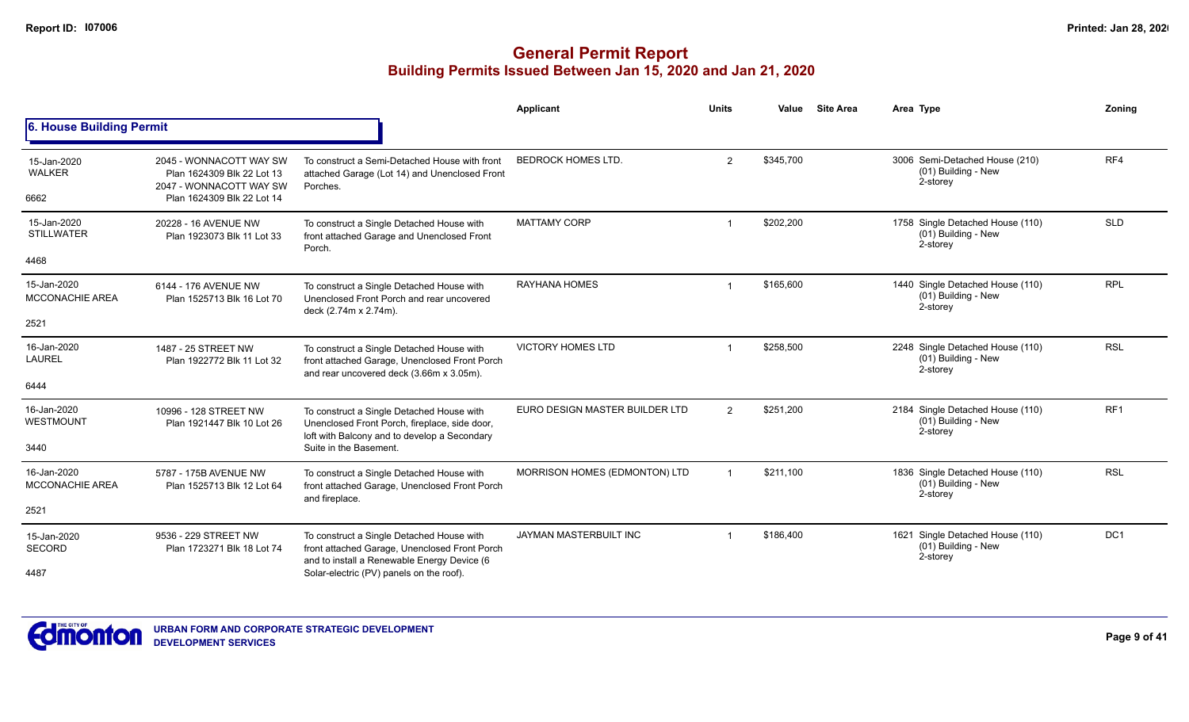|                                       |                                                                                  |                                                                                                                                            | <b>Applicant</b>               | <b>Units</b>   | Value     | <b>Site Area</b> | Area Type                                                           | Zoning          |
|---------------------------------------|----------------------------------------------------------------------------------|--------------------------------------------------------------------------------------------------------------------------------------------|--------------------------------|----------------|-----------|------------------|---------------------------------------------------------------------|-----------------|
| 6. House Building Permit              |                                                                                  |                                                                                                                                            |                                |                |           |                  |                                                                     |                 |
| 15-Jan-2020<br><b>WALKER</b>          | 2045 - WONNACOTT WAY SW<br>Plan 1624309 Blk 22 Lot 13<br>2047 - WONNACOTT WAY SW | To construct a Semi-Detached House with front<br>attached Garage (Lot 14) and Unenclosed Front<br>Porches.                                 | <b>BEDROCK HOMES LTD.</b>      | $\overline{2}$ | \$345,700 |                  | 3006 Semi-Detached House (210)<br>(01) Building - New<br>2-storey   | RF4             |
| 6662                                  | Plan 1624309 Blk 22 Lot 14                                                       |                                                                                                                                            |                                |                |           |                  |                                                                     |                 |
| 15-Jan-2020<br><b>STILLWATER</b>      | 20228 - 16 AVENUE NW<br>Plan 1923073 Blk 11 Lot 33                               | To construct a Single Detached House with<br>front attached Garage and Unenclosed Front<br>Porch.                                          | <b>MATTAMY CORP</b>            |                | \$202,200 |                  | 1758 Single Detached House (110)<br>(01) Building - New<br>2-storey | <b>SLD</b>      |
| 4468                                  |                                                                                  |                                                                                                                                            |                                |                |           |                  |                                                                     |                 |
| 15-Jan-2020<br><b>MCCONACHIE AREA</b> | 6144 - 176 AVENUE NW<br>Plan 1525713 Blk 16 Lot 70                               | To construct a Single Detached House with<br>Unenclosed Front Porch and rear uncovered<br>deck (2.74m x 2.74m).                            | RAYHANA HOMES                  | $\mathbf 1$    | \$165,600 |                  | 1440 Single Detached House (110)<br>(01) Building - New<br>2-storey | <b>RPL</b>      |
| 2521                                  |                                                                                  |                                                                                                                                            |                                |                |           |                  |                                                                     |                 |
| 16-Jan-2020<br>LAUREL                 | 1487 - 25 STREET NW<br>Plan 1922772 Blk 11 Lot 32                                | To construct a Single Detached House with<br>front attached Garage, Unenclosed Front Porch<br>and rear uncovered deck (3.66m x 3.05m).     | <b>VICTORY HOMES LTD</b>       |                | \$258,500 |                  | 2248 Single Detached House (110)<br>(01) Building - New<br>2-storey | <b>RSL</b>      |
| 6444                                  |                                                                                  |                                                                                                                                            |                                |                |           |                  |                                                                     |                 |
| 16-Jan-2020<br><b>WESTMOUNT</b>       | 10996 - 128 STREET NW<br>Plan 1921447 Blk 10 Lot 26                              | To construct a Single Detached House with<br>Unenclosed Front Porch, fireplace, side door,<br>loft with Balcony and to develop a Secondary | EURO DESIGN MASTER BUILDER LTD | $\overline{2}$ | \$251,200 |                  | 2184 Single Detached House (110)<br>(01) Building - New<br>2-storey | RF <sub>1</sub> |
| 3440                                  |                                                                                  | Suite in the Basement.                                                                                                                     |                                |                |           |                  |                                                                     |                 |
| 16-Jan-2020<br><b>MCCONACHIE AREA</b> | 5787 - 175B AVENUE NW<br>Plan 1525713 Blk 12 Lot 64                              | To construct a Single Detached House with<br>front attached Garage, Unenclosed Front Porch                                                 | MORRISON HOMES (EDMONTON) LTD  | $\mathbf{1}$   | \$211,100 |                  | 1836 Single Detached House (110)<br>(01) Building - New<br>2-storey | <b>RSL</b>      |
| 2521                                  |                                                                                  | and fireplace.                                                                                                                             |                                |                |           |                  |                                                                     |                 |
| 15-Jan-2020<br><b>SECORD</b>          | 9536 - 229 STREET NW<br>Plan 1723271 Blk 18 Lot 74                               | To construct a Single Detached House with<br>front attached Garage, Unenclosed Front Porch                                                 | JAYMAN MASTERBUILT INC         | -1             | \$186,400 |                  | 1621 Single Detached House (110)<br>(01) Building - New             | DC <sub>1</sub> |
| 4487                                  |                                                                                  | and to install a Renewable Energy Device (6<br>Solar-electric (PV) panels on the roof).                                                    |                                |                |           |                  | 2-storey                                                            |                 |

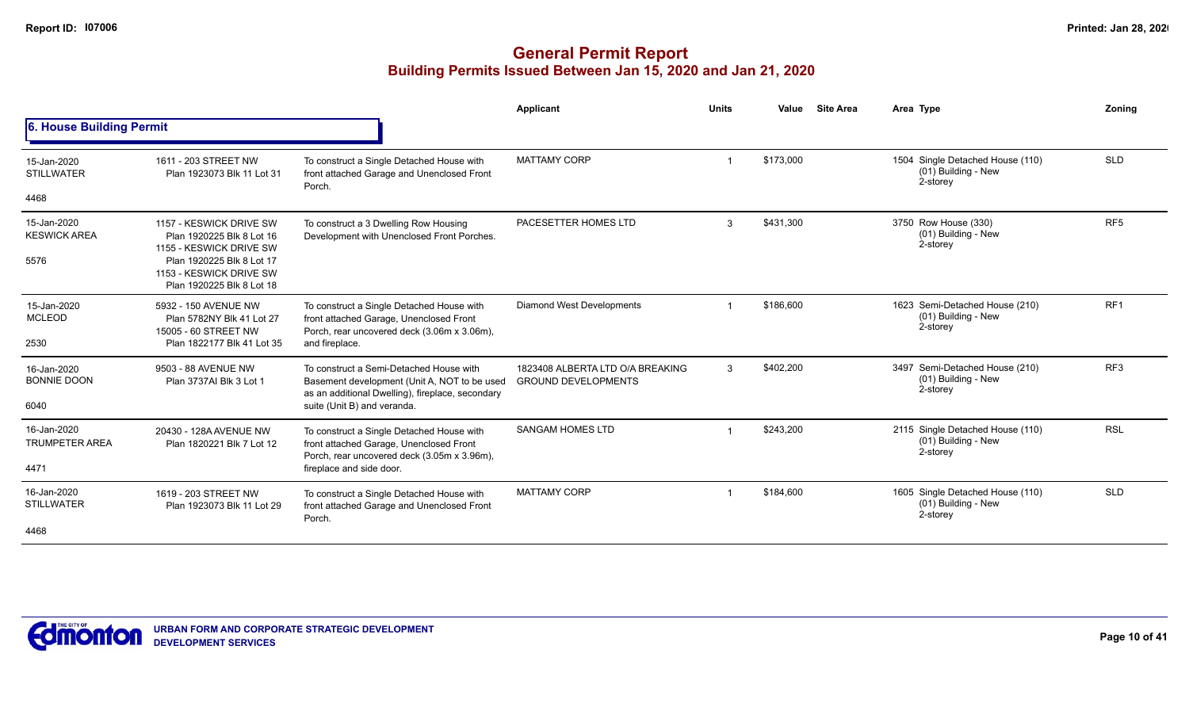|                                              |                                                                                                                                                                      |                                                                                                                                                                            | Applicant                                                      | <b>Units</b> | Value     | <b>Site Area</b> | Area Type                                                           | Zoning          |
|----------------------------------------------|----------------------------------------------------------------------------------------------------------------------------------------------------------------------|----------------------------------------------------------------------------------------------------------------------------------------------------------------------------|----------------------------------------------------------------|--------------|-----------|------------------|---------------------------------------------------------------------|-----------------|
| 6. House Building Permit                     |                                                                                                                                                                      |                                                                                                                                                                            |                                                                |              |           |                  |                                                                     |                 |
| 15-Jan-2020<br><b>STILLWATER</b>             | 1611 - 203 STREET NW<br>Plan 1923073 Blk 11 Lot 31                                                                                                                   | To construct a Single Detached House with<br>front attached Garage and Unenclosed Front<br>Porch.                                                                          | <b>MATTAMY CORP</b>                                            |              | \$173.000 |                  | 1504 Single Detached House (110)<br>(01) Building - New<br>2-storey | <b>SLD</b>      |
| 4468                                         |                                                                                                                                                                      |                                                                                                                                                                            |                                                                |              |           |                  |                                                                     |                 |
| 15-Jan-2020<br><b>KESWICK AREA</b><br>5576   | 1157 - KESWICK DRIVE SW<br>Plan 1920225 Blk 8 Lot 16<br>1155 - KESWICK DRIVE SW<br>Plan 1920225 Blk 8 Lot 17<br>1153 - KESWICK DRIVE SW<br>Plan 1920225 Blk 8 Lot 18 | To construct a 3 Dwelling Row Housing<br>Development with Unenclosed Front Porches.                                                                                        | PACESETTER HOMES LTD                                           | 3            | \$431.300 |                  | 3750 Row House (330)<br>(01) Building - New<br>2-storey             | RF <sub>5</sub> |
| 15-Jan-2020<br><b>MCLEOD</b><br>2530         | 5932 - 150 AVENUE NW<br>Plan 5782NY Blk 41 Lot 27<br>15005 - 60 STREET NW<br>Plan 1822177 Blk 41 Lot 35                                                              | To construct a Single Detached House with<br>front attached Garage, Unenclosed Front<br>Porch, rear uncovered deck (3.06m x 3.06m),<br>and fireplace.                      | <b>Diamond West Developments</b>                               |              | \$186,600 |                  | 1623 Semi-Detached House (210)<br>(01) Building - New<br>2-storey   | RF <sub>1</sub> |
| 16-Jan-2020<br><b>BONNIE DOON</b><br>6040    | 9503 - 88 AVENUE NW<br>Plan 3737AI Blk 3 Lot 1                                                                                                                       | To construct a Semi-Detached House with<br>Basement development (Unit A, NOT to be used<br>as an additional Dwelling), fireplace, secondary<br>suite (Unit B) and veranda. | 1823408 ALBERTA LTD O/A BREAKING<br><b>GROUND DEVELOPMENTS</b> | 3            | \$402,200 |                  | 3497 Semi-Detached House (210)<br>(01) Building - New<br>2-storey   | RF <sub>3</sub> |
| 16-Jan-2020<br><b>TRUMPETER AREA</b><br>4471 | 20430 - 128A AVENUE NW<br>Plan 1820221 Blk 7 Lot 12                                                                                                                  | To construct a Single Detached House with<br>front attached Garage, Unenclosed Front<br>Porch, rear uncovered deck (3.05m x 3.96m),<br>fireplace and side door.            | <b>SANGAM HOMES LTD</b>                                        |              | \$243,200 |                  | 2115 Single Detached House (110)<br>(01) Building - New<br>2-storey | <b>RSL</b>      |
| 16-Jan-2020<br><b>STILLWATER</b><br>4468     | 1619 - 203 STREET NW<br>Plan 1923073 Blk 11 Lot 29                                                                                                                   | To construct a Single Detached House with<br>front attached Garage and Unenclosed Front<br>Porch.                                                                          | <b>MATTAMY CORP</b>                                            |              | \$184,600 |                  | 1605 Single Detached House (110)<br>(01) Building - New<br>2-storey | SLD             |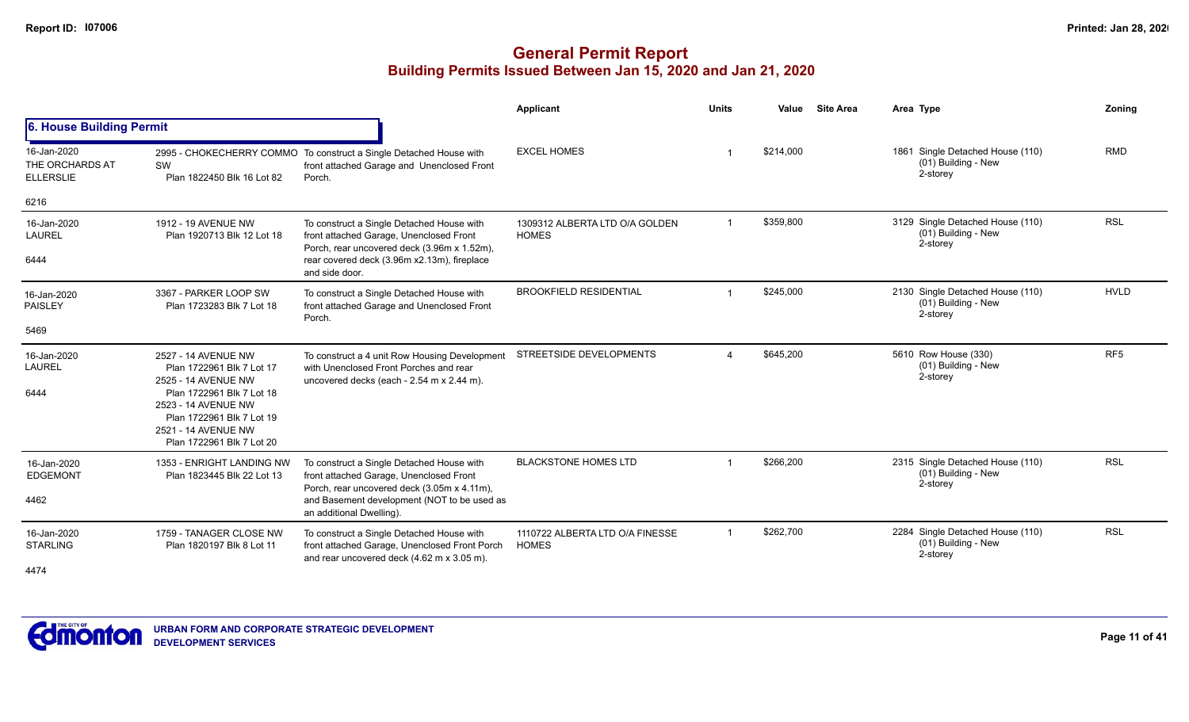|                                                    |                                                                                                                                                                                                              |                                                                                                                                                                                                                | Applicant                                       | <b>Units</b>   | Value     | <b>Site Area</b> | Area Type                                                           | Zoning          |
|----------------------------------------------------|--------------------------------------------------------------------------------------------------------------------------------------------------------------------------------------------------------------|----------------------------------------------------------------------------------------------------------------------------------------------------------------------------------------------------------------|-------------------------------------------------|----------------|-----------|------------------|---------------------------------------------------------------------|-----------------|
| 6. House Building Permit                           |                                                                                                                                                                                                              |                                                                                                                                                                                                                |                                                 |                |           |                  |                                                                     |                 |
| 16-Jan-2020<br>THE ORCHARDS AT<br><b>ELLERSLIE</b> | SW<br>Plan 1822450 Blk 16 Lot 82                                                                                                                                                                             | 2995 - CHOKECHERRY COMMO To construct a Single Detached House with<br>front attached Garage and Unenclosed Front<br>Porch.                                                                                     | <b>EXCEL HOMES</b>                              |                | \$214,000 |                  | 1861 Single Detached House (110)<br>(01) Building - New<br>2-storey | <b>RMD</b>      |
| 6216                                               |                                                                                                                                                                                                              |                                                                                                                                                                                                                |                                                 |                |           |                  |                                                                     |                 |
| 16-Jan-2020<br><b>LAUREL</b><br>6444               | 1912 - 19 AVENUE NW<br>Plan 1920713 Blk 12 Lot 18                                                                                                                                                            | To construct a Single Detached House with<br>front attached Garage, Unenclosed Front<br>Porch, rear uncovered deck (3.96m x 1.52m),<br>rear covered deck (3.96m x2.13m), fireplace<br>and side door.           | 1309312 ALBERTA LTD O/A GOLDEN<br><b>HOMES</b>  |                | \$359,800 |                  | 3129 Single Detached House (110)<br>(01) Building - New<br>2-storey | <b>RSL</b>      |
| 16-Jan-2020<br><b>PAISLEY</b><br>5469              | 3367 - PARKER LOOP SW<br>Plan 1723283 Blk 7 Lot 18                                                                                                                                                           | To construct a Single Detached House with<br>front attached Garage and Unenclosed Front<br>Porch.                                                                                                              | <b>BROOKFIELD RESIDENTIAL</b>                   |                | \$245,000 |                  | 2130 Single Detached House (110)<br>(01) Building - New<br>2-storey | <b>HVLD</b>     |
| 16-Jan-2020<br>LAUREL<br>6444                      | 2527 - 14 AVENUE NW<br>Plan 1722961 Blk 7 Lot 17<br>2525 - 14 AVENUE NW<br>Plan 1722961 Blk 7 Lot 18<br>2523 - 14 AVENUE NW<br>Plan 1722961 Blk 7 Lot 19<br>2521 - 14 AVENUE NW<br>Plan 1722961 Blk 7 Lot 20 | To construct a 4 unit Row Housing Development<br>with Unenclosed Front Porches and rear<br>uncovered decks (each - 2.54 m x 2.44 m).                                                                           | STREETSIDE DEVELOPMENTS                         |                | \$645,200 |                  | 5610 Row House (330)<br>(01) Building - New<br>2-storey             | RF <sub>5</sub> |
| 16-Jan-2020<br><b>EDGEMONT</b><br>4462             | 1353 - ENRIGHT LANDING NW<br>Plan 1823445 Blk 22 Lot 13                                                                                                                                                      | To construct a Single Detached House with<br>front attached Garage, Unenclosed Front<br>Porch, rear uncovered deck (3.05m x 4.11m),<br>and Basement development (NOT to be used as<br>an additional Dwelling). | <b>BLACKSTONE HOMES LTD</b>                     |                | \$266,200 |                  | 2315 Single Detached House (110)<br>(01) Building - New<br>2-storey | <b>RSL</b>      |
| 16-Jan-2020<br><b>STARLING</b><br>4474             | 1759 - TANAGER CLOSE NW<br>Plan 1820197 Blk 8 Lot 11                                                                                                                                                         | To construct a Single Detached House with<br>front attached Garage, Unenclosed Front Porch<br>and rear uncovered deck (4.62 m x 3.05 m).                                                                       | 1110722 ALBERTA LTD O/A FINESSE<br><b>HOMES</b> | $\overline{1}$ | \$262,700 |                  | 2284 Single Detached House (110)<br>(01) Building - New<br>2-storey | <b>RSL</b>      |

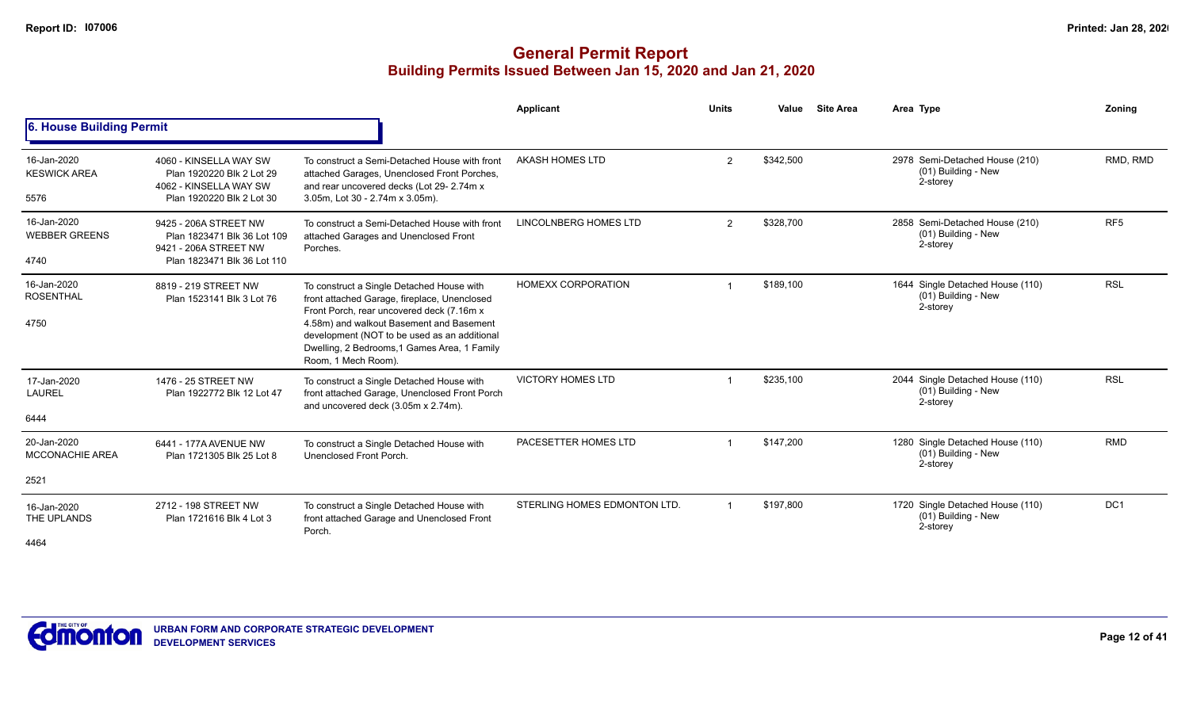|                                               |                                                                                                              |                                                                                                                                                                                                                                                                                                           | Applicant                    | <b>Units</b>   | Value     | <b>Site Area</b> | Area Type                                                           | Zoning          |
|-----------------------------------------------|--------------------------------------------------------------------------------------------------------------|-----------------------------------------------------------------------------------------------------------------------------------------------------------------------------------------------------------------------------------------------------------------------------------------------------------|------------------------------|----------------|-----------|------------------|---------------------------------------------------------------------|-----------------|
| 6. House Building Permit                      |                                                                                                              |                                                                                                                                                                                                                                                                                                           |                              |                |           |                  |                                                                     |                 |
| 16-Jan-2020<br><b>KESWICK AREA</b><br>5576    | 4060 - KINSELLA WAY SW<br>Plan 1920220 Blk 2 Lot 29<br>4062 - KINSELLA WAY SW<br>Plan 1920220 Blk 2 Lot 30   | To construct a Semi-Detached House with front<br>attached Garages, Unenclosed Front Porches,<br>and rear uncovered decks (Lot 29-2.74m x<br>3.05m, Lot 30 - 2.74m x 3.05m).                                                                                                                               | AKASH HOMES LTD              | $\overline{2}$ | \$342,500 |                  | 2978 Semi-Detached House (210)<br>(01) Building - New<br>2-storey   | RMD, RMD        |
| 16-Jan-2020<br><b>WEBBER GREENS</b><br>4740   | 9425 - 206A STREET NW<br>Plan 1823471 Blk 36 Lot 109<br>9421 - 206A STREET NW<br>Plan 1823471 Blk 36 Lot 110 | To construct a Semi-Detached House with front<br>attached Garages and Unenclosed Front<br>Porches.                                                                                                                                                                                                        | LINCOLNBERG HOMES LTD        | 2              | \$328,700 |                  | 2858 Semi-Detached House (210)<br>(01) Building - New<br>2-storey   | RF <sub>5</sub> |
| 16-Jan-2020<br><b>ROSENTHAL</b><br>4750       | 8819 - 219 STREET NW<br>Plan 1523141 Blk 3 Lot 76                                                            | To construct a Single Detached House with<br>front attached Garage, fireplace, Unenclosed<br>Front Porch, rear uncovered deck (7.16m x<br>4.58m) and walkout Basement and Basement<br>development (NOT to be used as an additional<br>Dwelling, 2 Bedrooms, 1 Games Area, 1 Family<br>Room, 1 Mech Room). | <b>HOMEXX CORPORATION</b>    |                | \$189,100 |                  | 1644 Single Detached House (110)<br>(01) Building - New<br>2-storey | <b>RSL</b>      |
| 17-Jan-2020<br><b>LAUREL</b><br>6444          | 1476 - 25 STREET NW<br>Plan 1922772 Blk 12 Lot 47                                                            | To construct a Single Detached House with<br>front attached Garage, Unenclosed Front Porch<br>and uncovered deck (3.05m x 2.74m).                                                                                                                                                                         | <b>VICTORY HOMES LTD</b>     |                | \$235,100 |                  | 2044 Single Detached House (110)<br>(01) Building - New<br>2-storey | <b>RSL</b>      |
| 20-Jan-2020<br><b>MCCONACHIE AREA</b><br>2521 | 6441 - 177A AVENUE NW<br>Plan 1721305 Blk 25 Lot 8                                                           | To construct a Single Detached House with<br>Unenclosed Front Porch.                                                                                                                                                                                                                                      | PACESETTER HOMES LTD         |                | \$147.200 |                  | 1280 Single Detached House (110)<br>(01) Building - New<br>2-storey | <b>RMD</b>      |
| 16-Jan-2020<br>THE UPLANDS<br>4464            | 2712 - 198 STREET NW<br>Plan 1721616 Blk 4 Lot 3                                                             | To construct a Single Detached House with<br>front attached Garage and Unenclosed Front<br>Porch.                                                                                                                                                                                                         | STERLING HOMES EDMONTON LTD. |                | \$197,800 |                  | 1720 Single Detached House (110)<br>(01) Building - New<br>2-storey | DC <sub>1</sub> |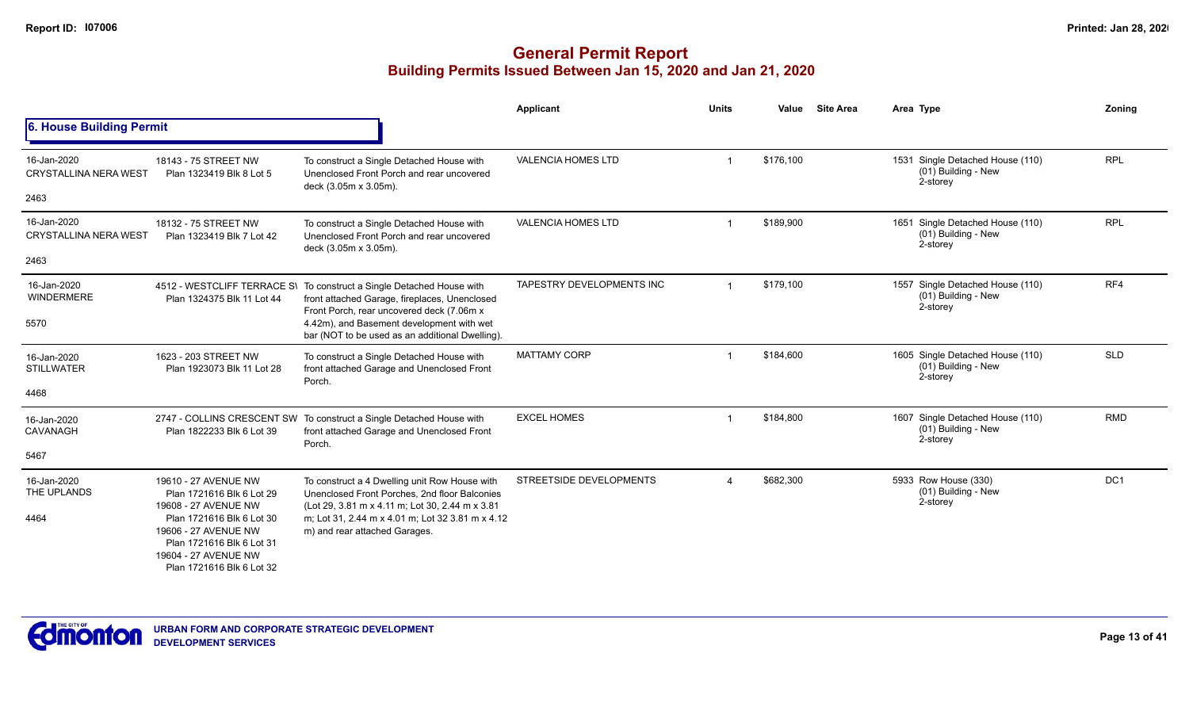|                                             |                                                                                                                                     |                                                                                                                                                                     | Applicant                 | <b>Units</b> | Value     | <b>Site Area</b> | Area Type                                                             | Zoning     |
|---------------------------------------------|-------------------------------------------------------------------------------------------------------------------------------------|---------------------------------------------------------------------------------------------------------------------------------------------------------------------|---------------------------|--------------|-----------|------------------|-----------------------------------------------------------------------|------------|
| 6. House Building Permit                    |                                                                                                                                     |                                                                                                                                                                     |                           |              |           |                  |                                                                       |            |
| 16-Jan-2020<br><b>CRYSTALLINA NERA WEST</b> | 18143 - 75 STREET NW<br>Plan 1323419 Blk 8 Lot 5                                                                                    | To construct a Single Detached House with<br>Unenclosed Front Porch and rear uncovered<br>deck (3.05m x 3.05m).                                                     | <b>VALENCIA HOMES LTD</b> |              | \$176,100 |                  | 1531 Single Detached House (110)<br>(01) Building - New<br>2-storey   | <b>RPL</b> |
| 2463                                        |                                                                                                                                     |                                                                                                                                                                     |                           |              |           |                  |                                                                       |            |
| 16-Jan-2020<br><b>CRYSTALLINA NERA WEST</b> | 18132 - 75 STREET NW<br>Plan 1323419 Blk 7 Lot 42                                                                                   | To construct a Single Detached House with<br>Unenclosed Front Porch and rear uncovered<br>deck (3.05m x 3.05m).                                                     | <b>VALENCIA HOMES LTD</b> |              | \$189,900 |                  | 1651 Single Detached House (110)<br>$(01)$ Building - New<br>2-storey | <b>RPL</b> |
| 2463                                        |                                                                                                                                     |                                                                                                                                                                     |                           |              |           |                  |                                                                       |            |
| 16-Jan-2020<br><b>WINDERMERE</b>            | Plan 1324375 Blk 11 Lot 44                                                                                                          | 4512 - WESTCLIFF TERRACE S\ To construct a Single Detached House with<br>front attached Garage, fireplaces, Unenclosed<br>Front Porch, rear uncovered deck (7.06m x | TAPESTRY DEVELOPMENTS INC |              | \$179,100 |                  | 1557 Single Detached House (110)<br>(01) Building - New<br>2-storey   | RF4        |
| 5570                                        |                                                                                                                                     | 4.42m), and Basement development with wet<br>bar (NOT to be used as an additional Dwelling).                                                                        |                           |              |           |                  |                                                                       |            |
| 16-Jan-2020<br><b>STILLWATER</b>            | 1623 - 203 STREET NW<br>Plan 1923073 Blk 11 Lot 28                                                                                  | To construct a Single Detached House with<br>front attached Garage and Unenclosed Front<br>Porch.                                                                   | <b>MATTAMY CORP</b>       |              | \$184,600 |                  | 1605 Single Detached House (110)<br>(01) Building - New<br>2-storey   | <b>SLD</b> |
| 4468                                        |                                                                                                                                     |                                                                                                                                                                     |                           |              |           |                  |                                                                       |            |
| 16-Jan-2020<br>CAVANAGH                     | Plan 1822233 Blk 6 Lot 39                                                                                                           | 2747 - COLLINS CRESCENT SW To construct a Single Detached House with<br>front attached Garage and Unenclosed Front<br>Porch.                                        | <b>EXCEL HOMES</b>        |              | \$184,800 |                  | 1607 Single Detached House (110)<br>(01) Building - New<br>2-storey   | <b>RMD</b> |
| 5467                                        |                                                                                                                                     |                                                                                                                                                                     |                           |              |           |                  |                                                                       |            |
| 16-Jan-2020<br>THE UPLANDS                  | 19610 - 27 AVENUE NW<br>Plan 1721616 Blk 6 Lot 29<br>19608 - 27 AVENUE NW                                                           | To construct a 4 Dwelling unit Row House with<br>Unenclosed Front Porches, 2nd floor Balconies<br>(Lot 29, 3.81 m x 4.11 m, Lot 30, 2.44 m x 3.81)                  | STREETSIDE DEVELOPMENTS   |              | \$682,300 |                  | 5933 Row House (330)<br>(01) Building - New<br>2-storey               | DC1        |
| 4464                                        | Plan 1721616 Blk 6 Lot 30<br>19606 - 27 AVENUE NW<br>Plan 1721616 Blk 6 Lot 31<br>19604 - 27 AVENUE NW<br>Plan 1721616 Blk 6 Lot 32 | m: Lot 31, 2.44 m x 4.01 m: Lot 32 3.81 m x 4.12<br>m) and rear attached Garages.                                                                                   |                           |              |           |                  |                                                                       |            |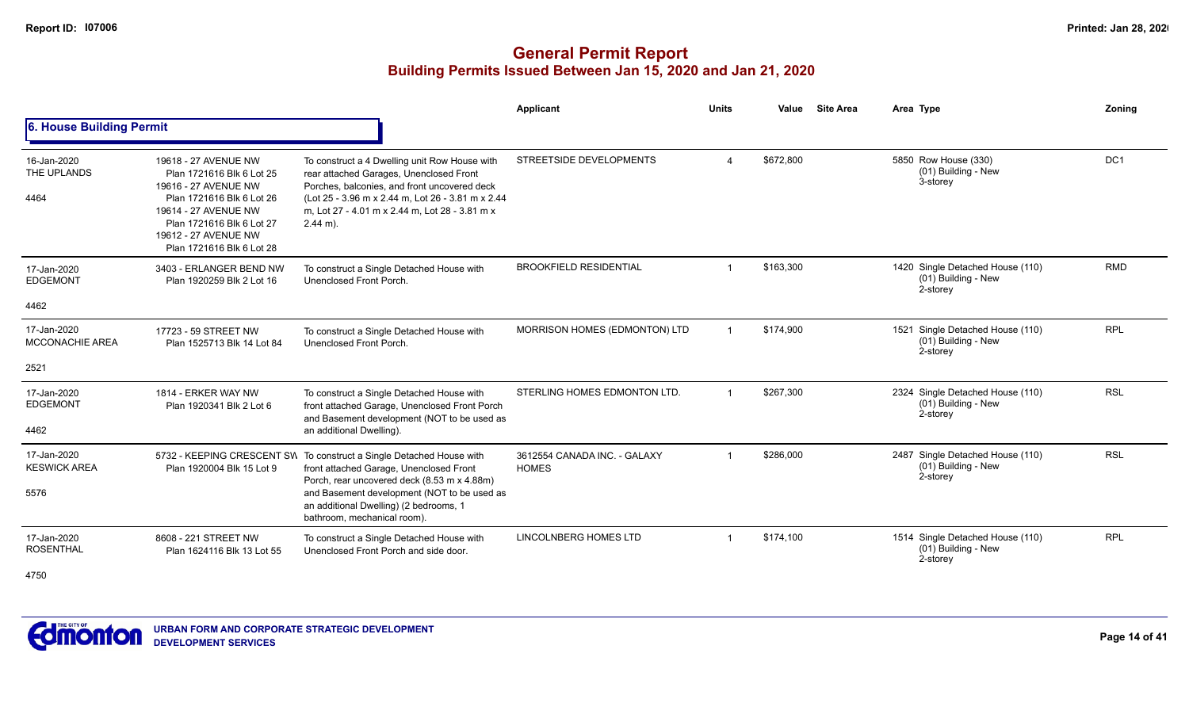|                                        |                                                                                                                                                                                                                  |                                                                                                                                                                                                                                                               | <b>Applicant</b>                             | <b>Units</b> | Value     | <b>Site Area</b> | Area Type                                                             | Zoning          |
|----------------------------------------|------------------------------------------------------------------------------------------------------------------------------------------------------------------------------------------------------------------|---------------------------------------------------------------------------------------------------------------------------------------------------------------------------------------------------------------------------------------------------------------|----------------------------------------------|--------------|-----------|------------------|-----------------------------------------------------------------------|-----------------|
| 6. House Building Permit               |                                                                                                                                                                                                                  |                                                                                                                                                                                                                                                               |                                              |              |           |                  |                                                                       |                 |
| 16-Jan-2020<br>THE UPLANDS<br>4464     | 19618 - 27 AVENUE NW<br>Plan 1721616 Blk 6 Lot 25<br>19616 - 27 AVENUE NW<br>Plan 1721616 Blk 6 Lot 26<br>19614 - 27 AVENUE NW<br>Plan 1721616 Blk 6 Lot 27<br>19612 - 27 AVENUE NW<br>Plan 1721616 Blk 6 Lot 28 | To construct a 4 Dwelling unit Row House with<br>rear attached Garages, Unenclosed Front<br>Porches, balconies, and front uncovered deck<br>(Lot 25 - 3.96 m x 2.44 m, Lot 26 - 3.81 m x 2.44<br>m, Lot 27 - 4.01 m x 2.44 m, Lot 28 - 3.81 m x<br>$2.44$ m). | <b>STREETSIDE DEVELOPMENTS</b>               | $\Delta$     | \$672,800 |                  | 5850 Row House (330)<br>(01) Building - New<br>3-storey               | DC <sub>1</sub> |
| 17-Jan-2020<br><b>EDGEMONT</b><br>4462 | 3403 - ERLANGER BEND NW<br>Plan 1920259 Blk 2 Lot 16                                                                                                                                                             | To construct a Single Detached House with<br>Unenclosed Front Porch.                                                                                                                                                                                          | <b>BROOKFIELD RESIDENTIAL</b>                |              | \$163,300 |                  | 1420 Single Detached House (110)<br>(01) Building - New<br>2-storey   | <b>RMD</b>      |
|                                        |                                                                                                                                                                                                                  |                                                                                                                                                                                                                                                               |                                              |              |           |                  |                                                                       |                 |
| 17-Jan-2020<br><b>MCCONACHIE AREA</b>  | 17723 - 59 STREET NW<br>Plan 1525713 Blk 14 Lot 84                                                                                                                                                               | To construct a Single Detached House with<br>Unenclosed Front Porch.                                                                                                                                                                                          | MORRISON HOMES (EDMONTON) LTD                |              | \$174,900 |                  | 1521 Single Detached House (110)<br>$(01)$ Building - New<br>2-storey | <b>RPL</b>      |
| 2521                                   |                                                                                                                                                                                                                  |                                                                                                                                                                                                                                                               |                                              |              |           |                  |                                                                       |                 |
| 17-Jan-2020<br><b>EDGEMONT</b>         | 1814 - ERKER WAY NW<br>Plan 1920341 Blk 2 Lot 6                                                                                                                                                                  | To construct a Single Detached House with<br>front attached Garage, Unenclosed Front Porch<br>and Basement development (NOT to be used as                                                                                                                     | STERLING HOMES EDMONTON LTD.                 |              | \$267,300 |                  | 2324 Single Detached House (110)<br>(01) Building - New<br>2-storey   | <b>RSL</b>      |
| 4462                                   |                                                                                                                                                                                                                  | an additional Dwelling).                                                                                                                                                                                                                                      |                                              |              |           |                  |                                                                       |                 |
| 17-Jan-2020<br><b>KESWICK AREA</b>     | Plan 1920004 Blk 15 Lot 9                                                                                                                                                                                        | 5732 - KEEPING CRESCENT SW To construct a Single Detached House with<br>front attached Garage, Unenclosed Front<br>Porch, rear uncovered deck (8.53 m x 4.88m)                                                                                                | 3612554 CANADA INC. - GALAXY<br><b>HOMES</b> |              | \$286,000 |                  | 2487 Single Detached House (110)<br>(01) Building - New<br>2-storey   | <b>RSL</b>      |
| 5576                                   |                                                                                                                                                                                                                  | and Basement development (NOT to be used as<br>an additional Dwelling) (2 bedrooms, 1<br>bathroom, mechanical room).                                                                                                                                          |                                              |              |           |                  |                                                                       |                 |
| 17-Jan-2020<br><b>ROSENTHAL</b>        | 8608 - 221 STREET NW<br>Plan 1624116 Blk 13 Lot 55                                                                                                                                                               | To construct a Single Detached House with<br>Unenclosed Front Porch and side door.                                                                                                                                                                            | <b>LINCOLNBERG HOMES LTD</b>                 |              | \$174,100 |                  | 1514 Single Detached House (110)<br>(01) Building - New<br>2-storey   | <b>RPL</b>      |
| 4750                                   |                                                                                                                                                                                                                  |                                                                                                                                                                                                                                                               |                                              |              |           |                  |                                                                       |                 |

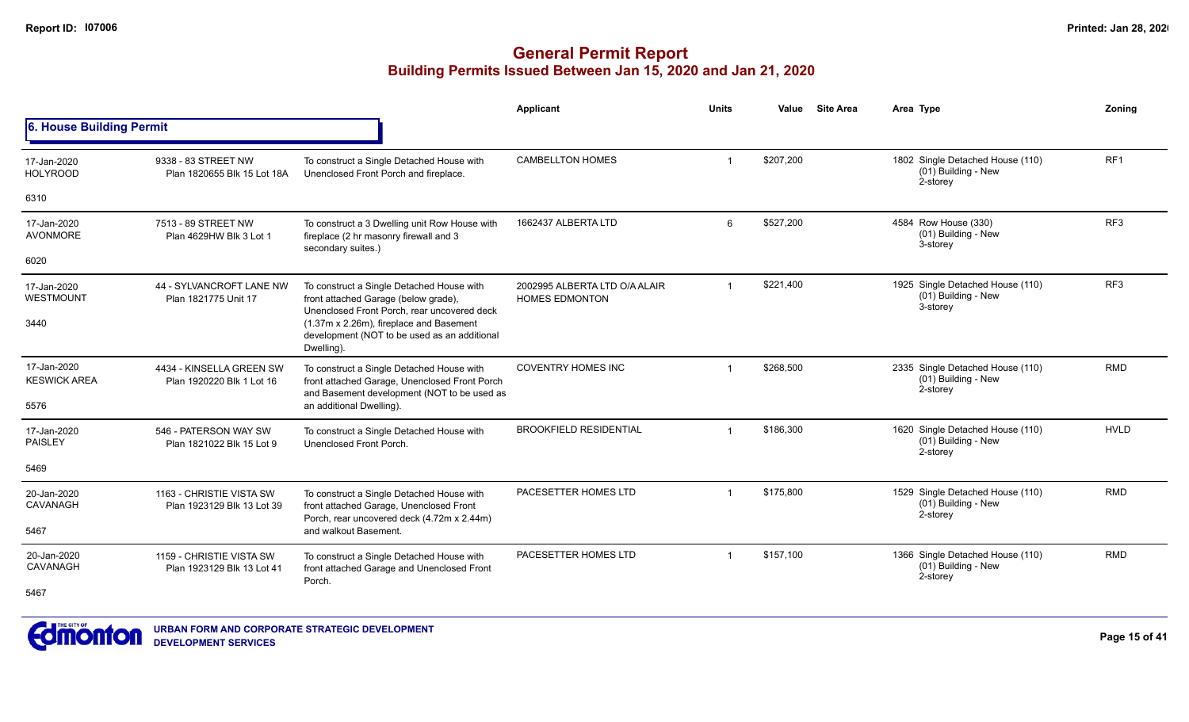|                                    |                                                        |                                                                                                                                           | <b>Applicant</b>                                       | <b>Units</b>   | Value     | <b>Site Area</b> | Area Type                                                           | Zonina          |
|------------------------------------|--------------------------------------------------------|-------------------------------------------------------------------------------------------------------------------------------------------|--------------------------------------------------------|----------------|-----------|------------------|---------------------------------------------------------------------|-----------------|
| 6. House Building Permit           |                                                        |                                                                                                                                           |                                                        |                |           |                  |                                                                     |                 |
| 17-Jan-2020<br><b>HOLYROOD</b>     | 9338 - 83 STREET NW<br>Plan 1820655 Blk 15 Lot 18A     | To construct a Single Detached House with<br>Unenclosed Front Porch and fireplace.                                                        | <b>CAMBELLTON HOMES</b>                                | -1             | \$207,200 |                  | 1802 Single Detached House (110)<br>(01) Building - New<br>2-storey | RF <sub>1</sub> |
| 6310                               |                                                        |                                                                                                                                           |                                                        |                |           |                  |                                                                     |                 |
| 17-Jan-2020<br><b>AVONMORE</b>     | 7513 - 89 STREET NW<br>Plan 4629HW Blk 3 Lot 1         | To construct a 3 Dwelling unit Row House with<br>fireplace (2 hr masonry firewall and 3<br>secondary suites.)                             | 1662437 ALBERTA LTD                                    | 6              | \$527.200 |                  | 4584 Row House (330)<br>(01) Building - New<br>3-storey             | RF <sub>3</sub> |
| 6020                               |                                                        |                                                                                                                                           |                                                        |                |           |                  |                                                                     |                 |
| 17-Jan-2020<br><b>WESTMOUNT</b>    | 44 - SYLVANCROFT LANE NW<br>Plan 1821775 Unit 17       | To construct a Single Detached House with<br>front attached Garage (below grade),<br>Unenclosed Front Porch, rear uncovered deck          | 2002995 ALBERTA LTD O/A ALAIR<br><b>HOMES EDMONTON</b> | $\overline{1}$ | \$221,400 |                  | 1925 Single Detached House (110)<br>(01) Building - New<br>3-storey | RF <sub>3</sub> |
| 3440                               |                                                        | (1.37m x 2.26m), fireplace and Basement<br>development (NOT to be used as an additional<br>Dwelling).                                     |                                                        |                |           |                  |                                                                     |                 |
| 17-Jan-2020<br><b>KESWICK AREA</b> | 4434 - KINSELLA GREEN SW<br>Plan 1920220 Blk 1 Lot 16  | To construct a Single Detached House with<br>front attached Garage, Unenclosed Front Porch<br>and Basement development (NOT to be used as | <b>COVENTRY HOMES INC</b>                              | -1             | \$268,500 |                  | 2335 Single Detached House (110)<br>(01) Building - New<br>2-storey | <b>RMD</b>      |
| 5576                               |                                                        | an additional Dwelling).                                                                                                                  |                                                        |                |           |                  |                                                                     |                 |
| 17-Jan-2020<br><b>PAISLEY</b>      | 546 - PATERSON WAY SW<br>Plan 1821022 Blk 15 Lot 9     | To construct a Single Detached House with<br>Unenclosed Front Porch.                                                                      | <b>BROOKFIELD RESIDENTIAL</b>                          |                | \$186,300 |                  | 1620 Single Detached House (110)<br>(01) Building - New<br>2-storey | <b>HVLD</b>     |
| 5469                               |                                                        |                                                                                                                                           |                                                        |                |           |                  |                                                                     |                 |
| 20-Jan-2020<br>CAVANAGH            | 1163 - CHRISTIE VISTA SW<br>Plan 1923129 Blk 13 Lot 39 | To construct a Single Detached House with<br>front attached Garage, Unenclosed Front<br>Porch, rear uncovered deck (4.72m x 2.44m)        | PACESETTER HOMES LTD                                   | $\overline{1}$ | \$175,800 |                  | 1529 Single Detached House (110)<br>(01) Building - New<br>2-storey | <b>RMD</b>      |
| 5467                               |                                                        | and walkout Basement.                                                                                                                     |                                                        |                |           |                  |                                                                     |                 |
| 20-Jan-2020<br>CAVANAGH            | 1159 - CHRISTIE VISTA SW<br>Plan 1923129 Blk 13 Lot 41 | To construct a Single Detached House with<br>front attached Garage and Unenclosed Front<br>Porch.                                         | PACESETTER HOMES LTD                                   | -1             | \$157,100 |                  | 1366 Single Detached House (110)<br>(01) Building - New<br>2-storey | <b>RMD</b>      |
| 5467                               |                                                        |                                                                                                                                           |                                                        |                |           |                  |                                                                     |                 |

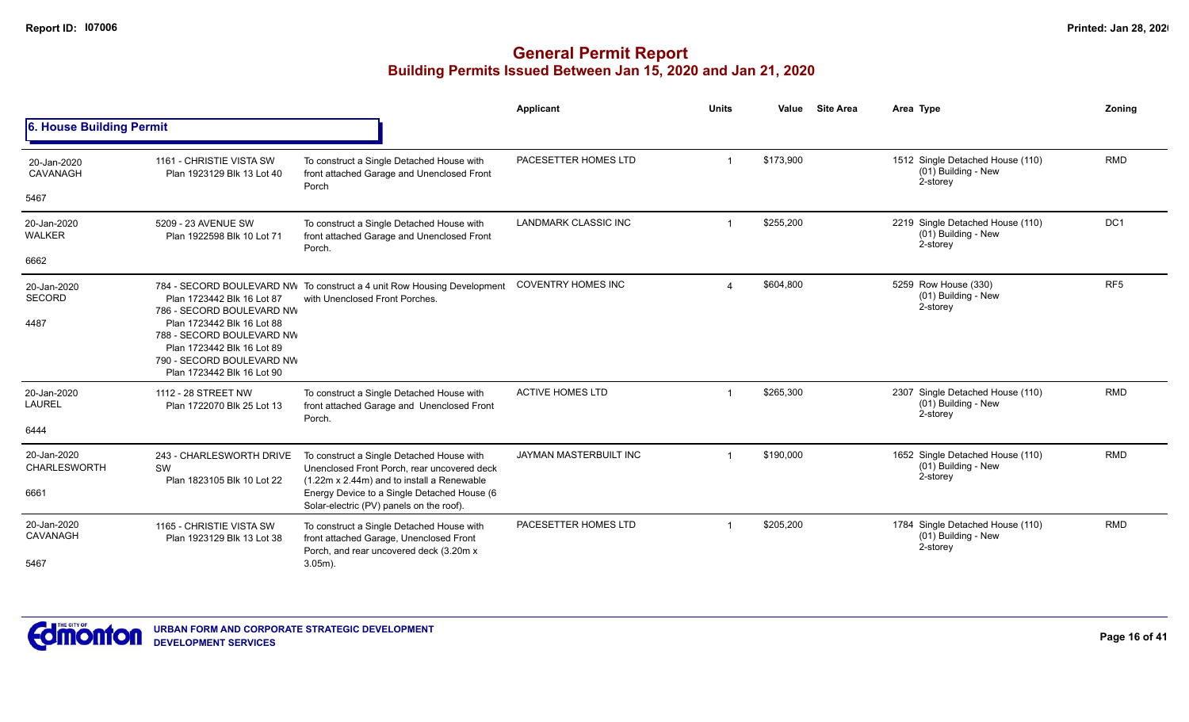|                                      |                                                                                                                                                                                                             |                                                                                                                                        | <b>Applicant</b>              | <b>Units</b> | Value     | <b>Site Area</b> | Area Type                                                           | Zoning          |
|--------------------------------------|-------------------------------------------------------------------------------------------------------------------------------------------------------------------------------------------------------------|----------------------------------------------------------------------------------------------------------------------------------------|-------------------------------|--------------|-----------|------------------|---------------------------------------------------------------------|-----------------|
| 6. House Building Permit             |                                                                                                                                                                                                             |                                                                                                                                        |                               |              |           |                  |                                                                     |                 |
| 20-Jan-2020<br>CAVANAGH              | 1161 - CHRISTIE VISTA SW<br>Plan 1923129 Blk 13 Lot 40                                                                                                                                                      | To construct a Single Detached House with<br>front attached Garage and Unenclosed Front<br>Porch                                       | PACESETTER HOMES LTD          |              | \$173,900 |                  | 1512 Single Detached House (110)<br>(01) Building - New<br>2-storey | <b>RMD</b>      |
| 5467                                 |                                                                                                                                                                                                             |                                                                                                                                        |                               |              |           |                  |                                                                     |                 |
| 20-Jan-2020<br>WALKER                | 5209 - 23 AVENUE SW<br>Plan 1922598 Blk 10 Lot 71                                                                                                                                                           | To construct a Single Detached House with<br>front attached Garage and Unenclosed Front<br>Porch.                                      | <b>LANDMARK CLASSIC INC</b>   |              | \$255,200 |                  | 2219 Single Detached House (110)<br>(01) Building - New<br>2-storey | DC <sub>1</sub> |
| 6662                                 |                                                                                                                                                                                                             |                                                                                                                                        |                               |              |           |                  |                                                                     |                 |
| 20-Jan-2020<br><b>SECORD</b><br>4487 | Plan 1723442 Blk 16 Lot 87<br>786 - SECORD BOULEVARD NW<br>Plan 1723442 Blk 16 Lot 88<br>788 - SECORD BOULEVARD NW<br>Plan 1723442 Blk 16 Lot 89<br>790 - SECORD BOULEVARD NW<br>Plan 1723442 Blk 16 Lot 90 | 784 - SECORD BOULEVARD NW To construct a 4 unit Row Housing Development<br>with Unenclosed Front Porches.                              | <b>COVENTRY HOMES INC</b>     | $\Delta$     | \$604,800 |                  | 5259 Row House (330)<br>(01) Building - New<br>2-storey             | RF <sub>5</sub> |
| 20-Jan-2020<br>LAUREL                | 1112 - 28 STREET NW<br>Plan 1722070 Blk 25 Lot 13                                                                                                                                                           | To construct a Single Detached House with<br>front attached Garage and Unenclosed Front<br>Porch.                                      | <b>ACTIVE HOMES LTD</b>       |              | \$265,300 |                  | 2307 Single Detached House (110)<br>(01) Building - New<br>2-storey | <b>RMD</b>      |
| 6444                                 |                                                                                                                                                                                                             |                                                                                                                                        |                               |              |           |                  |                                                                     |                 |
| 20-Jan-2020<br><b>CHARLESWORTH</b>   | 243 - CHARLESWORTH DRIVE<br>SW<br>Plan 1823105 Blk 10 Lot 22                                                                                                                                                | To construct a Single Detached House with<br>Unenclosed Front Porch, rear uncovered deck<br>(1.22m x 2.44m) and to install a Renewable | <b>JAYMAN MASTERBUILT INC</b> |              | \$190,000 |                  | 1652 Single Detached House (110)<br>(01) Building - New<br>2-storey | <b>RMD</b>      |
| 6661                                 |                                                                                                                                                                                                             | Energy Device to a Single Detached House (6<br>Solar-electric (PV) panels on the roof).                                                |                               |              |           |                  |                                                                     |                 |
| 20-Jan-2020<br>CAVANAGH              | 1165 - CHRISTIE VISTA SW<br>Plan 1923129 Blk 13 Lot 38                                                                                                                                                      | To construct a Single Detached House with<br>front attached Garage, Unenclosed Front<br>Porch, and rear uncovered deck (3.20m x        | PACESETTER HOMES LTD          |              | \$205,200 |                  | 1784 Single Detached House (110)<br>(01) Building - New<br>2-storey | <b>RMD</b>      |
| 5467                                 |                                                                                                                                                                                                             | $3.05m$ ).                                                                                                                             |                               |              |           |                  |                                                                     |                 |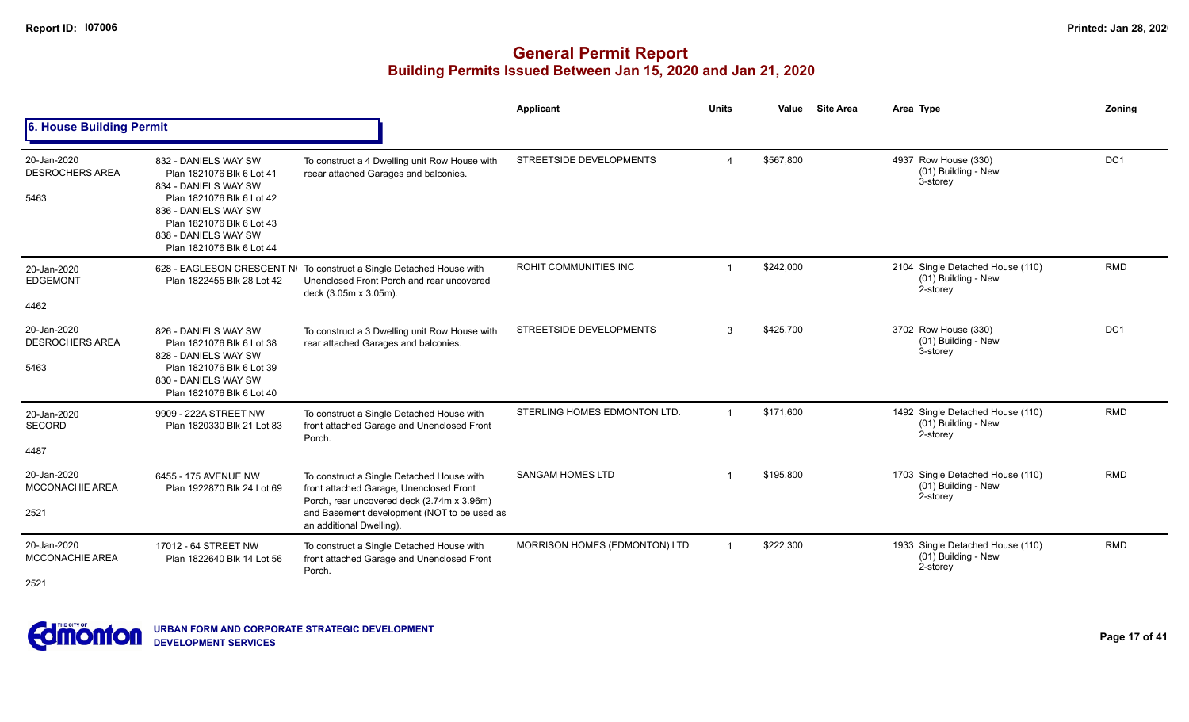|                                               |                                                                                                                                                                                                                  |                                                                                                                                                                                                               | <b>Applicant</b>              | <b>Units</b> | Value     | <b>Site Area</b> | Area Type                                                             | Zoning                                               |
|-----------------------------------------------|------------------------------------------------------------------------------------------------------------------------------------------------------------------------------------------------------------------|---------------------------------------------------------------------------------------------------------------------------------------------------------------------------------------------------------------|-------------------------------|--------------|-----------|------------------|-----------------------------------------------------------------------|------------------------------------------------------|
| 6. House Building Permit                      |                                                                                                                                                                                                                  |                                                                                                                                                                                                               |                               |              |           |                  |                                                                       | DC1<br><b>RMD</b><br>DC1<br><b>RMD</b><br><b>RMD</b> |
| 20-Jan-2020<br><b>DESROCHERS AREA</b><br>5463 | 832 - DANIELS WAY SW<br>Plan 1821076 Blk 6 Lot 41<br>834 - DANIELS WAY SW<br>Plan 1821076 Blk 6 Lot 42<br>836 - DANIELS WAY SW<br>Plan 1821076 Blk 6 Lot 43<br>838 - DANIELS WAY SW<br>Plan 1821076 Blk 6 Lot 44 | To construct a 4 Dwelling unit Row House with<br>reear attached Garages and balconies.                                                                                                                        | STREETSIDE DEVELOPMENTS       | $\Delta$     | \$567,800 |                  | 4937 Row House (330)<br>(01) Building - New<br>3-storey               |                                                      |
| 20-Jan-2020<br><b>EDGEMONT</b><br>4462        | Plan 1822455 Blk 28 Lot 42                                                                                                                                                                                       | 628 - EAGLESON CRESCENT N\ To construct a Single Detached House with<br>Unenclosed Front Porch and rear uncovered<br>deck (3.05m x 3.05m).                                                                    | ROHIT COMMUNITIES INC         |              | \$242,000 |                  | 2104 Single Detached House (110)<br>(01) Building - New<br>2-storey   |                                                      |
| 20-Jan-2020<br><b>DESROCHERS AREA</b><br>5463 | 826 - DANIELS WAY SW<br>Plan 1821076 Blk 6 Lot 38<br>828 - DANIELS WAY SW<br>Plan 1821076 Blk 6 Lot 39<br>830 - DANIELS WAY SW<br>Plan 1821076 Blk 6 Lot 40                                                      | To construct a 3 Dwelling unit Row House with<br>rear attached Garages and balconies.                                                                                                                         | STREETSIDE DEVELOPMENTS       | 3            | \$425,700 |                  | 3702 Row House (330)<br>(01) Building - New<br>3-storey               |                                                      |
| 20-Jan-2020<br><b>SECORD</b><br>4487          | 9909 - 222A STREET NW<br>Plan 1820330 Blk 21 Lot 83                                                                                                                                                              | To construct a Single Detached House with<br>front attached Garage and Unenclosed Front<br>Porch.                                                                                                             | STERLING HOMES EDMONTON LTD.  |              | \$171,600 |                  | 1492 Single Detached House (110)<br>$(01)$ Building - New<br>2-storey |                                                      |
| 20-Jan-2020<br><b>MCCONACHIE AREA</b><br>2521 | 6455 - 175 AVENUE NW<br>Plan 1922870 Blk 24 Lot 69                                                                                                                                                               | To construct a Single Detached House with<br>front attached Garage, Unenclosed Front<br>Porch, rear uncovered deck (2.74m x 3.96m)<br>and Basement development (NOT to be used as<br>an additional Dwelling). | <b>SANGAM HOMES LTD</b>       |              | \$195,800 |                  | 1703 Single Detached House (110)<br>(01) Building - New<br>2-storey   |                                                      |
| 20-Jan-2020<br><b>MCCONACHIE AREA</b><br>2521 | 17012 - 64 STREET NW<br>Plan 1822640 Blk 14 Lot 56                                                                                                                                                               | To construct a Single Detached House with<br>front attached Garage and Unenclosed Front<br>Porch.                                                                                                             | MORRISON HOMES (EDMONTON) LTD |              | \$222,300 |                  | 1933 Single Detached House (110)<br>(01) Building - New<br>2-storey   | <b>RMD</b>                                           |

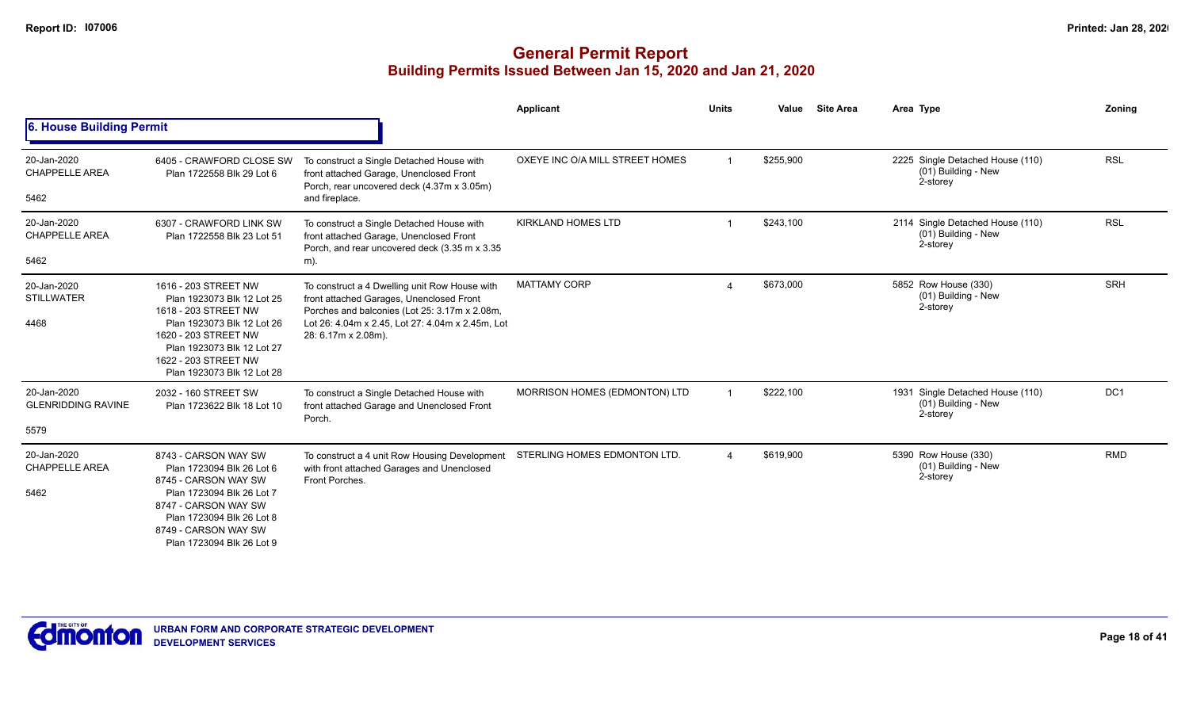|                                                  |                                                                                                                                                                                                                      |                                                                                                                                                                                                                       | Applicant                       | <b>Units</b> | Value     | <b>Site Area</b> | Area Type                                                           | Zoning          |
|--------------------------------------------------|----------------------------------------------------------------------------------------------------------------------------------------------------------------------------------------------------------------------|-----------------------------------------------------------------------------------------------------------------------------------------------------------------------------------------------------------------------|---------------------------------|--------------|-----------|------------------|---------------------------------------------------------------------|-----------------|
| 6. House Building Permit                         |                                                                                                                                                                                                                      |                                                                                                                                                                                                                       |                                 |              |           |                  |                                                                     |                 |
| 20-Jan-2020<br><b>CHAPPELLE AREA</b><br>5462     | 6405 - CRAWFORD CLOSE SW<br>Plan 1722558 Blk 29 Lot 6                                                                                                                                                                | To construct a Single Detached House with<br>front attached Garage, Unenclosed Front<br>Porch, rear uncovered deck (4.37m x 3.05m)<br>and fireplace.                                                                  | OXEYE INC O/A MILL STREET HOMES |              | \$255,900 |                  | 2225 Single Detached House (110)<br>(01) Building - New<br>2-storey | <b>RSL</b>      |
| 20-Jan-2020<br><b>CHAPPELLE AREA</b><br>5462     | 6307 - CRAWFORD LINK SW<br>Plan 1722558 Blk 23 Lot 51                                                                                                                                                                | To construct a Single Detached House with<br>front attached Garage, Unenclosed Front<br>Porch, and rear uncovered deck (3.35 m x 3.35<br>m).                                                                          | <b>KIRKLAND HOMES LTD</b>       |              | \$243,100 |                  | 2114 Single Detached House (110)<br>(01) Building - New<br>2-storey | <b>RSL</b>      |
| 20-Jan-2020<br><b>STILLWATER</b><br>4468         | 1616 - 203 STREET NW<br>Plan 1923073 Blk 12 Lot 25<br>1618 - 203 STREET NW<br>Plan 1923073 Blk 12 Lot 26<br>1620 - 203 STREET NW<br>Plan 1923073 Blk 12 Lot 27<br>1622 - 203 STREET NW<br>Plan 1923073 Blk 12 Lot 28 | To construct a 4 Dwelling unit Row House with<br>front attached Garages, Unenclosed Front<br>Porches and balconies (Lot 25: 3.17m x 2.08m,<br>Lot 26: 4.04m x 2.45, Lot 27: 4.04m x 2.45m, Lot<br>28: 6.17m x 2.08m). | <b>MATTAMY CORP</b>             |              | \$673,000 |                  | 5852 Row House (330)<br>(01) Building - New<br>2-storey             | <b>SRH</b>      |
| 20-Jan-2020<br><b>GLENRIDDING RAVINE</b><br>5579 | 2032 - 160 STREET SW<br>Plan 1723622 Blk 18 Lot 10                                                                                                                                                                   | To construct a Single Detached House with<br>front attached Garage and Unenclosed Front<br>Porch.                                                                                                                     | MORRISON HOMES (EDMONTON) LTD   |              | \$222,100 |                  | 1931 Single Detached House (110)<br>(01) Building - New<br>2-storey | DC <sub>1</sub> |
| 20-Jan-2020<br><b>CHAPPELLE AREA</b><br>5462     | 8743 - CARSON WAY SW<br>Plan 1723094 Blk 26 Lot 6<br>8745 - CARSON WAY SW<br>Plan 1723094 Blk 26 Lot 7<br>8747 - CARSON WAY SW<br>Plan 1723094 Blk 26 Lot 8<br>8749 - CARSON WAY SW<br>Plan 1723094 Blk 26 Lot 9     | To construct a 4 unit Row Housing Development<br>with front attached Garages and Unenclosed<br>Front Porches.                                                                                                         | STERLING HOMES EDMONTON LTD.    |              | \$619,900 |                  | 5390 Row House (330)<br>(01) Building - New<br>2-storey             | <b>RMD</b>      |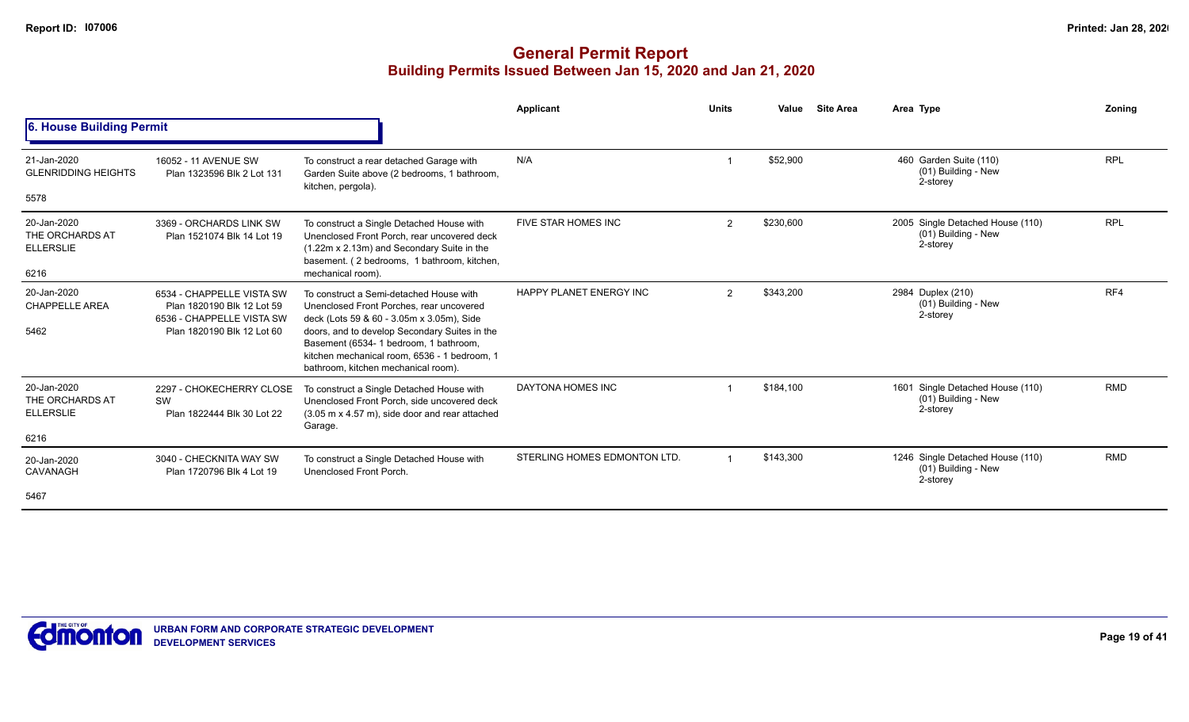|                                                            |                                                                                                                    |                                                                                                                                                                                                                                                                                                                    | Applicant                      | <b>Units</b>   | Value     | <b>Site Area</b> | Area Type                                                           | Zoning     |
|------------------------------------------------------------|--------------------------------------------------------------------------------------------------------------------|--------------------------------------------------------------------------------------------------------------------------------------------------------------------------------------------------------------------------------------------------------------------------------------------------------------------|--------------------------------|----------------|-----------|------------------|---------------------------------------------------------------------|------------|
| 6. House Building Permit                                   |                                                                                                                    |                                                                                                                                                                                                                                                                                                                    |                                |                |           |                  |                                                                     |            |
| 21-Jan-2020<br><b>GLENRIDDING HEIGHTS</b><br>5578          | 16052 - 11 AVENUE SW<br>Plan 1323596 Blk 2 Lot 131                                                                 | To construct a rear detached Garage with<br>Garden Suite above (2 bedrooms, 1 bathroom,<br>kitchen, pergola).                                                                                                                                                                                                      | N/A                            |                | \$52,900  |                  | 460 Garden Suite (110)<br>(01) Building - New<br>2-storey           | <b>RPL</b> |
| 20-Jan-2020<br>THE ORCHARDS AT<br><b>ELLERSLIE</b><br>6216 | 3369 - ORCHARDS LINK SW<br>Plan 1521074 Blk 14 Lot 19                                                              | To construct a Single Detached House with<br>Unenclosed Front Porch, rear uncovered deck<br>(1.22m x 2.13m) and Secondary Suite in the<br>basement. (2 bedrooms, 1 bathroom, kitchen,<br>mechanical room).                                                                                                         | <b>FIVE STAR HOMES INC</b>     | $\overline{2}$ | \$230,600 |                  | 2005 Single Detached House (110)<br>(01) Building - New<br>2-storey | <b>RPL</b> |
| 20-Jan-2020<br><b>CHAPPELLE AREA</b><br>5462               | 6534 - CHAPPELLE VISTA SW<br>Plan 1820190 Blk 12 Lot 59<br>6536 - CHAPPELLE VISTA SW<br>Plan 1820190 Blk 12 Lot 60 | To construct a Semi-detached House with<br>Unenclosed Front Porches, rear uncovered<br>deck (Lots 59 & 60 - 3.05m x 3.05m), Side<br>doors, and to develop Secondary Suites in the<br>Basement (6534- 1 bedroom, 1 bathroom,<br>kitchen mechanical room, 6536 - 1 bedroom, 1<br>bathroom, kitchen mechanical room). | <b>HAPPY PLANET ENERGY INC</b> | 2              | \$343,200 |                  | 2984 Duplex (210)<br>(01) Building - New<br>2-storey                | RF4        |
| 20-Jan-2020<br>THE ORCHARDS AT<br><b>ELLERSLIE</b><br>6216 | 2297 - CHOKECHERRY CLOSE<br>SW<br>Plan 1822444 Blk 30 Lot 22                                                       | To construct a Single Detached House with<br>Unenclosed Front Porch, side uncovered deck<br>$(3.05 \text{ m} \times 4.57 \text{ m})$ , side door and rear attached<br>Garage.                                                                                                                                      | DAYTONA HOMES INC              |                | \$184.100 |                  | 1601 Single Detached House (110)<br>(01) Building - New<br>2-storey | <b>RMD</b> |
| 20-Jan-2020<br>CAVANAGH<br>5467                            | 3040 - CHECKNITA WAY SW<br>Plan 1720796 Blk 4 Lot 19                                                               | To construct a Single Detached House with<br>Unenclosed Front Porch.                                                                                                                                                                                                                                               | STERLING HOMES EDMONTON LTD.   |                | \$143,300 |                  | 1246 Single Detached House (110)<br>(01) Building - New<br>2-storey | <b>RMD</b> |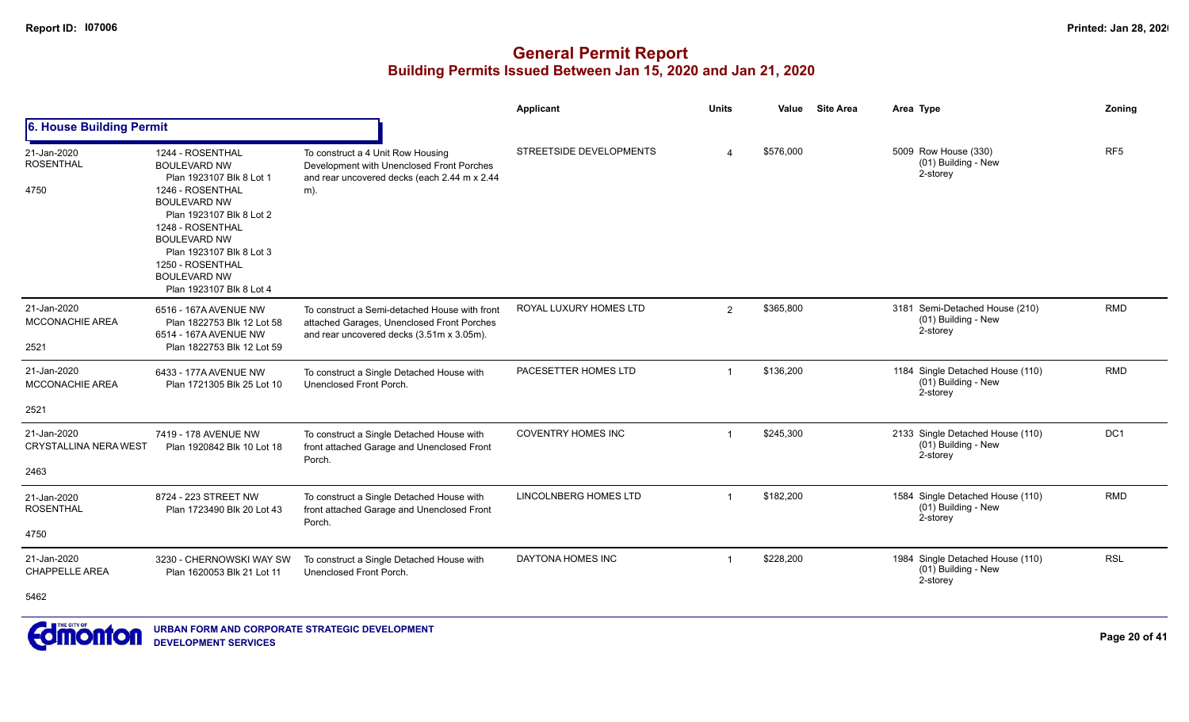|                                                     |                                                                                                                                                                                                                                                                                          |                                                                                                                                          | <b>Applicant</b>          | <b>Units</b>            | Value     | <b>Site Area</b> | Area Type                                                           | Zoning          |
|-----------------------------------------------------|------------------------------------------------------------------------------------------------------------------------------------------------------------------------------------------------------------------------------------------------------------------------------------------|------------------------------------------------------------------------------------------------------------------------------------------|---------------------------|-------------------------|-----------|------------------|---------------------------------------------------------------------|-----------------|
| 6. House Building Permit                            |                                                                                                                                                                                                                                                                                          |                                                                                                                                          |                           |                         |           |                  |                                                                     |                 |
| 21-Jan-2020<br><b>ROSENTHAL</b><br>4750             | 1244 - ROSENTHAL<br><b>BOULEVARD NW</b><br>Plan 1923107 Blk 8 Lot 1<br>1246 - ROSENTHAL<br><b>BOULEVARD NW</b><br>Plan 1923107 Blk 8 Lot 2<br>1248 - ROSENTHAL<br><b>BOULEVARD NW</b><br>Plan 1923107 Blk 8 Lot 3<br>1250 - ROSENTHAL<br><b>BOULEVARD NW</b><br>Plan 1923107 Blk 8 Lot 4 | To construct a 4 Unit Row Housing<br>Development with Unenclosed Front Porches<br>and rear uncovered decks (each 2.44 m x 2.44<br>$m)$ . | STREETSIDE DEVELOPMENTS   |                         | \$576,000 |                  | 5009 Row House (330)<br>(01) Building - New<br>2-storey             | RF <sub>5</sub> |
| 21-Jan-2020<br><b>MCCONACHIE AREA</b><br>2521       | 6516 - 167A AVENUE NW<br>Plan 1822753 Blk 12 Lot 58<br>6514 - 167A AVENUE NW<br>Plan 1822753 Blk 12 Lot 59                                                                                                                                                                               | To construct a Semi-detached House with front<br>attached Garages, Unenclosed Front Porches<br>and rear uncovered decks (3.51m x 3.05m). | ROYAL LUXURY HOMES LTD    | 2                       | \$365,800 |                  | 3181 Semi-Detached House (210)<br>(01) Building - New<br>2-storey   | <b>RMD</b>      |
| 21-Jan-2020<br><b>MCCONACHIE AREA</b><br>2521       | 6433 - 177A AVENUE NW<br>Plan 1721305 Blk 25 Lot 10                                                                                                                                                                                                                                      | To construct a Single Detached House with<br>Unenclosed Front Porch.                                                                     | PACESETTER HOMES LTD      | $\overline{1}$          | \$136,200 |                  | 1184 Single Detached House (110)<br>(01) Building - New<br>2-storey | <b>RMD</b>      |
| 21-Jan-2020<br><b>CRYSTALLINA NERA WEST</b><br>2463 | 7419 - 178 AVENUE NW<br>Plan 1920842 Blk 10 Lot 18                                                                                                                                                                                                                                       | To construct a Single Detached House with<br>front attached Garage and Unenclosed Front<br>Porch.                                        | <b>COVENTRY HOMES INC</b> | $\overline{\mathbf{1}}$ | \$245,300 |                  | 2133 Single Detached House (110)<br>(01) Building - New<br>2-storey | DC1             |
| 21-Jan-2020<br><b>ROSENTHAL</b><br>4750             | 8724 - 223 STREET NW<br>Plan 1723490 Blk 20 Lot 43                                                                                                                                                                                                                                       | To construct a Single Detached House with<br>front attached Garage and Unenclosed Front<br>Porch.                                        | LINCOLNBERG HOMES LTD     | $\overline{1}$          | \$182,200 |                  | 1584 Single Detached House (110)<br>(01) Building - New<br>2-storey | <b>RMD</b>      |
| 21-Jan-2020<br><b>CHAPPELLE AREA</b><br>5462        | 3230 - CHERNOWSKI WAY SW<br>Plan 1620053 Blk 21 Lot 11                                                                                                                                                                                                                                   | To construct a Single Detached House with<br>Unenclosed Front Porch.                                                                     | DAYTONA HOMES INC         | $\overline{1}$          | \$228,200 |                  | 1984 Single Detached House (110)<br>(01) Building - New<br>2-storey | <b>RSL</b>      |

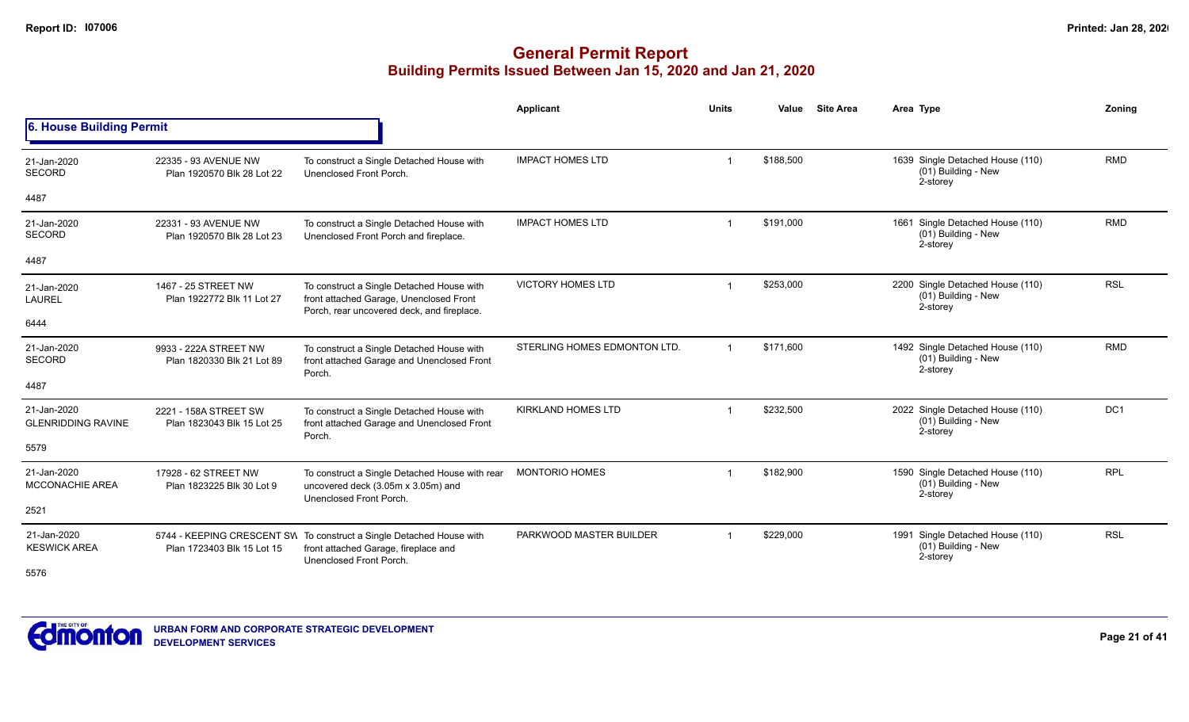|                                          |                                                     |                                                                                                                                         | <b>Applicant</b>             | Units          | Value     | <b>Site Area</b> | Area Type                                                           | Zoning          |
|------------------------------------------|-----------------------------------------------------|-----------------------------------------------------------------------------------------------------------------------------------------|------------------------------|----------------|-----------|------------------|---------------------------------------------------------------------|-----------------|
| 6. House Building Permit                 |                                                     |                                                                                                                                         |                              |                |           |                  |                                                                     |                 |
| 21-Jan-2020<br><b>SECORD</b>             | 22335 - 93 AVENUE NW<br>Plan 1920570 Blk 28 Lot 22  | To construct a Single Detached House with<br>Unenclosed Front Porch.                                                                    | <b>IMPACT HOMES LTD</b>      |                | \$188,500 |                  | 1639 Single Detached House (110)<br>(01) Building - New<br>2-storey | <b>RMD</b>      |
| 4487                                     |                                                     |                                                                                                                                         |                              |                |           |                  |                                                                     |                 |
| 21-Jan-2020<br><b>SECORD</b>             | 22331 - 93 AVENUE NW<br>Plan 1920570 Blk 28 Lot 23  | To construct a Single Detached House with<br>Unenclosed Front Porch and fireplace.                                                      | <b>IMPACT HOMES LTD</b>      |                | \$191,000 |                  | 1661 Single Detached House (110)<br>(01) Building - New<br>2-storey | <b>RMD</b>      |
| 4487                                     |                                                     |                                                                                                                                         |                              |                |           |                  |                                                                     |                 |
| 21-Jan-2020<br><b>LAUREL</b>             | 1467 - 25 STREET NW<br>Plan 1922772 Blk 11 Lot 27   | To construct a Single Detached House with<br>front attached Garage, Unenclosed Front<br>Porch, rear uncovered deck, and fireplace.      | <b>VICTORY HOMES LTD</b>     |                | \$253,000 |                  | 2200 Single Detached House (110)<br>(01) Building - New<br>2-storey | <b>RSL</b>      |
| 6444                                     |                                                     |                                                                                                                                         |                              |                |           |                  |                                                                     |                 |
| 21-Jan-2020<br><b>SECORD</b>             | 9933 - 222A STREET NW<br>Plan 1820330 Blk 21 Lot 89 | To construct a Single Detached House with<br>front attached Garage and Unenclosed Front<br>Porch.                                       | STERLING HOMES EDMONTON LTD. | -1             | \$171.600 |                  | 1492 Single Detached House (110)<br>(01) Building - New<br>2-storey | <b>RMD</b>      |
| 4487                                     |                                                     |                                                                                                                                         |                              |                |           |                  |                                                                     |                 |
| 21-Jan-2020<br><b>GLENRIDDING RAVINE</b> | 2221 - 158A STREET SW<br>Plan 1823043 Blk 15 Lot 25 | To construct a Single Detached House with<br>front attached Garage and Unenclosed Front<br>Porch.                                       | <b>KIRKLAND HOMES LTD</b>    |                | \$232,500 |                  | 2022 Single Detached House (110)<br>(01) Building - New<br>2-storey | DC <sub>1</sub> |
| 5579                                     |                                                     |                                                                                                                                         |                              |                |           |                  |                                                                     |                 |
| 21-Jan-2020<br><b>MCCONACHIE AREA</b>    | 17928 - 62 STREET NW<br>Plan 1823225 Blk 30 Lot 9   | To construct a Single Detached House with rear<br>uncovered deck (3.05m x 3.05m) and<br>Unenclosed Front Porch.                         | <b>MONTORIO HOMES</b>        |                | \$182,900 |                  | 1590 Single Detached House (110)<br>(01) Building - New<br>2-storey | <b>RPL</b>      |
| 2521                                     |                                                     |                                                                                                                                         |                              |                |           |                  |                                                                     |                 |
| 21-Jan-2020<br><b>KESWICK AREA</b>       | Plan 1723403 Blk 15 Lot 15                          | 5744 - KEEPING CRESCENT SW To construct a Single Detached House with<br>front attached Garage, fireplace and<br>Unenclosed Front Porch. | PARKWOOD MASTER BUILDER      | $\overline{1}$ | \$229,000 |                  | 1991 Single Detached House (110)<br>(01) Building - New<br>2-storey | <b>RSL</b>      |
| 5576                                     |                                                     |                                                                                                                                         |                              |                |           |                  |                                                                     |                 |

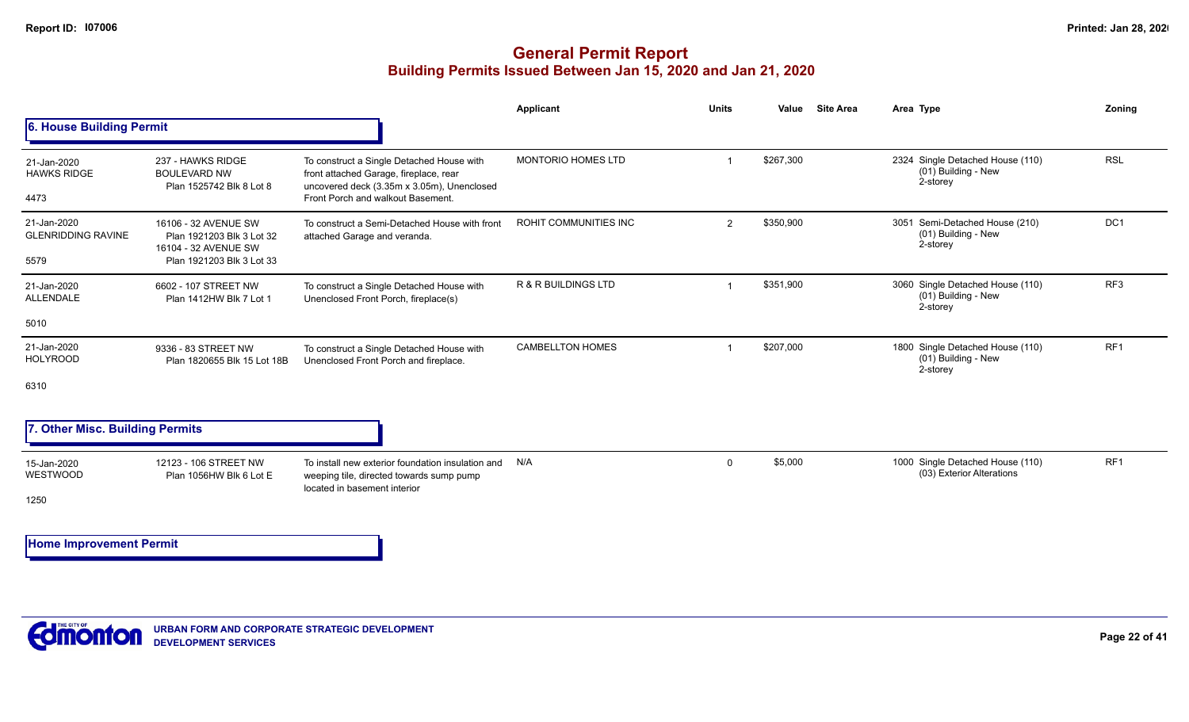## **General Permit Report Building Permits Issued Between Jan 15, 2020 and Jan 21, 2020**

|                                                  |                                                                                                        |                                                                                                                                                                        | Applicant                      | <b>Units</b>   | Value     | <b>Site Area</b> | Area Type                                                           | Zonina          |
|--------------------------------------------------|--------------------------------------------------------------------------------------------------------|------------------------------------------------------------------------------------------------------------------------------------------------------------------------|--------------------------------|----------------|-----------|------------------|---------------------------------------------------------------------|-----------------|
| 6. House Building Permit                         |                                                                                                        |                                                                                                                                                                        |                                |                |           |                  |                                                                     |                 |
| 21-Jan-2020<br><b>HAWKS RIDGE</b><br>4473        | 237 - HAWKS RIDGE<br><b>BOULEVARD NW</b><br>Plan 1525742 Blk 8 Lot 8                                   | To construct a Single Detached House with<br>front attached Garage, fireplace, rear<br>uncovered deck (3.35m x 3.05m), Unenclosed<br>Front Porch and walkout Basement. | <b>MONTORIO HOMES LTD</b>      |                | \$267,300 |                  | 2324 Single Detached House (110)<br>(01) Building - New<br>2-storey | <b>RSL</b>      |
| 21-Jan-2020<br><b>GLENRIDDING RAVINE</b><br>5579 | 16106 - 32 AVENUE SW<br>Plan 1921203 Blk 3 Lot 32<br>16104 - 32 AVENUE SW<br>Plan 1921203 Blk 3 Lot 33 | To construct a Semi-Detached House with front<br>attached Garage and veranda.                                                                                          | <b>ROHIT COMMUNITIES INC</b>   | $\overline{2}$ | \$350,900 |                  | 3051 Semi-Detached House (210)<br>(01) Building - New<br>2-storey   | DC1             |
| 21-Jan-2020<br>ALLENDALE<br>5010                 | 6602 - 107 STREET NW<br>Plan 1412HW Blk 7 Lot 1                                                        | To construct a Single Detached House with<br>Unenclosed Front Porch, fireplace(s)                                                                                      | <b>R &amp; R BUILDINGS LTD</b> |                | \$351,900 |                  | 3060 Single Detached House (110)<br>(01) Building - New<br>2-storey | RF <sub>3</sub> |
| 21-Jan-2020<br><b>HOLYROOD</b><br>6310           | 9336 - 83 STREET NW<br>Plan 1820655 Blk 15 Lot 18B                                                     | To construct a Single Detached House with<br>Unenclosed Front Porch and fireplace.                                                                                     | <b>CAMBELLTON HOMES</b>        |                | \$207,000 |                  | 1800 Single Detached House (110)<br>(01) Building - New<br>2-storey | RF <sub>1</sub> |
| 7. Other Misc. Building Permits                  |                                                                                                        |                                                                                                                                                                        |                                |                |           |                  |                                                                     |                 |
| 15-Jan-2020<br>WESTWOOD<br>1250                  | 12123 - 106 STREET NW<br>Plan 1056HW Blk 6 Lot E                                                       | To install new exterior foundation insulation and<br>weeping tile, directed towards sump pump<br>located in basement interior                                          | N/A                            | $\Omega$       | \$5,000   |                  | 1000 Single Detached House (110)<br>(03) Exterior Alterations       | RF <sub>1</sub> |

**Home Improvement Permit**

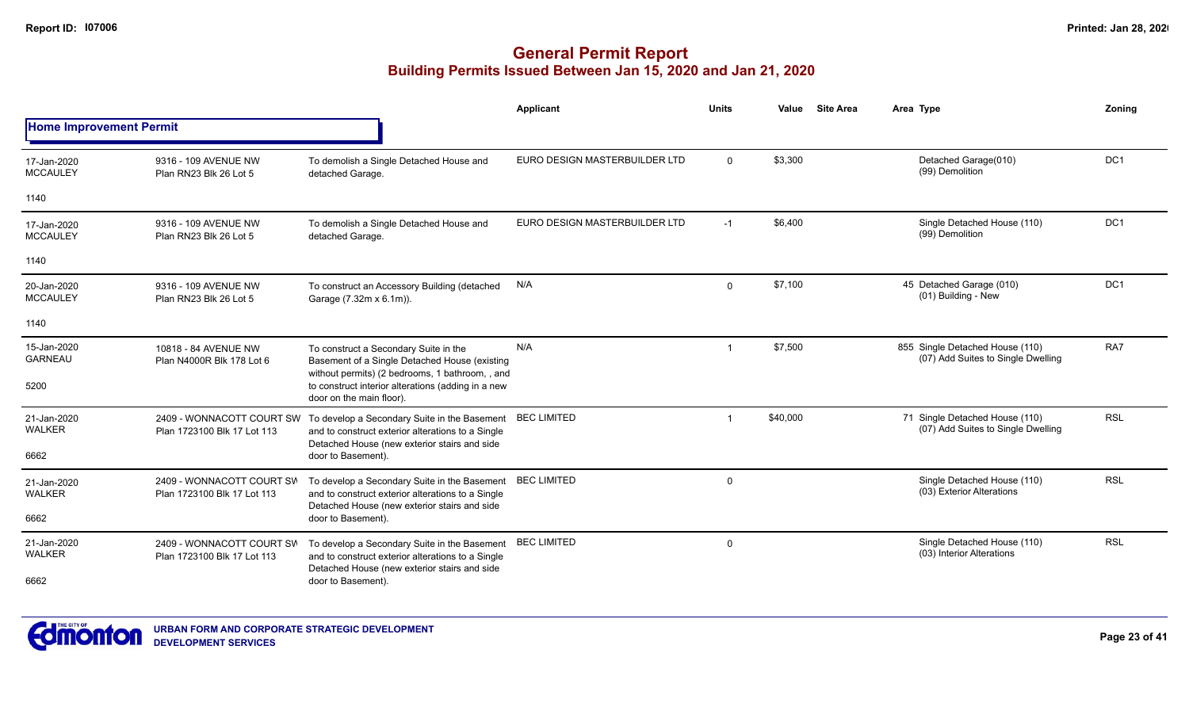|                                |                                                          |                                                                                                                                                   | Applicant                     | Units       | Value    | <b>Site Area</b> | Area Type                                                             | Zoning          |
|--------------------------------|----------------------------------------------------------|---------------------------------------------------------------------------------------------------------------------------------------------------|-------------------------------|-------------|----------|------------------|-----------------------------------------------------------------------|-----------------|
| <b>Home Improvement Permit</b> |                                                          |                                                                                                                                                   |                               |             |          |                  |                                                                       |                 |
| 17-Jan-2020<br><b>MCCAULEY</b> | 9316 - 109 AVENUE NW<br>Plan RN23 Blk 26 Lot 5           | To demolish a Single Detached House and<br>detached Garage.                                                                                       | EURO DESIGN MASTERBUILDER LTD | $\Omega$    | \$3,300  |                  | Detached Garage(010)<br>(99) Demolition                               | DC1             |
| 1140                           |                                                          |                                                                                                                                                   |                               |             |          |                  |                                                                       |                 |
| 17-Jan-2020<br><b>MCCAULEY</b> | 9316 - 109 AVENUE NW<br>Plan RN23 Blk 26 Lot 5           | To demolish a Single Detached House and<br>detached Garage.                                                                                       | EURO DESIGN MASTERBUILDER LTD | $-1$        | \$6,400  |                  | Single Detached House (110)<br>(99) Demolition                        | DC <sub>1</sub> |
| 1140                           |                                                          |                                                                                                                                                   |                               |             |          |                  |                                                                       |                 |
| 20-Jan-2020<br><b>MCCAULEY</b> | 9316 - 109 AVENUE NW<br>Plan RN23 Blk 26 Lot 5           | To construct an Accessory Building (detached<br>Garage (7.32m x 6.1m)).                                                                           | N/A                           | $\Omega$    | \$7,100  |                  | 45 Detached Garage (010)<br>(01) Building - New                       | DC <sub>1</sub> |
| 1140                           |                                                          |                                                                                                                                                   |                               |             |          |                  |                                                                       |                 |
| 15-Jan-2020<br><b>GARNEAU</b>  | 10818 - 84 AVENUE NW<br>Plan N4000R Blk 178 Lot 6        | To construct a Secondary Suite in the<br>Basement of a Single Detached House (existing<br>without permits) (2 bedrooms, 1 bathroom, , and         | N/A                           | $\mathbf 1$ | \$7,500  |                  | 855 Single Detached House (110)<br>(07) Add Suites to Single Dwelling | RA7             |
| 5200                           |                                                          | to construct interior alterations (adding in a new<br>door on the main floor).                                                                    |                               |             |          |                  |                                                                       |                 |
| 21-Jan-2020<br><b>WALKER</b>   | 2409 - WONNACOTT COURT SW<br>Plan 1723100 Blk 17 Lot 113 | To develop a Secondary Suite in the Basement<br>and to construct exterior alterations to a Single<br>Detached House (new exterior stairs and side | <b>BEC LIMITED</b>            | $\mathbf 1$ | \$40,000 |                  | 71 Single Detached House (110)<br>(07) Add Suites to Single Dwelling  | <b>RSL</b>      |
| 6662                           |                                                          | door to Basement).                                                                                                                                |                               |             |          |                  |                                                                       |                 |
| 21-Jan-2020<br><b>WALKER</b>   | 2409 - WONNACOTT COURT SW<br>Plan 1723100 Blk 17 Lot 113 | To develop a Secondary Suite in the Basement<br>and to construct exterior alterations to a Single<br>Detached House (new exterior stairs and side | <b>BEC LIMITED</b>            | $\Omega$    |          |                  | Single Detached House (110)<br>(03) Exterior Alterations              | <b>RSL</b>      |
| 6662                           |                                                          | door to Basement).                                                                                                                                |                               |             |          |                  |                                                                       |                 |
| 21-Jan-2020<br>WALKER          | 2409 - WONNACOTT COURT SW<br>Plan 1723100 Blk 17 Lot 113 | To develop a Secondary Suite in the Basement<br>and to construct exterior alterations to a Single<br>Detached House (new exterior stairs and side | <b>BEC LIMITED</b>            | $\mathbf 0$ |          |                  | Single Detached House (110)<br>(03) Interior Alterations              | <b>RSL</b>      |
| 6662                           |                                                          | door to Basement).                                                                                                                                |                               |             |          |                  |                                                                       |                 |

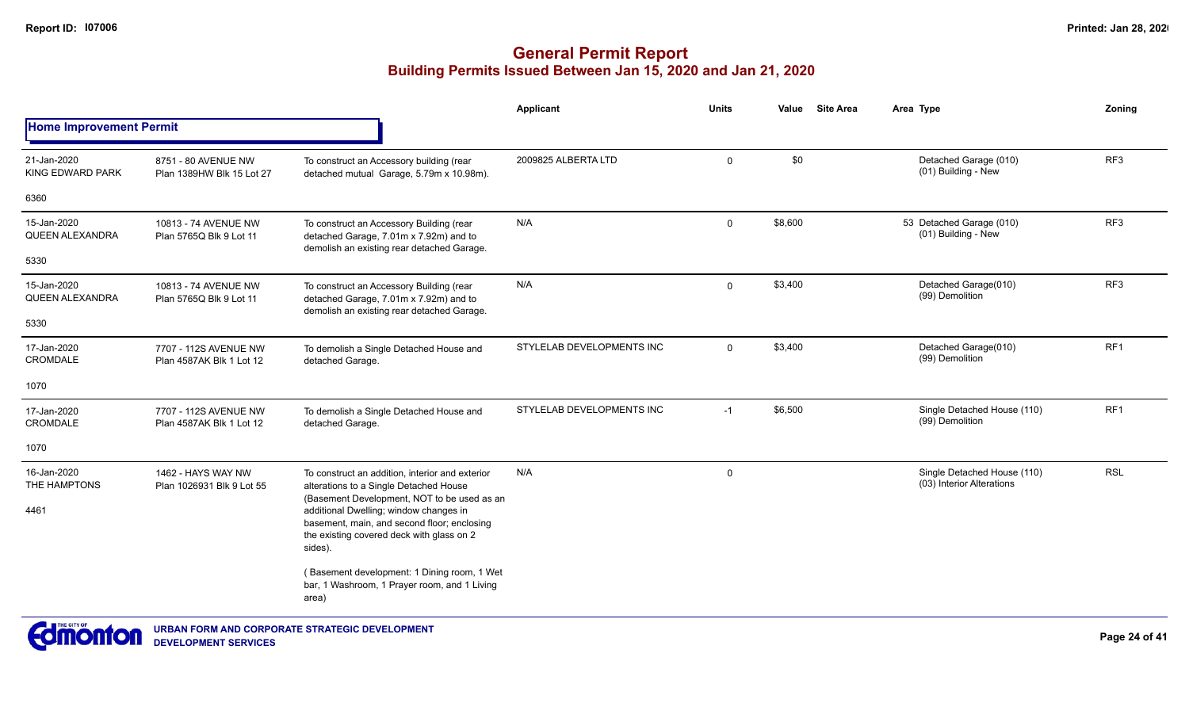# **General Permit Report Building Permits Issued Between Jan 15, 2020 and Jan 21, 2020**

|                                           |                                                   |                                                                                                                                                                                              | <b>Applicant</b>          | <b>Units</b> | Value   | <b>Site Area</b> | Area Type                                                | Zonina          |
|-------------------------------------------|---------------------------------------------------|----------------------------------------------------------------------------------------------------------------------------------------------------------------------------------------------|---------------------------|--------------|---------|------------------|----------------------------------------------------------|-----------------|
| <b>Home Improvement Permit</b>            |                                                   |                                                                                                                                                                                              |                           |              |         |                  |                                                          |                 |
| 21-Jan-2020<br>KING EDWARD PARK           | 8751 - 80 AVENUE NW<br>Plan 1389HW Blk 15 Lot 27  | To construct an Accessory building (rear<br>detached mutual Garage, 5.79m x 10.98m).                                                                                                         | 2009825 ALBERTA LTD       | $\mathbf 0$  | \$0     |                  | Detached Garage (010)<br>(01) Building - New             | RF3             |
| 6360                                      |                                                   |                                                                                                                                                                                              |                           |              |         |                  |                                                          |                 |
| 15-Jan-2020<br><b>QUEEN ALEXANDRA</b>     | 10813 - 74 AVENUE NW<br>Plan 5765Q Blk 9 Lot 11   | To construct an Accessory Building (rear<br>detached Garage, 7.01m x 7.92m) and to<br>demolish an existing rear detached Garage.                                                             | N/A                       | $\mathbf 0$  | \$8,600 |                  | 53 Detached Garage (010)<br>(01) Building - New          | RF <sub>3</sub> |
| 5330                                      |                                                   |                                                                                                                                                                                              |                           |              |         |                  |                                                          |                 |
| 15-Jan-2020<br><b>QUEEN ALEXANDRA</b>     | 10813 - 74 AVENUE NW<br>Plan 5765Q Blk 9 Lot 11   | To construct an Accessory Building (rear<br>detached Garage, 7.01m x 7.92m) and to<br>demolish an existing rear detached Garage.                                                             | N/A                       | 0            | \$3,400 |                  | Detached Garage(010)<br>(99) Demolition                  | RF3             |
| 5330                                      |                                                   |                                                                                                                                                                                              |                           |              |         |                  |                                                          |                 |
| 17-Jan-2020<br>CROMDALE                   | 7707 - 112S AVENUE NW<br>Plan 4587AK Blk 1 Lot 12 | To demolish a Single Detached House and<br>detached Garage.                                                                                                                                  | STYLELAB DEVELOPMENTS INC | $\mathbf 0$  | \$3,400 |                  | Detached Garage(010)<br>(99) Demolition                  | RF1             |
| 1070                                      |                                                   |                                                                                                                                                                                              |                           |              |         |                  |                                                          |                 |
| 17-Jan-2020<br>CROMDALE                   | 7707 - 112S AVENUE NW<br>Plan 4587AK Blk 1 Lot 12 | To demolish a Single Detached House and<br>detached Garage.                                                                                                                                  | STYLELAB DEVELOPMENTS INC | $-1$         | \$6,500 |                  | Single Detached House (110)<br>(99) Demolition           | RF <sub>1</sub> |
| 1070                                      |                                                   |                                                                                                                                                                                              |                           |              |         |                  |                                                          |                 |
| 16-Jan-2020<br>THE HAMPTONS               | 1462 - HAYS WAY NW<br>Plan 1026931 Blk 9 Lot 55   | To construct an addition, interior and exterior<br>alterations to a Single Detached House                                                                                                    | N/A                       | 0            |         |                  | Single Detached House (110)<br>(03) Interior Alterations | <b>RSL</b>      |
| 4461                                      |                                                   | (Basement Development, NOT to be used as an<br>additional Dwelling; window changes in<br>basement, main, and second floor; enclosing<br>the existing covered deck with glass on 2<br>sides). |                           |              |         |                  |                                                          |                 |
|                                           |                                                   | (Basement development: 1 Dining room, 1 Wet<br>bar, 1 Washroom, 1 Prayer room, and 1 Living<br>area)                                                                                         |                           |              |         |                  |                                                          |                 |
| $\blacksquare$ THE CITY OF $\blacksquare$ |                                                   |                                                                                                                                                                                              |                           |              |         |                  |                                                          |                 |



**Page 24 of 41**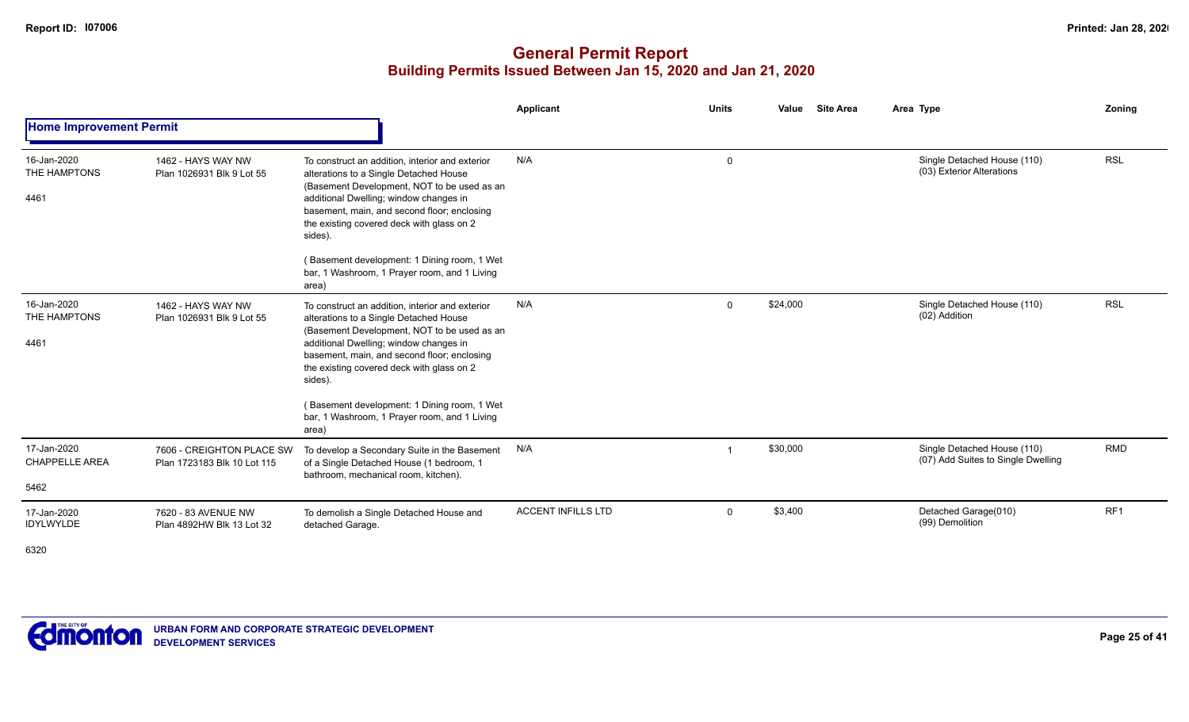|                                      |                                                          |                                                                                                                                                                                                                                                                                                                                          | <b>Applicant</b>          | <b>Units</b> | Value    | <b>Site Area</b> | Area Type                                                         | Zoning          |
|--------------------------------------|----------------------------------------------------------|------------------------------------------------------------------------------------------------------------------------------------------------------------------------------------------------------------------------------------------------------------------------------------------------------------------------------------------|---------------------------|--------------|----------|------------------|-------------------------------------------------------------------|-----------------|
| <b>Home Improvement Permit</b>       |                                                          |                                                                                                                                                                                                                                                                                                                                          |                           |              |          |                  |                                                                   |                 |
| 16-Jan-2020<br>THE HAMPTONS<br>4461  | 1462 - HAYS WAY NW<br>Plan 1026931 Blk 9 Lot 55          | To construct an addition, interior and exterior<br>alterations to a Single Detached House<br>(Basement Development, NOT to be used as an<br>additional Dwelling; window changes in<br>basement, main, and second floor; enclosing<br>the existing covered deck with glass on 2<br>sides).<br>(Basement development: 1 Dining room, 1 Wet | N/A                       | $\mathbf 0$  |          |                  | Single Detached House (110)<br>(03) Exterior Alterations          | <b>RSL</b>      |
|                                      |                                                          | bar, 1 Washroom, 1 Prayer room, and 1 Living<br>area)                                                                                                                                                                                                                                                                                    |                           |              |          |                  |                                                                   |                 |
| 16-Jan-2020<br>THE HAMPTONS<br>4461  | 1462 - HAYS WAY NW<br>Plan 1026931 Blk 9 Lot 55          | To construct an addition, interior and exterior<br>alterations to a Single Detached House<br>(Basement Development, NOT to be used as an<br>additional Dwelling; window changes in<br>basement, main, and second floor; enclosing<br>the existing covered deck with glass on 2<br>sides).                                                | N/A                       | $\mathbf 0$  | \$24,000 |                  | Single Detached House (110)<br>(02) Addition                      | <b>RSL</b>      |
|                                      |                                                          | (Basement development: 1 Dining room, 1 Wet<br>bar, 1 Washroom, 1 Prayer room, and 1 Living<br>area)                                                                                                                                                                                                                                     |                           |              |          |                  |                                                                   |                 |
| 17-Jan-2020<br><b>CHAPPELLE AREA</b> | 7606 - CREIGHTON PLACE SW<br>Plan 1723183 Blk 10 Lot 115 | To develop a Secondary Suite in the Basement<br>of a Single Detached House (1 bedroom, 1<br>bathroom, mechanical room, kitchen).                                                                                                                                                                                                         | N/A                       |              | \$30,000 |                  | Single Detached House (110)<br>(07) Add Suites to Single Dwelling | <b>RMD</b>      |
| 5462                                 |                                                          |                                                                                                                                                                                                                                                                                                                                          |                           |              |          |                  |                                                                   |                 |
| 17-Jan-2020<br>IDYLWYLDE             | 7620 - 83 AVENUE NW<br>Plan 4892HW Blk 13 Lot 32         | To demolish a Single Detached House and<br>detached Garage.                                                                                                                                                                                                                                                                              | <b>ACCENT INFILLS LTD</b> | $\mathbf 0$  | \$3,400  |                  | Detached Garage(010)<br>(99) Demolition                           | RF <sub>1</sub> |
| 6320                                 |                                                          |                                                                                                                                                                                                                                                                                                                                          |                           |              |          |                  |                                                                   |                 |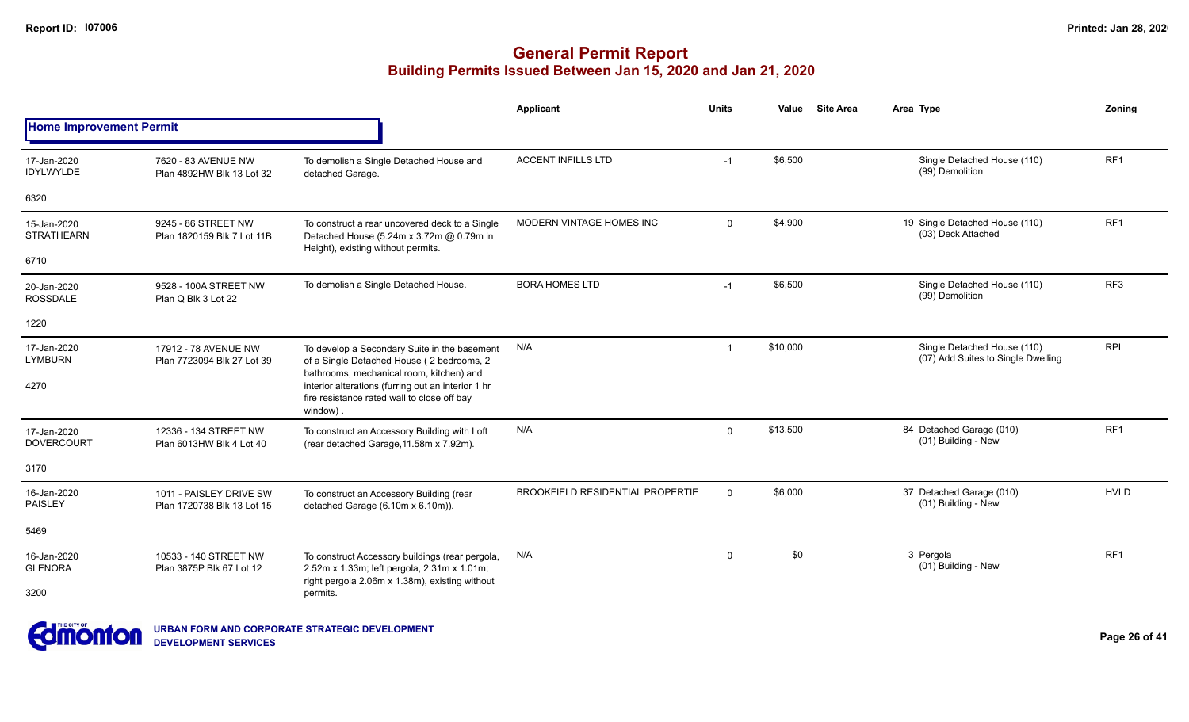# **General Permit Report Building Permits Issued Between Jan 15, 2020 and Jan 21, 2020**

|                                           |                                                       |                                                                                                                                                  | <b>Applicant</b>                 | <b>Units</b> | Value    | <b>Site Area</b> | Area Type                                                         | Zoning          |
|-------------------------------------------|-------------------------------------------------------|--------------------------------------------------------------------------------------------------------------------------------------------------|----------------------------------|--------------|----------|------------------|-------------------------------------------------------------------|-----------------|
| <b>Home Improvement Permit</b>            |                                                       |                                                                                                                                                  |                                  |              |          |                  |                                                                   |                 |
| 17-Jan-2020<br><b>IDYLWYLDE</b>           | 7620 - 83 AVENUE NW<br>Plan 4892HW Blk 13 Lot 32      | To demolish a Single Detached House and<br>detached Garage.                                                                                      | <b>ACCENT INFILLS LTD</b>        | $-1$         | \$6,500  |                  | Single Detached House (110)<br>(99) Demolition                    | RF <sub>1</sub> |
| 6320                                      |                                                       |                                                                                                                                                  |                                  |              |          |                  |                                                                   |                 |
| 15-Jan-2020<br><b>STRATHEARN</b>          | 9245 - 86 STREET NW<br>Plan 1820159 Blk 7 Lot 11B     | To construct a rear uncovered deck to a Single<br>Detached House (5.24m x 3.72m @ 0.79m in<br>Height), existing without permits.                 | MODERN VINTAGE HOMES INC         | $\mathbf{0}$ | \$4,900  |                  | 19 Single Detached House (110)<br>(03) Deck Attached              | RF <sub>1</sub> |
| 6710                                      |                                                       |                                                                                                                                                  |                                  |              |          |                  |                                                                   |                 |
| 20-Jan-2020<br><b>ROSSDALE</b>            | 9528 - 100A STREET NW<br>Plan Q Blk 3 Lot 22          | To demolish a Single Detached House.                                                                                                             | <b>BORA HOMES LTD</b>            | $-1$         | \$6,500  |                  | Single Detached House (110)<br>(99) Demolition                    | RF <sub>3</sub> |
| 1220                                      |                                                       |                                                                                                                                                  |                                  |              |          |                  |                                                                   |                 |
| 17-Jan-2020<br><b>LYMBURN</b>             | 17912 - 78 AVENUE NW<br>Plan 7723094 Blk 27 Lot 39    | To develop a Secondary Suite in the basement<br>of a Single Detached House (2 bedrooms, 2<br>bathrooms, mechanical room, kitchen) and            | N/A                              | $\mathbf{1}$ | \$10,000 |                  | Single Detached House (110)<br>(07) Add Suites to Single Dwelling | <b>RPL</b>      |
| 4270                                      |                                                       | interior alterations (furring out an interior 1 hr<br>fire resistance rated wall to close off bay<br>window)                                     |                                  |              |          |                  |                                                                   |                 |
| 17-Jan-2020<br><b>DOVERCOURT</b>          | 12336 - 134 STREET NW<br>Plan 6013HW Blk 4 Lot 40     | To construct an Accessory Building with Loft<br>(rear detached Garage, 11.58m x 7.92m).                                                          | N/A                              | $\mathbf 0$  | \$13,500 |                  | 84 Detached Garage (010)<br>(01) Building - New                   | RF <sub>1</sub> |
| 3170                                      |                                                       |                                                                                                                                                  |                                  |              |          |                  |                                                                   |                 |
| 16-Jan-2020<br><b>PAISLEY</b>             | 1011 - PAISLEY DRIVE SW<br>Plan 1720738 Blk 13 Lot 15 | To construct an Accessory Building (rear<br>detached Garage (6.10m x 6.10m)).                                                                    | BROOKFIELD RESIDENTIAL PROPERTIE | $\Omega$     | \$6,000  |                  | 37 Detached Garage (010)<br>(01) Building - New                   | <b>HVLD</b>     |
| 5469                                      |                                                       |                                                                                                                                                  |                                  |              |          |                  |                                                                   |                 |
| 16-Jan-2020<br><b>GLENORA</b>             | 10533 - 140 STREET NW<br>Plan 3875P Blk 67 Lot 12     | To construct Accessory buildings (rear pergola,<br>2.52m x 1.33m; left pergola, 2.31m x 1.01m;<br>right pergola 2.06m x 1.38m), existing without | N/A                              | $\mathbf 0$  | \$0      |                  | 3 Pergola<br>(01) Building - New                                  | RF <sub>1</sub> |
| 3200                                      |                                                       | permits.                                                                                                                                         |                                  |              |          |                  |                                                                   |                 |
| $\blacksquare$ THE CITY OF $\blacksquare$ |                                                       |                                                                                                                                                  |                                  |              |          |                  |                                                                   |                 |



**Page 26 of 41**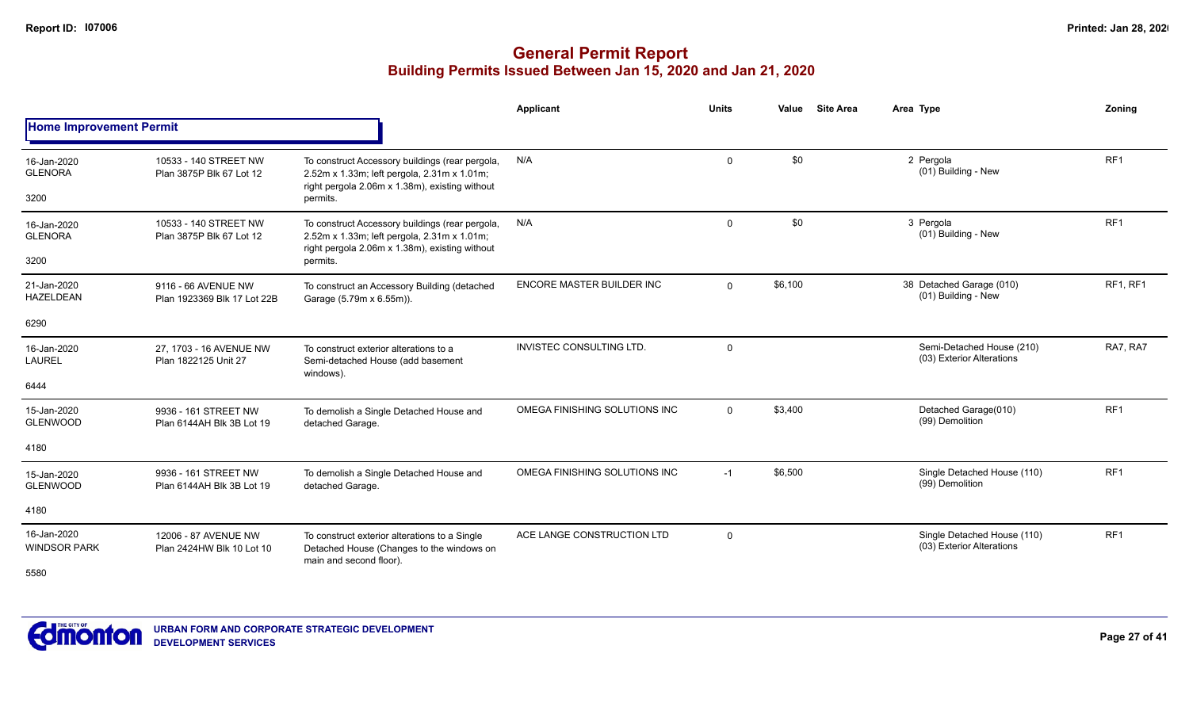|                                    |                                                    |                                                                                                                                                  | Applicant                       | <b>Units</b> | <b>Site Area</b><br>Value | Area Type                                                | Zoning          |
|------------------------------------|----------------------------------------------------|--------------------------------------------------------------------------------------------------------------------------------------------------|---------------------------------|--------------|---------------------------|----------------------------------------------------------|-----------------|
| <b>Home Improvement Permit</b>     |                                                    |                                                                                                                                                  |                                 |              |                           |                                                          |                 |
| 16-Jan-2020<br><b>GLENORA</b>      | 10533 - 140 STREET NW<br>Plan 3875P Blk 67 Lot 12  | To construct Accessory buildings (rear pergola,<br>2.52m x 1.33m; left pergola, 2.31m x 1.01m;<br>right pergola 2.06m x 1.38m), existing without | N/A                             | $\mathbf{0}$ | \$0                       | 2 Pergola<br>(01) Building - New                         | RF <sub>1</sub> |
| 3200                               |                                                    | permits.                                                                                                                                         |                                 |              |                           |                                                          |                 |
| 16-Jan-2020<br><b>GLENORA</b>      | 10533 - 140 STREET NW<br>Plan 3875P Blk 67 Lot 12  | To construct Accessory buildings (rear pergola,<br>2.52m x 1.33m; left pergola, 2.31m x 1.01m;<br>right pergola 2.06m x 1.38m), existing without | N/A                             | $\mathbf{0}$ | \$0                       | 3 Pergola<br>(01) Building - New                         | RF <sub>1</sub> |
| 3200                               |                                                    | permits.                                                                                                                                         |                                 |              |                           |                                                          |                 |
| 21-Jan-2020<br><b>HAZELDEAN</b>    | 9116 - 66 AVENUE NW<br>Plan 1923369 Blk 17 Lot 22B | To construct an Accessory Building (detached<br>Garage (5.79m x 6.55m)).                                                                         | ENCORE MASTER BUILDER INC       | $\Omega$     | \$6,100                   | 38 Detached Garage (010)<br>(01) Building - New          | RF1, RF1        |
| 6290                               |                                                    |                                                                                                                                                  |                                 |              |                           |                                                          |                 |
| 16-Jan-2020<br>LAUREL              | 27, 1703 - 16 AVENUE NW<br>Plan 1822125 Unit 27    | To construct exterior alterations to a<br>Semi-detached House (add basement<br>windows).                                                         | <b>INVISTEC CONSULTING LTD.</b> | 0            |                           | Semi-Detached House (210)<br>(03) Exterior Alterations   | RA7, RA7        |
| 6444                               |                                                    |                                                                                                                                                  |                                 |              |                           |                                                          |                 |
| 15-Jan-2020<br><b>GLENWOOD</b>     | 9936 - 161 STREET NW<br>Plan 6144AH Blk 3B Lot 19  | To demolish a Single Detached House and<br>detached Garage.                                                                                      | OMEGA FINISHING SOLUTIONS INC   | $\Omega$     | \$3,400                   | Detached Garage(010)<br>(99) Demolition                  | RF <sub>1</sub> |
| 4180                               |                                                    |                                                                                                                                                  |                                 |              |                           |                                                          |                 |
| 15-Jan-2020<br><b>GLENWOOD</b>     | 9936 - 161 STREET NW<br>Plan 6144AH Blk 3B Lot 19  | To demolish a Single Detached House and<br>detached Garage.                                                                                      | OMEGA FINISHING SOLUTIONS INC   | $-1$         | \$6,500                   | Single Detached House (110)<br>(99) Demolition           | RF <sub>1</sub> |
| 4180                               |                                                    |                                                                                                                                                  |                                 |              |                           |                                                          |                 |
| 16-Jan-2020<br><b>WINDSOR PARK</b> | 12006 - 87 AVENUE NW<br>Plan 2424HW Blk 10 Lot 10  | To construct exterior alterations to a Single<br>Detached House (Changes to the windows on<br>main and second floor).                            | ACE LANGE CONSTRUCTION LTD      | $\mathbf 0$  |                           | Single Detached House (110)<br>(03) Exterior Alterations | RF <sub>1</sub> |
| 5580                               |                                                    |                                                                                                                                                  |                                 |              |                           |                                                          |                 |

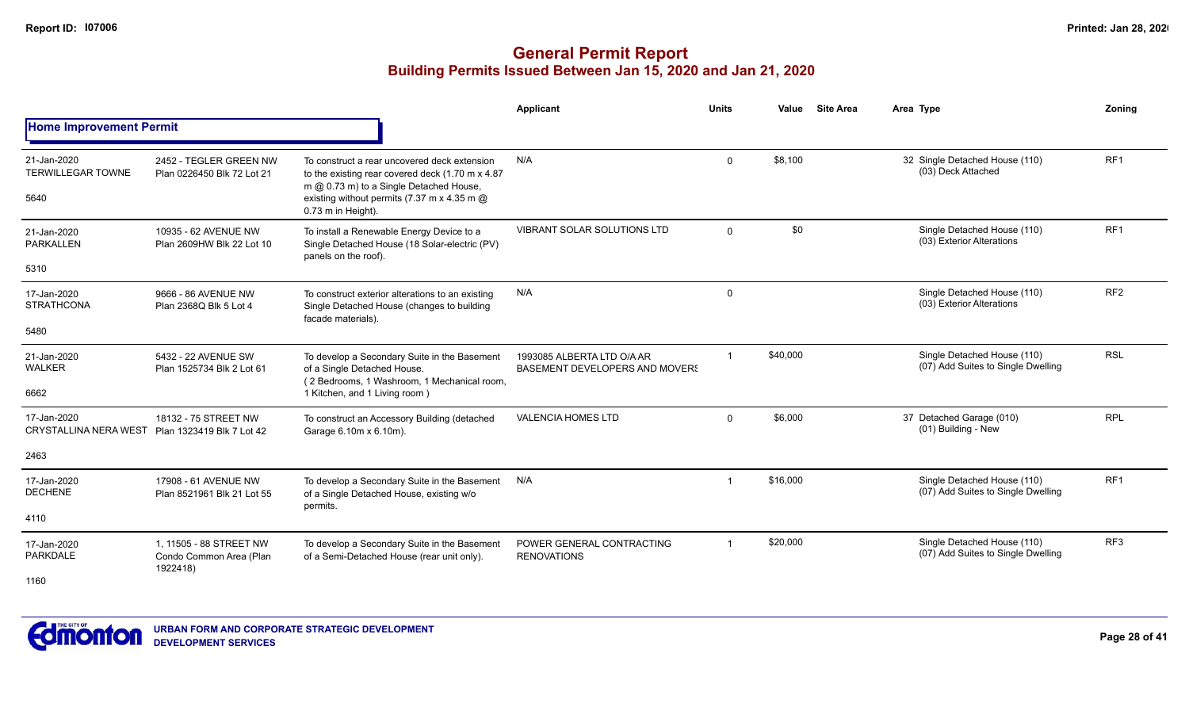|                                                 |                                                      |                                                                                                                                                                                                                   | Applicant                                                    | <b>Units</b>   | Value    | <b>Site Area</b> | Area Type                                                         | Zoning          |
|-------------------------------------------------|------------------------------------------------------|-------------------------------------------------------------------------------------------------------------------------------------------------------------------------------------------------------------------|--------------------------------------------------------------|----------------|----------|------------------|-------------------------------------------------------------------|-----------------|
| <b>Home Improvement Permit</b>                  |                                                      |                                                                                                                                                                                                                   |                                                              |                |          |                  |                                                                   |                 |
| 21-Jan-2020<br><b>TERWILLEGAR TOWNE</b><br>5640 | 2452 - TEGLER GREEN NW<br>Plan 0226450 Blk 72 Lot 21 | To construct a rear uncovered deck extension<br>to the existing rear covered deck (1.70 m x 4.87)<br>m @ 0.73 m) to a Single Detached House,<br>existing without permits (7.37 m x 4.35 m @<br>0.73 m in Height). | N/A                                                          | $\Omega$       | \$8.100  |                  | 32 Single Detached House (110)<br>(03) Deck Attached              | RF <sub>1</sub> |
| 21-Jan-2020<br>PARKALLEN<br>5310                | 10935 - 62 AVENUE NW<br>Plan 2609HW Blk 22 Lot 10    | To install a Renewable Energy Device to a<br>Single Detached House (18 Solar-electric (PV)<br>panels on the roof).                                                                                                | <b>VIBRANT SOLAR SOLUTIONS LTD</b>                           | $\Omega$       | \$0      |                  | Single Detached House (110)<br>(03) Exterior Alterations          | RF1             |
|                                                 |                                                      |                                                                                                                                                                                                                   |                                                              |                |          |                  |                                                                   |                 |
| 17-Jan-2020<br><b>STRATHCONA</b>                | 9666 - 86 AVENUE NW<br>Plan 2368Q Blk 5 Lot 4        | To construct exterior alterations to an existing<br>Single Detached House (changes to building<br>facade materials).                                                                                              | N/A                                                          | $\mathbf 0$    |          |                  | Single Detached House (110)<br>(03) Exterior Alterations          | RF <sub>2</sub> |
| 5480                                            |                                                      |                                                                                                                                                                                                                   |                                                              |                |          |                  |                                                                   |                 |
| 21-Jan-2020<br><b>WALKER</b>                    | 5432 - 22 AVENUE SW<br>Plan 1525734 Blk 2 Lot 61     | To develop a Secondary Suite in the Basement<br>of a Single Detached House.<br>(2 Bedrooms, 1 Washroom, 1 Mechanical room,                                                                                        | 1993085 ALBERTA LTD O/A AR<br>BASEMENT DEVELOPERS AND MOVERS | $\overline{1}$ | \$40,000 |                  | Single Detached House (110)<br>(07) Add Suites to Single Dwelling | <b>RSL</b>      |
| 6662                                            |                                                      | 1 Kitchen, and 1 Living room)                                                                                                                                                                                     |                                                              |                |          |                  |                                                                   |                 |
| 17-Jan-2020<br><b>CRYSTALLINA NERA WEST</b>     | 18132 - 75 STREET NW<br>Plan 1323419 Blk 7 Lot 42    | To construct an Accessory Building (detached<br>Garage 6.10m x 6.10m).                                                                                                                                            | <b>VALENCIA HOMES LTD</b>                                    | $\mathbf{0}$   | \$6,000  |                  | 37 Detached Garage (010)<br>(01) Building - New                   | <b>RPL</b>      |
| 2463                                            |                                                      |                                                                                                                                                                                                                   |                                                              |                |          |                  |                                                                   |                 |
| 17-Jan-2020<br><b>DECHENE</b>                   | 17908 - 61 AVENUE NW<br>Plan 8521961 Blk 21 Lot 55   | To develop a Secondary Suite in the Basement<br>of a Single Detached House, existing w/o                                                                                                                          | N/A                                                          |                | \$16,000 |                  | Single Detached House (110)<br>(07) Add Suites to Single Dwelling | RF <sub>1</sub> |
| 4110                                            |                                                      | permits.                                                                                                                                                                                                          |                                                              |                |          |                  |                                                                   |                 |
| 17-Jan-2020<br>PARKDALE                         | 1. 11505 - 88 STREET NW<br>Condo Common Area (Plan   | To develop a Secondary Suite in the Basement<br>of a Semi-Detached House (rear unit only).                                                                                                                        | POWER GENERAL CONTRACTING<br><b>RENOVATIONS</b>              |                | \$20,000 |                  | Single Detached House (110)<br>(07) Add Suites to Single Dwelling | RF <sub>3</sub> |
| 1160                                            | 1922418)                                             |                                                                                                                                                                                                                   |                                                              |                |          |                  |                                                                   |                 |

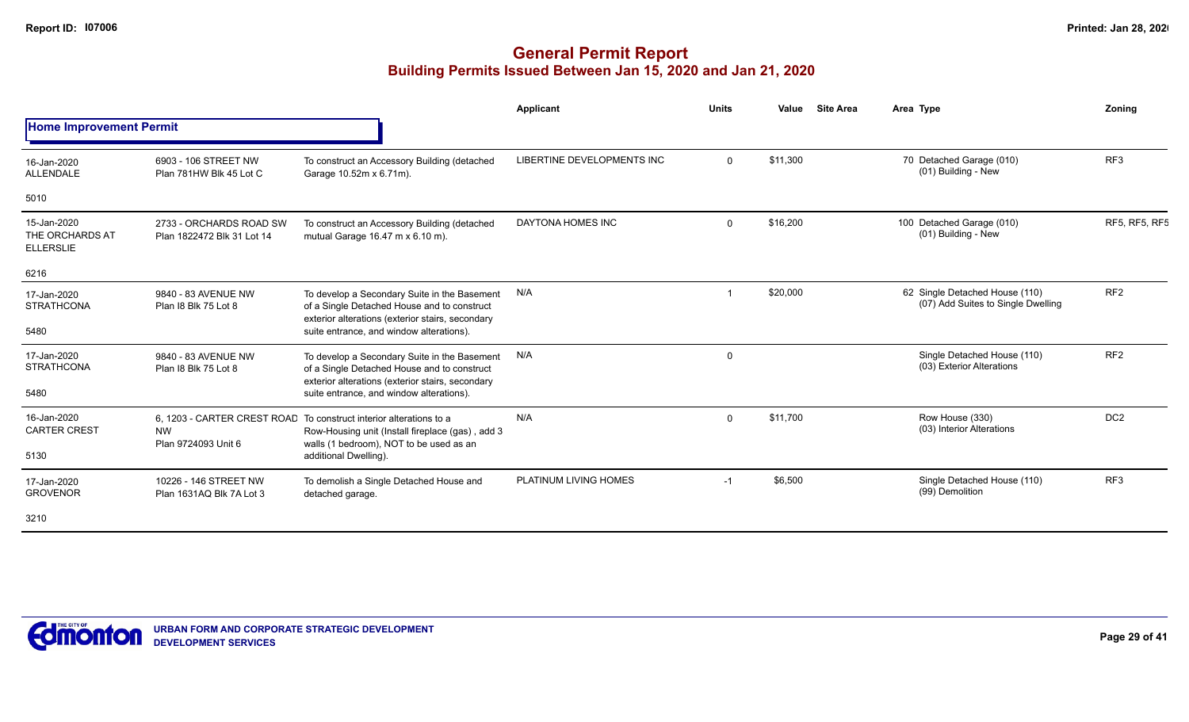|                                                    |                                                       |                                                                                                                                                 | Applicant                  | <b>Units</b> | Value    | <b>Site Area</b> | Area Type                                                            | Zoning               |
|----------------------------------------------------|-------------------------------------------------------|-------------------------------------------------------------------------------------------------------------------------------------------------|----------------------------|--------------|----------|------------------|----------------------------------------------------------------------|----------------------|
| <b>Home Improvement Permit</b>                     |                                                       |                                                                                                                                                 |                            |              |          |                  |                                                                      |                      |
| 16-Jan-2020<br>ALLENDALE                           | 6903 - 106 STREET NW<br>Plan 781HW Blk 45 Lot C       | To construct an Accessory Building (detached<br>Garage 10.52m x 6.71m).                                                                         | LIBERTINE DEVELOPMENTS INC | $\Omega$     | \$11,300 |                  | 70 Detached Garage (010)<br>(01) Building - New                      | RF <sub>3</sub>      |
| 5010                                               |                                                       |                                                                                                                                                 |                            |              |          |                  |                                                                      |                      |
| 15-Jan-2020<br>THE ORCHARDS AT<br><b>ELLERSLIE</b> | 2733 - ORCHARDS ROAD SW<br>Plan 1822472 Blk 31 Lot 14 | To construct an Accessory Building (detached<br>mutual Garage 16.47 m x 6.10 m).                                                                | DAYTONA HOMES INC          | $\Omega$     | \$16,200 |                  | 100 Detached Garage (010)<br>(01) Building - New                     | <b>RF5, RF5, RF5</b> |
| 6216                                               |                                                       |                                                                                                                                                 |                            |              |          |                  |                                                                      |                      |
| 17-Jan-2020<br><b>STRATHCONA</b>                   | 9840 - 83 AVENUE NW<br>Plan I8 Blk 75 Lot 8           | To develop a Secondary Suite in the Basement<br>of a Single Detached House and to construct<br>exterior alterations (exterior stairs, secondary | N/A                        |              | \$20,000 |                  | 62 Single Detached House (110)<br>(07) Add Suites to Single Dwelling | RF <sub>2</sub>      |
| 5480                                               |                                                       | suite entrance, and window alterations).                                                                                                        |                            |              |          |                  |                                                                      |                      |
| 17-Jan-2020<br><b>STRATHCONA</b>                   | 9840 - 83 AVENUE NW<br>Plan 18 Blk 75 Lot 8           | To develop a Secondary Suite in the Basement<br>of a Single Detached House and to construct                                                     | N/A                        | $\Omega$     |          |                  | Single Detached House (110)<br>(03) Exterior Alterations             | RF <sub>2</sub>      |
| 5480                                               |                                                       | exterior alterations (exterior stairs, secondary<br>suite entrance, and window alterations).                                                    |                            |              |          |                  |                                                                      |                      |
| 16-Jan-2020<br><b>CARTER CREST</b>                 | <b>NW</b>                                             | 6, 1203 - CARTER CREST ROAD To construct interior alterations to a<br>Row-Housing unit (Install fireplace (gas), add 3                          | N/A                        | $\Omega$     | \$11,700 |                  | Row House (330)<br>(03) Interior Alterations                         | DC <sub>2</sub>      |
| 5130                                               | Plan 9724093 Unit 6                                   | walls (1 bedroom), NOT to be used as an<br>additional Dwelling).                                                                                |                            |              |          |                  |                                                                      |                      |
| 17-Jan-2020<br><b>GROVENOR</b>                     | 10226 - 146 STREET NW<br>Plan 1631AQ Blk 7A Lot 3     | To demolish a Single Detached House and<br>detached garage.                                                                                     | PLATINUM LIVING HOMES      | $-1$         | \$6,500  |                  | Single Detached House (110)<br>(99) Demolition                       | RF <sub>3</sub>      |
| 3210                                               |                                                       |                                                                                                                                                 |                            |              |          |                  |                                                                      |                      |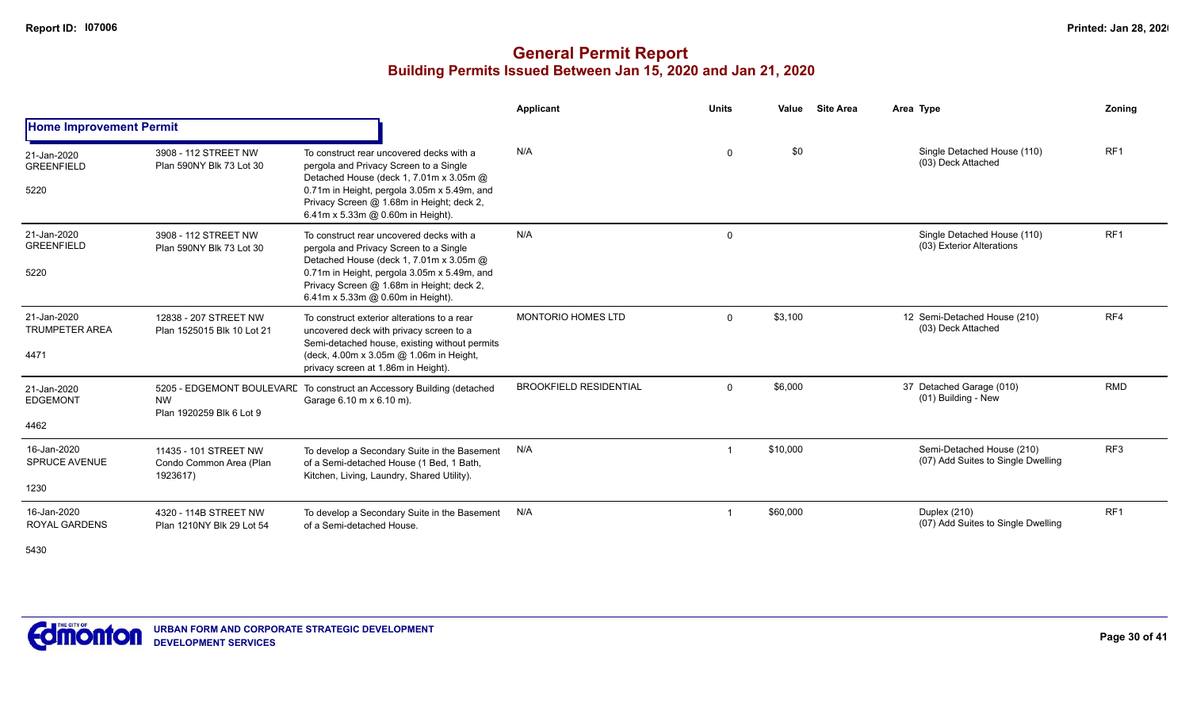## **General Permit Report Building Permits Issued Between Jan 15, 2020 and Jan 21, 2020**

|                                              |                                                              |                                                                                                                                                                                                                                                                | Applicant                     | <b>Units</b> | Value    | <b>Site Area</b> | Area Type                                                       | Zoning          |
|----------------------------------------------|--------------------------------------------------------------|----------------------------------------------------------------------------------------------------------------------------------------------------------------------------------------------------------------------------------------------------------------|-------------------------------|--------------|----------|------------------|-----------------------------------------------------------------|-----------------|
| <b>Home Improvement Permit</b>               |                                                              |                                                                                                                                                                                                                                                                |                               |              |          |                  |                                                                 |                 |
| 21-Jan-2020<br><b>GREENFIELD</b><br>5220     | 3908 - 112 STREET NW<br>Plan 590NY Blk 73 Lot 30             | To construct rear uncovered decks with a<br>pergola and Privacy Screen to a Single<br>Detached House (deck 1, 7.01m x 3.05m @<br>0.71m in Height, pergola 3.05m x 5.49m, and<br>Privacy Screen @ 1.68m in Height; deck 2,<br>6.41m x 5.33m @ 0.60m in Height). | N/A                           | $\mathbf 0$  | \$0      |                  | Single Detached House (110)<br>(03) Deck Attached               | RF <sub>1</sub> |
| 21-Jan-2020<br><b>GREENFIELD</b><br>5220     | 3908 - 112 STREET NW<br>Plan 590NY Blk 73 Lot 30             | To construct rear uncovered decks with a<br>pergola and Privacy Screen to a Single<br>Detached House (deck 1, 7.01m x 3.05m @<br>0.71m in Height, pergola 3.05m x 5.49m, and<br>Privacy Screen @ 1.68m in Height; deck 2,<br>6.41m x 5.33m @ 0.60m in Height). | N/A                           | 0            |          |                  | Single Detached House (110)<br>(03) Exterior Alterations        | RF <sub>1</sub> |
| 21-Jan-2020<br><b>TRUMPETER AREA</b><br>4471 | 12838 - 207 STREET NW<br>Plan 1525015 Blk 10 Lot 21          | To construct exterior alterations to a rear<br>uncovered deck with privacy screen to a<br>Semi-detached house, existing without permits<br>(deck, 4.00m x 3.05m @ 1.06m in Height,<br>privacy screen at 1.86m in Height).                                      | MONTORIO HOMES LTD            | $\Omega$     | \$3,100  |                  | 12 Semi-Detached House (210)<br>(03) Deck Attached              | RF4             |
| 21-Jan-2020<br><b>EDGEMONT</b><br>4462       | <b>NW</b><br>Plan 1920259 Blk 6 Lot 9                        | 5205 - EDGEMONT BOULEVARE To construct an Accessory Building (detached<br>Garage 6.10 m x 6.10 m).                                                                                                                                                             | <b>BROOKFIELD RESIDENTIAL</b> | $\Omega$     | \$6,000  |                  | 37 Detached Garage (010)<br>(01) Building - New                 | <b>RMD</b>      |
| 16-Jan-2020<br><b>SPRUCE AVENUE</b><br>1230  | 11435 - 101 STREET NW<br>Condo Common Area (Plan<br>1923617) | To develop a Secondary Suite in the Basement<br>of a Semi-detached House (1 Bed, 1 Bath,<br>Kitchen, Living, Laundry, Shared Utility).                                                                                                                         | N/A                           |              | \$10,000 |                  | Semi-Detached House (210)<br>(07) Add Suites to Single Dwelling | RF <sub>3</sub> |
| 16-Jan-2020<br><b>ROYAL GARDENS</b>          | 4320 - 114B STREET NW<br>Plan 1210NY Blk 29 Lot 54           | To develop a Secondary Suite in the Basement<br>of a Semi-detached House.                                                                                                                                                                                      | N/A                           |              | \$60,000 |                  | Duplex (210)<br>(07) Add Suites to Single Dwelling              | RF <sub>1</sub> |

5430

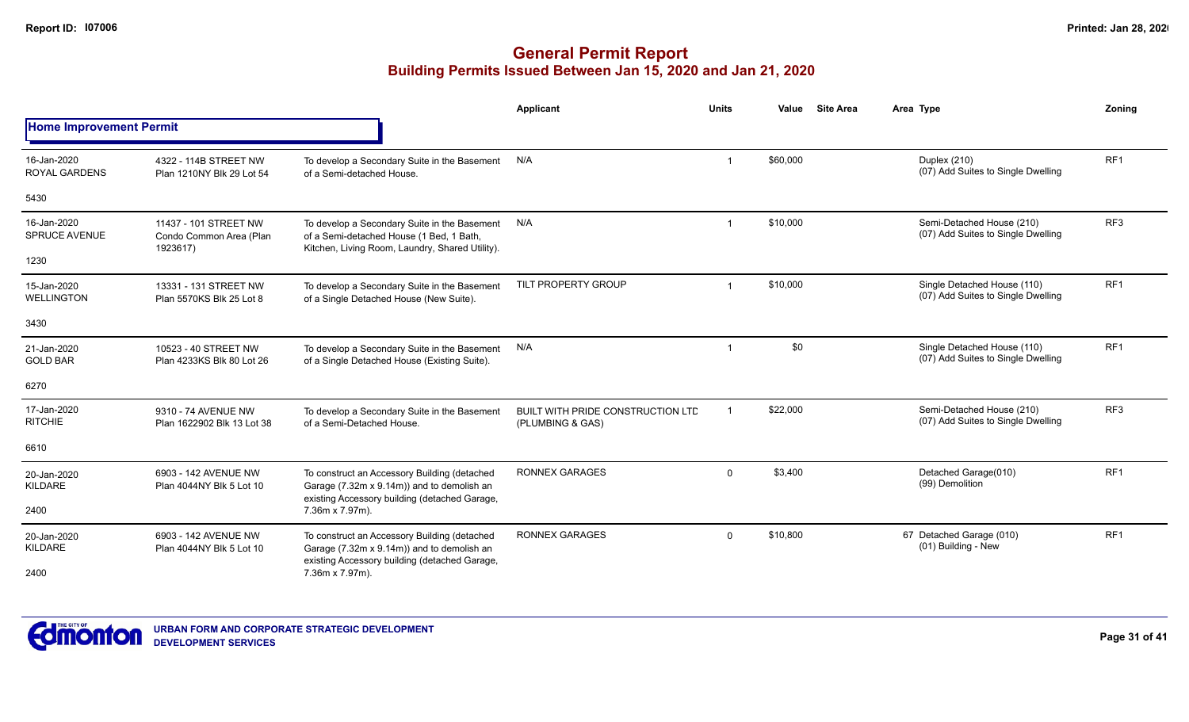|                                     |                                                              |                                                                                                                                             | <b>Applicant</b>                                             | <b>Units</b> | Value    | <b>Site Area</b> | Area Type                                                         | Zoning          |
|-------------------------------------|--------------------------------------------------------------|---------------------------------------------------------------------------------------------------------------------------------------------|--------------------------------------------------------------|--------------|----------|------------------|-------------------------------------------------------------------|-----------------|
| <b>Home Improvement Permit</b>      |                                                              |                                                                                                                                             |                                                              |              |          |                  |                                                                   |                 |
| 16-Jan-2020<br><b>ROYAL GARDENS</b> | 4322 - 114B STREET NW<br>Plan 1210NY Blk 29 Lot 54           | To develop a Secondary Suite in the Basement<br>of a Semi-detached House.                                                                   | N/A                                                          |              | \$60,000 |                  | Duplex (210)<br>(07) Add Suites to Single Dwelling                | RF <sub>1</sub> |
| 5430                                |                                                              |                                                                                                                                             |                                                              |              |          |                  |                                                                   |                 |
| 16-Jan-2020<br><b>SPRUCE AVENUE</b> | 11437 - 101 STREET NW<br>Condo Common Area (Plan<br>1923617) | To develop a Secondary Suite in the Basement<br>of a Semi-detached House (1 Bed, 1 Bath,<br>Kitchen, Living Room, Laundry, Shared Utility). | N/A                                                          | -1           | \$10,000 |                  | Semi-Detached House (210)<br>(07) Add Suites to Single Dwelling   | RF <sub>3</sub> |
| 1230                                |                                                              |                                                                                                                                             |                                                              |              |          |                  |                                                                   |                 |
| 15-Jan-2020<br><b>WELLINGTON</b>    | 13331 - 131 STREET NW<br>Plan 5570KS Blk 25 Lot 8            | To develop a Secondary Suite in the Basement<br>of a Single Detached House (New Suite).                                                     | TILT PROPERTY GROUP                                          |              | \$10,000 |                  | Single Detached House (110)<br>(07) Add Suites to Single Dwelling | RF <sub>1</sub> |
| 3430                                |                                                              |                                                                                                                                             |                                                              |              |          |                  |                                                                   |                 |
| 21-Jan-2020<br><b>GOLD BAR</b>      | 10523 - 40 STREET NW<br>Plan 4233KS Blk 80 Lot 26            | To develop a Secondary Suite in the Basement<br>of a Single Detached House (Existing Suite).                                                | N/A                                                          |              | \$0      |                  | Single Detached House (110)<br>(07) Add Suites to Single Dwelling | RF <sub>1</sub> |
| 6270                                |                                                              |                                                                                                                                             |                                                              |              |          |                  |                                                                   |                 |
| 17-Jan-2020<br><b>RITCHIE</b>       | 9310 - 74 AVENUE NW<br>Plan 1622902 Blk 13 Lot 38            | To develop a Secondary Suite in the Basement<br>of a Semi-Detached House.                                                                   | <b>BUILT WITH PRIDE CONSTRUCTION LTD</b><br>(PLUMBING & GAS) |              | \$22,000 |                  | Semi-Detached House (210)<br>(07) Add Suites to Single Dwelling   | RF <sub>3</sub> |
| 6610                                |                                                              |                                                                                                                                             |                                                              |              |          |                  |                                                                   |                 |
| 20-Jan-2020<br>KILDARE              | 6903 - 142 AVENUE NW<br>Plan 4044NY Blk 5 Lot 10             | To construct an Accessory Building (detached<br>Garage (7.32m x 9.14m)) and to demolish an<br>existing Accessory building (detached Garage, | <b>RONNEX GARAGES</b>                                        | $\Omega$     | \$3,400  |                  | Detached Garage(010)<br>(99) Demolition                           | RF <sub>1</sub> |
| 2400                                |                                                              | 7.36m x 7.97m).                                                                                                                             |                                                              |              |          |                  |                                                                   |                 |
| 20-Jan-2020<br>KILDARE              | 6903 - 142 AVENUE NW<br>Plan 4044NY Blk 5 Lot 10             | To construct an Accessory Building (detached<br>Garage (7.32m x 9.14m)) and to demolish an<br>existing Accessory building (detached Garage, | <b>RONNEX GARAGES</b>                                        | $\Omega$     | \$10,800 |                  | 67 Detached Garage (010)<br>(01) Building - New                   | RF <sub>1</sub> |
| 2400                                |                                                              | 7.36m x 7.97m).                                                                                                                             |                                                              |              |          |                  |                                                                   |                 |

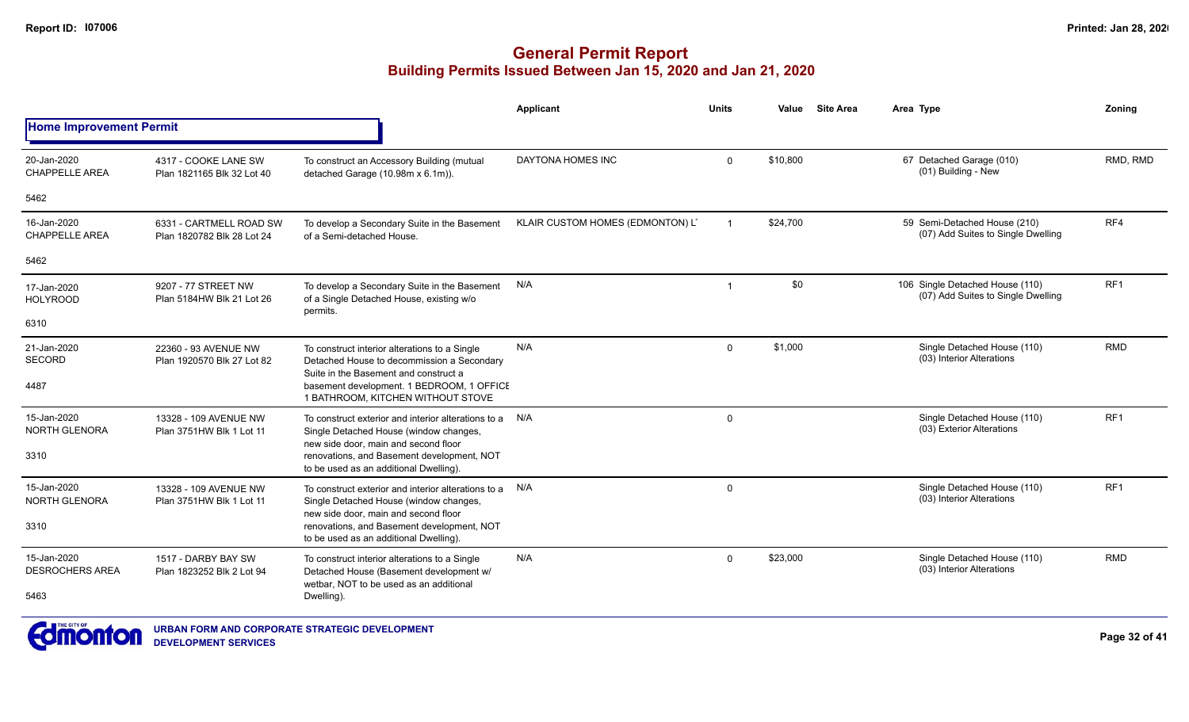|                                       |                                                       |                                                                                                                                                                                                                                                                                                                                                                                                                                                                                                                                                                                                                                                                                                                                                                                                                                                                                                                                                                                                                                                                                                                                                                                                                                                                                                                                                                                                                                                                                                                                                                                                                                                                                                                                                                                                                                                                          | Applicant | <b>Units</b> | Value | <b>Site Area</b> | Area Type | Zoning |
|---------------------------------------|-------------------------------------------------------|--------------------------------------------------------------------------------------------------------------------------------------------------------------------------------------------------------------------------------------------------------------------------------------------------------------------------------------------------------------------------------------------------------------------------------------------------------------------------------------------------------------------------------------------------------------------------------------------------------------------------------------------------------------------------------------------------------------------------------------------------------------------------------------------------------------------------------------------------------------------------------------------------------------------------------------------------------------------------------------------------------------------------------------------------------------------------------------------------------------------------------------------------------------------------------------------------------------------------------------------------------------------------------------------------------------------------------------------------------------------------------------------------------------------------------------------------------------------------------------------------------------------------------------------------------------------------------------------------------------------------------------------------------------------------------------------------------------------------------------------------------------------------------------------------------------------------------------------------------------------------|-----------|--------------|-------|------------------|-----------|--------|
| <b>Home Improvement Permit</b>        |                                                       | <b>DAYTONA HOMES INC</b><br>\$10,800<br>67 Detached Garage (010)<br>RMD, RMD<br>$\mathbf 0$<br>To construct an Accessory Building (mutual<br>(01) Building - New<br>detached Garage (10.98m x 6.1m)).<br>KLAIR CUSTOM HOMES (EDMONTON) L'<br>59 Semi-Detached House (210)<br>RF4<br>\$24,700<br>To develop a Secondary Suite in the Basement<br>$\overline{\mathbf{1}}$<br>(07) Add Suites to Single Dwelling<br>of a Semi-detached House.<br>\$0<br>RF <sub>1</sub><br>106 Single Detached House (110)<br>N/A<br>To develop a Secondary Suite in the Basement<br>-1<br>(07) Add Suites to Single Dwelling<br>of a Single Detached House, existing w/o<br>permits.<br><b>RMD</b><br>N/A<br>\$1,000<br>Single Detached House (110)<br>$\Omega$<br>To construct interior alterations to a Single<br>(03) Interior Alterations<br>Detached House to decommission a Secondary<br>Suite in the Basement and construct a<br>basement development. 1 BEDROOM, 1 OFFICE<br>1 BATHROOM, KITCHEN WITHOUT STOVE<br>Single Detached House (110)<br>RF <sub>1</sub><br>To construct exterior and interior alterations to a N/A<br>$\mathbf 0$<br>(03) Exterior Alterations<br>Single Detached House (window changes,<br>new side door, main and second floor<br>renovations, and Basement development, NOT<br>to be used as an additional Dwelling).<br>RF <sub>1</sub><br>Single Detached House (110)<br>To construct exterior and interior alterations to a N/A<br>0<br>(03) Interior Alterations<br>Single Detached House (window changes,<br>new side door, main and second floor<br>renovations, and Basement development, NOT<br>to be used as an additional Dwelling).<br>N/A<br>\$23,000<br>Single Detached House (110)<br><b>RMD</b><br>$\mathbf 0$<br>To construct interior alterations to a Single<br>(03) Interior Alterations<br>Detached House (Basement development w/ |           |              |       |                  |           |        |
| 20-Jan-2020<br><b>CHAPPELLE AREA</b>  | 4317 - COOKE LANE SW<br>Plan 1821165 Blk 32 Lot 40    |                                                                                                                                                                                                                                                                                                                                                                                                                                                                                                                                                                                                                                                                                                                                                                                                                                                                                                                                                                                                                                                                                                                                                                                                                                                                                                                                                                                                                                                                                                                                                                                                                                                                                                                                                                                                                                                                          |           |              |       |                  |           |        |
| 5462                                  |                                                       |                                                                                                                                                                                                                                                                                                                                                                                                                                                                                                                                                                                                                                                                                                                                                                                                                                                                                                                                                                                                                                                                                                                                                                                                                                                                                                                                                                                                                                                                                                                                                                                                                                                                                                                                                                                                                                                                          |           |              |       |                  |           |        |
| 16-Jan-2020<br><b>CHAPPELLE AREA</b>  | 6331 - CARTMELL ROAD SW<br>Plan 1820782 Blk 28 Lot 24 |                                                                                                                                                                                                                                                                                                                                                                                                                                                                                                                                                                                                                                                                                                                                                                                                                                                                                                                                                                                                                                                                                                                                                                                                                                                                                                                                                                                                                                                                                                                                                                                                                                                                                                                                                                                                                                                                          |           |              |       |                  |           |        |
| 5462                                  |                                                       |                                                                                                                                                                                                                                                                                                                                                                                                                                                                                                                                                                                                                                                                                                                                                                                                                                                                                                                                                                                                                                                                                                                                                                                                                                                                                                                                                                                                                                                                                                                                                                                                                                                                                                                                                                                                                                                                          |           |              |       |                  |           |        |
| 17-Jan-2020<br><b>HOLYROOD</b>        | 9207 - 77 STREET NW<br>Plan 5184HW Blk 21 Lot 26      |                                                                                                                                                                                                                                                                                                                                                                                                                                                                                                                                                                                                                                                                                                                                                                                                                                                                                                                                                                                                                                                                                                                                                                                                                                                                                                                                                                                                                                                                                                                                                                                                                                                                                                                                                                                                                                                                          |           |              |       |                  |           |        |
| 6310                                  |                                                       |                                                                                                                                                                                                                                                                                                                                                                                                                                                                                                                                                                                                                                                                                                                                                                                                                                                                                                                                                                                                                                                                                                                                                                                                                                                                                                                                                                                                                                                                                                                                                                                                                                                                                                                                                                                                                                                                          |           |              |       |                  |           |        |
| 21-Jan-2020<br><b>SECORD</b>          | 22360 - 93 AVENUE NW<br>Plan 1920570 Blk 27 Lot 82    |                                                                                                                                                                                                                                                                                                                                                                                                                                                                                                                                                                                                                                                                                                                                                                                                                                                                                                                                                                                                                                                                                                                                                                                                                                                                                                                                                                                                                                                                                                                                                                                                                                                                                                                                                                                                                                                                          |           |              |       |                  |           |        |
| 4487                                  |                                                       |                                                                                                                                                                                                                                                                                                                                                                                                                                                                                                                                                                                                                                                                                                                                                                                                                                                                                                                                                                                                                                                                                                                                                                                                                                                                                                                                                                                                                                                                                                                                                                                                                                                                                                                                                                                                                                                                          |           |              |       |                  |           |        |
| 15-Jan-2020<br><b>NORTH GLENORA</b>   | 13328 - 109 AVENUE NW<br>Plan 3751HW Blk 1 Lot 11     |                                                                                                                                                                                                                                                                                                                                                                                                                                                                                                                                                                                                                                                                                                                                                                                                                                                                                                                                                                                                                                                                                                                                                                                                                                                                                                                                                                                                                                                                                                                                                                                                                                                                                                                                                                                                                                                                          |           |              |       |                  |           |        |
| 3310                                  |                                                       |                                                                                                                                                                                                                                                                                                                                                                                                                                                                                                                                                                                                                                                                                                                                                                                                                                                                                                                                                                                                                                                                                                                                                                                                                                                                                                                                                                                                                                                                                                                                                                                                                                                                                                                                                                                                                                                                          |           |              |       |                  |           |        |
| 15-Jan-2020<br><b>NORTH GLENORA</b>   | 13328 - 109 AVENUE NW<br>Plan 3751HW Blk 1 Lot 11     |                                                                                                                                                                                                                                                                                                                                                                                                                                                                                                                                                                                                                                                                                                                                                                                                                                                                                                                                                                                                                                                                                                                                                                                                                                                                                                                                                                                                                                                                                                                                                                                                                                                                                                                                                                                                                                                                          |           |              |       |                  |           |        |
| 3310                                  |                                                       |                                                                                                                                                                                                                                                                                                                                                                                                                                                                                                                                                                                                                                                                                                                                                                                                                                                                                                                                                                                                                                                                                                                                                                                                                                                                                                                                                                                                                                                                                                                                                                                                                                                                                                                                                                                                                                                                          |           |              |       |                  |           |        |
| 15-Jan-2020<br><b>DESROCHERS AREA</b> | 1517 - DARBY BAY SW<br>Plan 1823252 Blk 2 Lot 94      |                                                                                                                                                                                                                                                                                                                                                                                                                                                                                                                                                                                                                                                                                                                                                                                                                                                                                                                                                                                                                                                                                                                                                                                                                                                                                                                                                                                                                                                                                                                                                                                                                                                                                                                                                                                                                                                                          |           |              |       |                  |           |        |
| 5463                                  |                                                       | wetbar, NOT to be used as an additional<br>Dwelling).                                                                                                                                                                                                                                                                                                                                                                                                                                                                                                                                                                                                                                                                                                                                                                                                                                                                                                                                                                                                                                                                                                                                                                                                                                                                                                                                                                                                                                                                                                                                                                                                                                                                                                                                                                                                                    |           |              |       |                  |           |        |

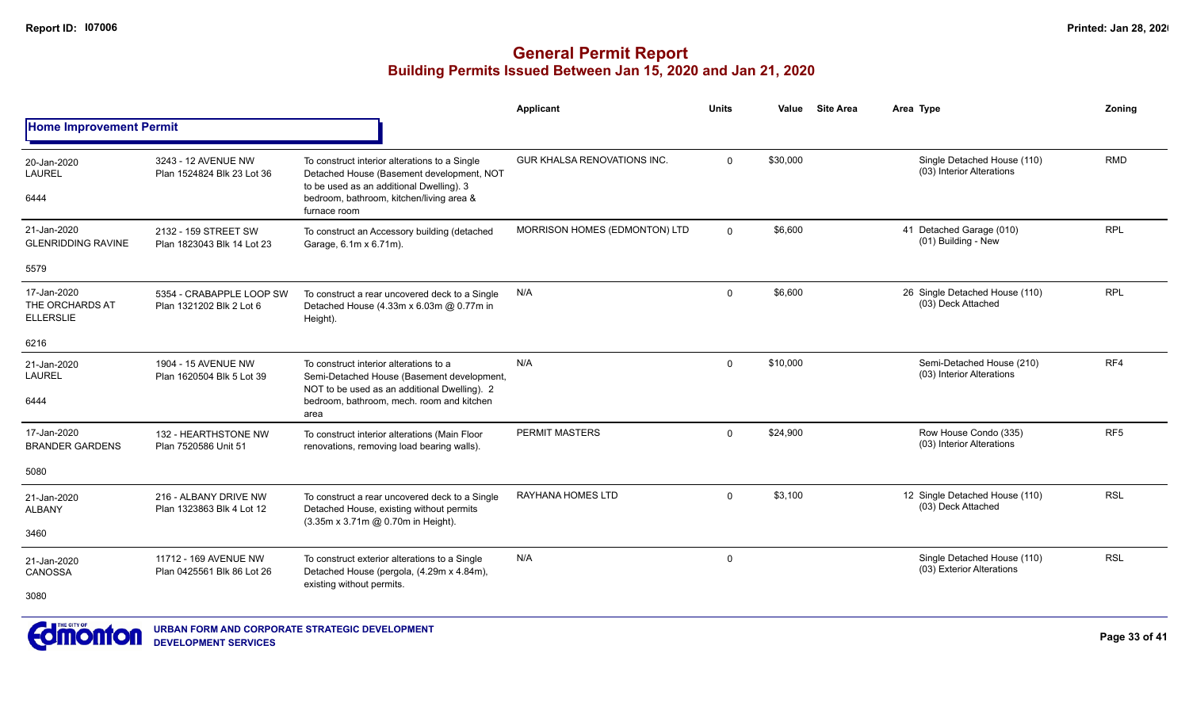|                                                    |                                                      |                                                                                                                                                                                                    | Applicant                          | <b>Units</b> | Value    | <b>Site Area</b> | Area Type                                                | Zoning          |
|----------------------------------------------------|------------------------------------------------------|----------------------------------------------------------------------------------------------------------------------------------------------------------------------------------------------------|------------------------------------|--------------|----------|------------------|----------------------------------------------------------|-----------------|
| <b>Home Improvement Permit</b>                     |                                                      |                                                                                                                                                                                                    |                                    |              |          |                  |                                                          |                 |
| 20-Jan-2020<br>LAUREL<br>6444                      | 3243 - 12 AVENUE NW<br>Plan 1524824 Blk 23 Lot 36    | To construct interior alterations to a Single<br>Detached House (Basement development, NOT<br>to be used as an additional Dwelling). 3<br>bedroom, bathroom, kitchen/living area &<br>furnace room | <b>GUR KHALSA RENOVATIONS INC.</b> | $\mathbf 0$  | \$30,000 |                  | Single Detached House (110)<br>(03) Interior Alterations | <b>RMD</b>      |
| 21-Jan-2020<br><b>GLENRIDDING RAVINE</b>           | 2132 - 159 STREET SW<br>Plan 1823043 Blk 14 Lot 23   | To construct an Accessory building (detached<br>Garage, 6.1m x 6.71m).                                                                                                                             | MORRISON HOMES (EDMONTON) LTD      | $\Omega$     | \$6,600  |                  | 41 Detached Garage (010)<br>(01) Building - New          | <b>RPL</b>      |
| 5579                                               |                                                      |                                                                                                                                                                                                    |                                    |              |          |                  |                                                          |                 |
| 17-Jan-2020<br>THE ORCHARDS AT<br><b>ELLERSLIE</b> | 5354 - CRABAPPLE LOOP SW<br>Plan 1321202 Blk 2 Lot 6 | To construct a rear uncovered deck to a Single<br>Detached House (4.33m x 6.03m @ 0.77m in<br>Height).                                                                                             | N/A                                | $\Omega$     | \$6,600  |                  | 26 Single Detached House (110)<br>(03) Deck Attached     | <b>RPL</b>      |
| 6216                                               |                                                      |                                                                                                                                                                                                    |                                    |              |          |                  |                                                          |                 |
| 21-Jan-2020<br>LAUREL<br>6444                      | 1904 - 15 AVENUE NW<br>Plan 1620504 Blk 5 Lot 39     | To construct interior alterations to a<br>Semi-Detached House (Basement development,<br>NOT to be used as an additional Dwelling). 2<br>bedroom, bathroom, mech, room and kitchen<br>area          | N/A                                | $\Omega$     | \$10,000 |                  | Semi-Detached House (210)<br>(03) Interior Alterations   | RF4             |
| 17-Jan-2020<br><b>BRANDER GARDENS</b>              | 132 - HEARTHSTONE NW<br>Plan 7520586 Unit 51         | To construct interior alterations (Main Floor<br>renovations, removing load bearing walls).                                                                                                        | <b>PERMIT MASTERS</b>              | $\Omega$     | \$24,900 |                  | Row House Condo (335)<br>(03) Interior Alterations       | RF <sub>5</sub> |
| 5080                                               |                                                      |                                                                                                                                                                                                    |                                    |              |          |                  |                                                          |                 |
| 21-Jan-2020<br><b>ALBANY</b>                       | 216 - ALBANY DRIVE NW<br>Plan 1323863 Blk 4 Lot 12   | To construct a rear uncovered deck to a Single<br>Detached House, existing without permits<br>(3.35m x 3.71m @ 0.70m in Height).                                                                   | RAYHANA HOMES LTD                  | $\Omega$     | \$3,100  |                  | 12 Single Detached House (110)<br>(03) Deck Attached     | <b>RSL</b>      |
| 3460                                               |                                                      |                                                                                                                                                                                                    |                                    |              |          |                  |                                                          |                 |
| 21-Jan-2020<br>CANOSSA                             | 11712 - 169 AVENUE NW<br>Plan 0425561 Blk 86 Lot 26  | To construct exterior alterations to a Single<br>Detached House (pergola, (4.29m x 4.84m),<br>existing without permits.                                                                            | N/A                                | $\mathbf 0$  |          |                  | Single Detached House (110)<br>(03) Exterior Alterations | <b>RSL</b>      |
| 3080                                               |                                                      |                                                                                                                                                                                                    |                                    |              |          |                  |                                                          |                 |

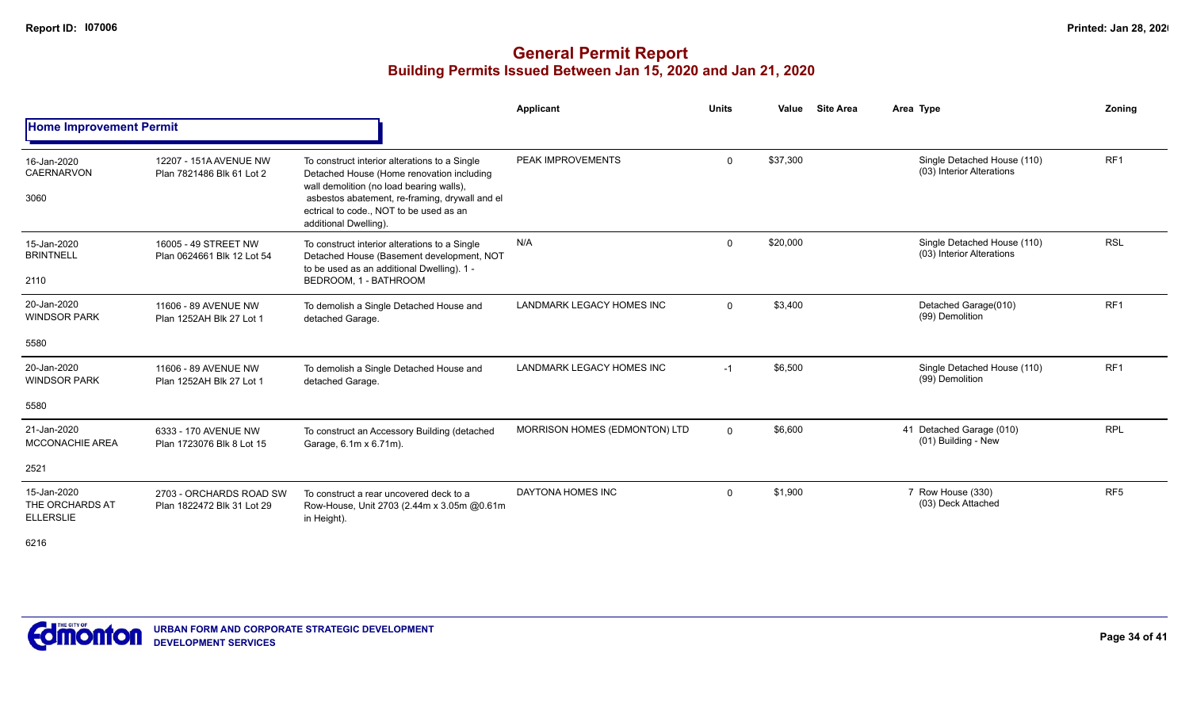|                                                    |                                                       |                                                                                                                                                                                                                                                              | Applicant                        | <b>Units</b> | Value    | <b>Site Area</b> | Area Type                                                | Zonina          |
|----------------------------------------------------|-------------------------------------------------------|--------------------------------------------------------------------------------------------------------------------------------------------------------------------------------------------------------------------------------------------------------------|----------------------------------|--------------|----------|------------------|----------------------------------------------------------|-----------------|
| <b>Home Improvement Permit</b>                     |                                                       |                                                                                                                                                                                                                                                              |                                  |              |          |                  |                                                          |                 |
| 16-Jan-2020<br>CAERNARVON<br>3060                  | 12207 - 151A AVENUE NW<br>Plan 7821486 Blk 61 Lot 2   | To construct interior alterations to a Single<br>Detached House (Home renovation including<br>wall demolition (no load bearing walls),<br>asbestos abatement, re-framing, drywall and el<br>ectrical to code., NOT to be used as an<br>additional Dwelling). | PEAK IMPROVEMENTS                | $\mathbf 0$  | \$37,300 |                  | Single Detached House (110)<br>(03) Interior Alterations | RF <sub>1</sub> |
| 15-Jan-2020<br><b>BRINTNELL</b><br>2110            | 16005 - 49 STREET NW<br>Plan 0624661 Blk 12 Lot 54    | To construct interior alterations to a Single<br>Detached House (Basement development, NOT<br>to be used as an additional Dwelling). 1 -<br>BEDROOM, 1 - BATHROOM                                                                                            | N/A                              | $\mathbf 0$  | \$20,000 |                  | Single Detached House (110)<br>(03) Interior Alterations | <b>RSL</b>      |
| 20-Jan-2020<br><b>WINDSOR PARK</b>                 | 11606 - 89 AVENUE NW<br>Plan 1252AH Blk 27 Lot 1      | To demolish a Single Detached House and<br>detached Garage.                                                                                                                                                                                                  | <b>LANDMARK LEGACY HOMES INC</b> | $\mathbf 0$  | \$3,400  |                  | Detached Garage(010)<br>(99) Demolition                  | RF <sub>1</sub> |
| 5580                                               |                                                       |                                                                                                                                                                                                                                                              |                                  |              |          |                  |                                                          |                 |
| 20-Jan-2020<br><b>WINDSOR PARK</b>                 | 11606 - 89 AVENUE NW<br>Plan 1252AH Blk 27 Lot 1      | To demolish a Single Detached House and<br>detached Garage.                                                                                                                                                                                                  | <b>LANDMARK LEGACY HOMES INC</b> | $-1$         | \$6,500  |                  | Single Detached House (110)<br>(99) Demolition           | RF <sub>1</sub> |
| 5580                                               |                                                       |                                                                                                                                                                                                                                                              |                                  |              |          |                  |                                                          |                 |
| 21-Jan-2020<br><b>MCCONACHIE AREA</b>              | 6333 - 170 AVENUE NW<br>Plan 1723076 Blk 8 Lot 15     | To construct an Accessory Building (detached<br>Garage, 6.1m x 6.71m).                                                                                                                                                                                       | MORRISON HOMES (EDMONTON) LTD    | $\mathbf 0$  | \$6,600  |                  | 41 Detached Garage (010)<br>(01) Building - New          | <b>RPL</b>      |
| 2521                                               |                                                       |                                                                                                                                                                                                                                                              |                                  |              |          |                  |                                                          |                 |
| 15-Jan-2020<br>THE ORCHARDS AT<br><b>ELLERSLIE</b> | 2703 - ORCHARDS ROAD SW<br>Plan 1822472 Blk 31 Lot 29 | To construct a rear uncovered deck to a<br>Row-House, Unit 2703 (2.44m x 3.05m @0.61m<br>in Height).                                                                                                                                                         | DAYTONA HOMES INC                | 0            | \$1,900  |                  | 7 Row House (330)<br>(03) Deck Attached                  | RF <sub>5</sub> |
| 6216                                               |                                                       |                                                                                                                                                                                                                                                              |                                  |              |          |                  |                                                          |                 |

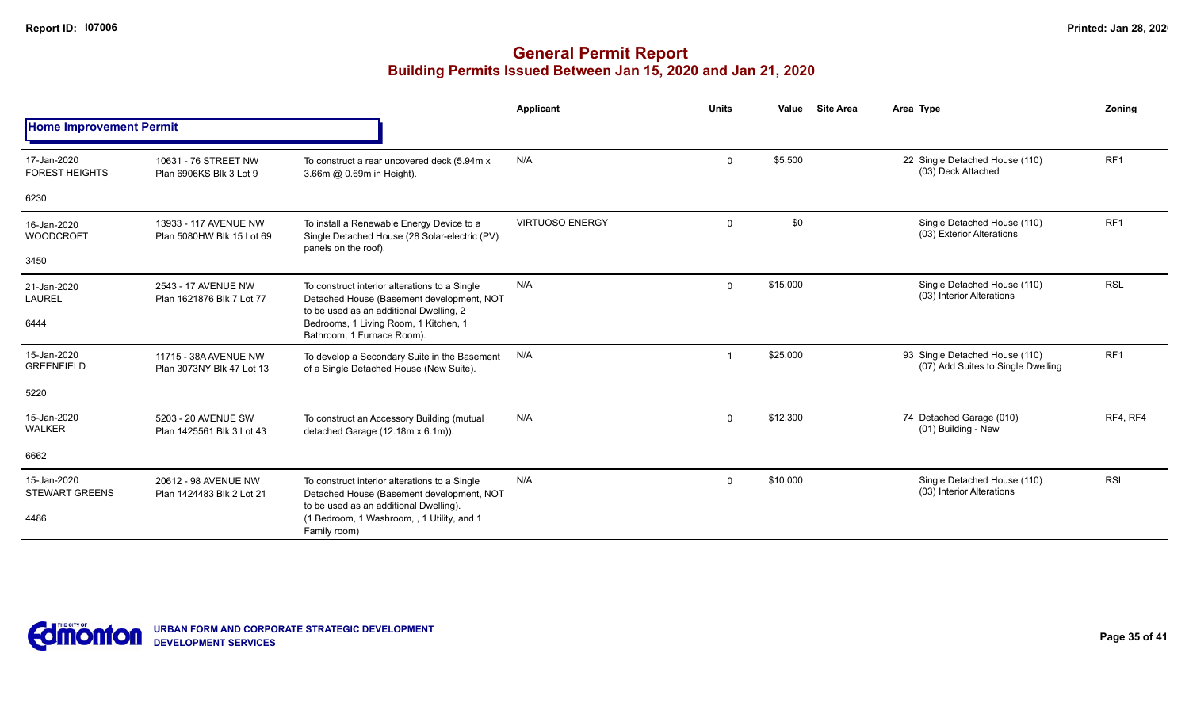|                                      |                                                    |                                                                                                                                       | Applicant              | <b>Units</b> | Value<br><b>Site Area</b> | Area Type                                                            | Zoning          |
|--------------------------------------|----------------------------------------------------|---------------------------------------------------------------------------------------------------------------------------------------|------------------------|--------------|---------------------------|----------------------------------------------------------------------|-----------------|
| <b>Home Improvement Permit</b>       |                                                    |                                                                                                                                       |                        |              |                           |                                                                      |                 |
| 17-Jan-2020<br><b>FOREST HEIGHTS</b> | 10631 - 76 STREET NW<br>Plan 6906KS Blk 3 Lot 9    | To construct a rear uncovered deck (5.94m x<br>3.66m @ 0.69m in Height).                                                              | N/A                    | $\mathbf 0$  | \$5,500                   | 22 Single Detached House (110)<br>(03) Deck Attached                 | RF <sub>1</sub> |
| 6230                                 |                                                    |                                                                                                                                       |                        |              |                           |                                                                      |                 |
| 16-Jan-2020<br><b>WOODCROFT</b>      | 13933 - 117 AVENUE NW<br>Plan 5080HW Blk 15 Lot 69 | To install a Renewable Energy Device to a<br>Single Detached House (28 Solar-electric (PV)<br>panels on the roof).                    | <b>VIRTUOSO ENERGY</b> | $\mathbf 0$  | \$0                       | Single Detached House (110)<br>(03) Exterior Alterations             | RF <sub>1</sub> |
| 3450                                 |                                                    |                                                                                                                                       |                        |              |                           |                                                                      |                 |
| 21-Jan-2020<br><b>LAUREL</b>         | 2543 - 17 AVENUE NW<br>Plan 1621876 Blk 7 Lot 77   | To construct interior alterations to a Single<br>Detached House (Basement development, NOT<br>to be used as an additional Dwelling, 2 | N/A                    | $\mathbf 0$  | \$15,000                  | Single Detached House (110)<br>(03) Interior Alterations             | <b>RSL</b>      |
| 6444                                 |                                                    | Bedrooms, 1 Living Room, 1 Kitchen, 1<br>Bathroom, 1 Furnace Room).                                                                   |                        |              |                           |                                                                      |                 |
| 15-Jan-2020<br><b>GREENFIELD</b>     | 11715 - 38A AVENUE NW<br>Plan 3073NY Blk 47 Lot 13 | To develop a Secondary Suite in the Basement<br>of a Single Detached House (New Suite).                                               | N/A                    |              | \$25,000                  | 93 Single Detached House (110)<br>(07) Add Suites to Single Dwelling | RF <sub>1</sub> |
| 5220                                 |                                                    |                                                                                                                                       |                        |              |                           |                                                                      |                 |
| 15-Jan-2020<br><b>WALKER</b>         | 5203 - 20 AVENUE SW<br>Plan 1425561 Blk 3 Lot 43   | To construct an Accessory Building (mutual<br>detached Garage (12.18m x 6.1m)).                                                       | N/A                    | $\mathbf 0$  | \$12,300                  | 74 Detached Garage (010)<br>(01) Building - New                      | RF4, RF4        |
| 6662                                 |                                                    |                                                                                                                                       |                        |              |                           |                                                                      |                 |
| 15-Jan-2020<br><b>STEWART GREENS</b> | 20612 - 98 AVENUE NW<br>Plan 1424483 Blk 2 Lot 21  | To construct interior alterations to a Single<br>Detached House (Basement development, NOT                                            | N/A                    | $\mathbf 0$  | \$10,000                  | Single Detached House (110)<br>(03) Interior Alterations             | <b>RSL</b>      |
| 4486                                 |                                                    | to be used as an additional Dwelling).<br>(1 Bedroom, 1 Washroom, , 1 Utility, and 1<br>Family room)                                  |                        |              |                           |                                                                      |                 |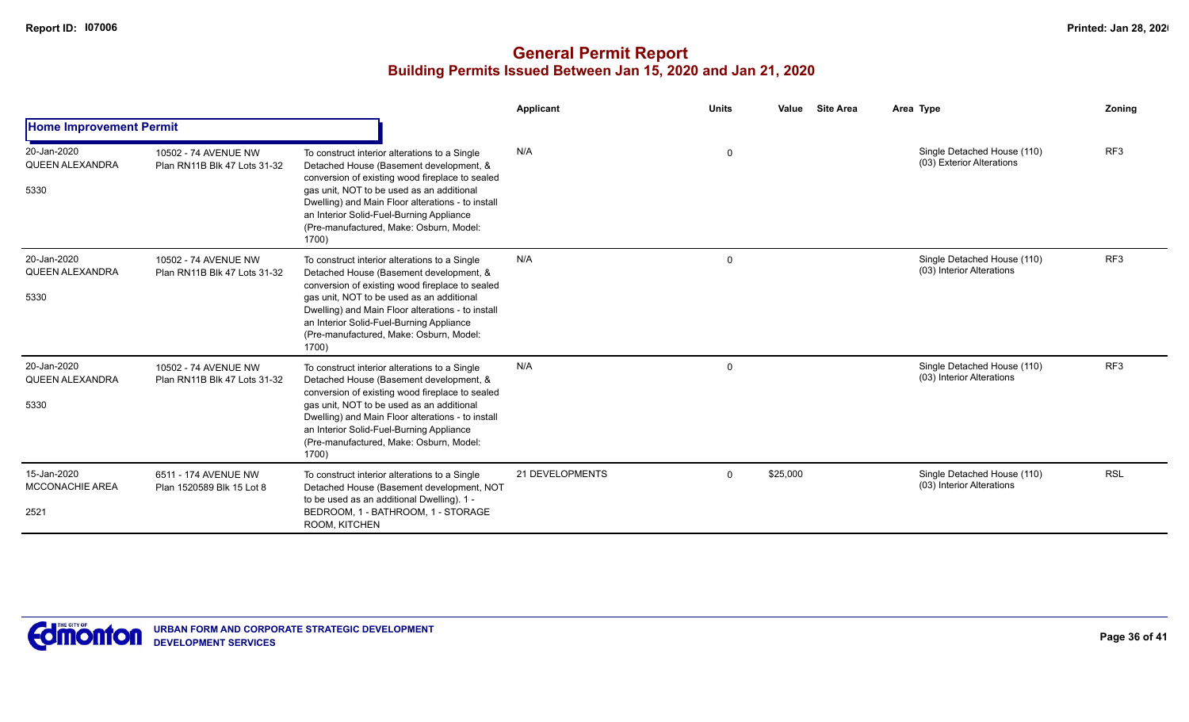|                                               |                                                      |                                                                                                                                                                                                                                                                                                                                               | <b>Applicant</b> | <b>Units</b> | Value<br><b>Site Area</b> | Area Type                                                | Zoning          |
|-----------------------------------------------|------------------------------------------------------|-----------------------------------------------------------------------------------------------------------------------------------------------------------------------------------------------------------------------------------------------------------------------------------------------------------------------------------------------|------------------|--------------|---------------------------|----------------------------------------------------------|-----------------|
| <b>Home Improvement Permit</b>                |                                                      |                                                                                                                                                                                                                                                                                                                                               |                  |              |                           |                                                          |                 |
| 20-Jan-2020<br>QUEEN ALEXANDRA<br>5330        | 10502 - 74 AVENUE NW<br>Plan RN11B Blk 47 Lots 31-32 | To construct interior alterations to a Single<br>Detached House (Basement development, &<br>conversion of existing wood fireplace to sealed<br>gas unit, NOT to be used as an additional<br>Dwelling) and Main Floor alterations - to install<br>an Interior Solid-Fuel-Burning Appliance<br>(Pre-manufactured, Make: Osburn, Model:<br>1700) | N/A              | $\mathbf 0$  |                           | Single Detached House (110)<br>(03) Exterior Alterations | RF <sub>3</sub> |
| 20-Jan-2020<br><b>QUEEN ALEXANDRA</b><br>5330 | 10502 - 74 AVENUE NW<br>Plan RN11B Blk 47 Lots 31-32 | To construct interior alterations to a Single<br>Detached House (Basement development, &<br>conversion of existing wood fireplace to sealed<br>gas unit, NOT to be used as an additional<br>Dwelling) and Main Floor alterations - to install<br>an Interior Solid-Fuel-Burning Appliance<br>(Pre-manufactured, Make: Osburn, Model:<br>1700) | N/A              | $\mathbf 0$  |                           | Single Detached House (110)<br>(03) Interior Alterations | RF3             |
| 20-Jan-2020<br><b>QUEEN ALEXANDRA</b><br>5330 | 10502 - 74 AVENUE NW<br>Plan RN11B Blk 47 Lots 31-32 | To construct interior alterations to a Single<br>Detached House (Basement development, &<br>conversion of existing wood fireplace to sealed<br>gas unit, NOT to be used as an additional<br>Dwelling) and Main Floor alterations - to install<br>an Interior Solid-Fuel-Burning Appliance<br>(Pre-manufactured, Make: Osburn, Model:<br>1700) | N/A              | $\mathbf 0$  |                           | Single Detached House (110)<br>(03) Interior Alterations | RF3             |
| 15-Jan-2020<br><b>MCCONACHIE AREA</b><br>2521 | 6511 - 174 AVENUE NW<br>Plan 1520589 Blk 15 Lot 8    | To construct interior alterations to a Single<br>Detached House (Basement development, NOT<br>to be used as an additional Dwelling). 1 -<br>BEDROOM, 1 - BATHROOM, 1 - STORAGE<br>ROOM, KITCHEN                                                                                                                                               | 21 DEVELOPMENTS  | $\mathbf 0$  | \$25,000                  | Single Detached House (110)<br>(03) Interior Alterations | <b>RSL</b>      |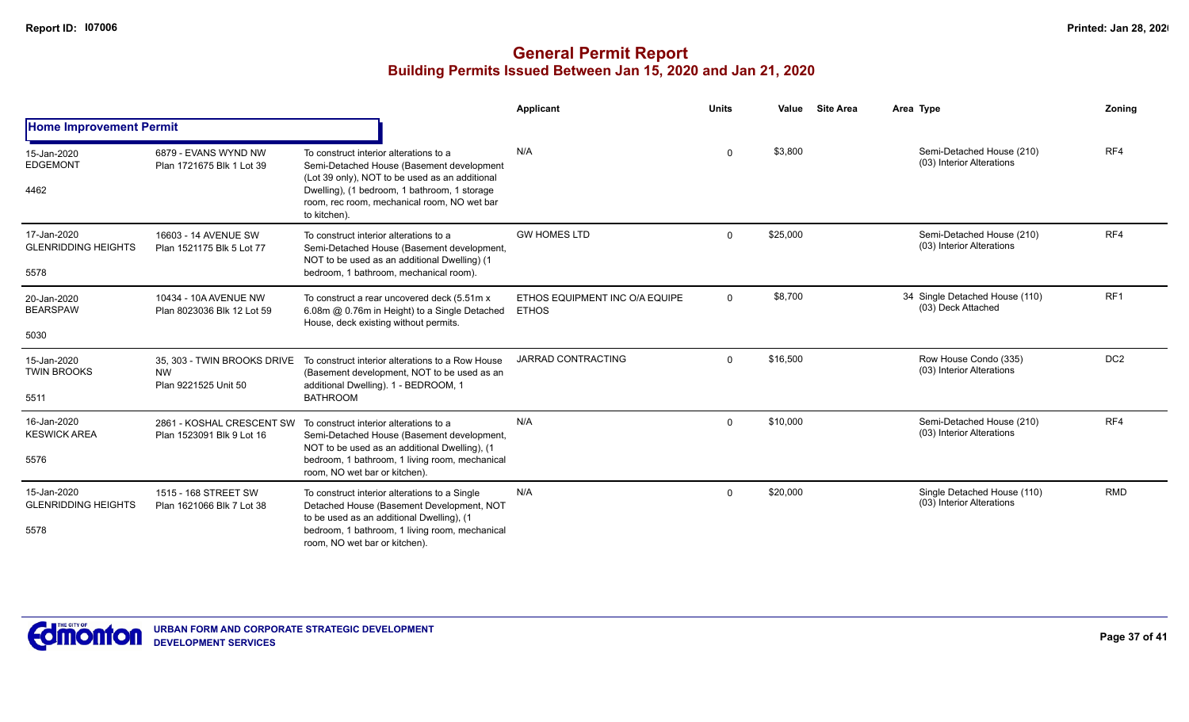|                                                   |                                                                  |                                                                                                                                                                                                                                                      | <b>Applicant</b>                               | <b>Units</b> | Value    | <b>Site Area</b> | Area Type                                                | Zoning          |
|---------------------------------------------------|------------------------------------------------------------------|------------------------------------------------------------------------------------------------------------------------------------------------------------------------------------------------------------------------------------------------------|------------------------------------------------|--------------|----------|------------------|----------------------------------------------------------|-----------------|
| <b>Home Improvement Permit</b>                    |                                                                  |                                                                                                                                                                                                                                                      |                                                |              |          |                  |                                                          |                 |
| 15-Jan-2020<br><b>EDGEMONT</b><br>4462            | 6879 - EVANS WYND NW<br>Plan 1721675 Blk 1 Lot 39                | To construct interior alterations to a<br>Semi-Detached House (Basement development<br>(Lot 39 only), NOT to be used as an additional<br>Dwelling), (1 bedroom, 1 bathroom, 1 storage<br>room, rec room, mechanical room, NO wet bar<br>to kitchen). | N/A                                            | $\Omega$     | \$3,800  |                  | Semi-Detached House (210)<br>(03) Interior Alterations   | RF4             |
| 17-Jan-2020<br><b>GLENRIDDING HEIGHTS</b><br>5578 | 16603 - 14 AVENUE SW<br>Plan 1521175 Blk 5 Lot 77                | To construct interior alterations to a<br>Semi-Detached House (Basement development,<br>NOT to be used as an additional Dwelling) (1<br>bedroom, 1 bathroom, mechanical room).                                                                       | <b>GW HOMES LTD</b>                            | $\Omega$     | \$25,000 |                  | Semi-Detached House (210)<br>(03) Interior Alterations   | RF4             |
| 20-Jan-2020<br><b>BEARSPAW</b><br>5030            | 10434 - 10A AVENUE NW<br>Plan 8023036 Blk 12 Lot 59              | To construct a rear uncovered deck (5.51m x<br>6.08m @ 0.76m in Height) to a Single Detached<br>House, deck existing without permits.                                                                                                                | ETHOS EQUIPMENT INC O/A EQUIPE<br><b>ETHOS</b> | $\mathbf 0$  | \$8,700  |                  | 34 Single Detached House (110)<br>(03) Deck Attached     | RF <sub>1</sub> |
| 15-Jan-2020<br><b>TWIN BROOKS</b><br>5511         | 35. 303 - TWIN BROOKS DRIVE<br><b>NW</b><br>Plan 9221525 Unit 50 | To construct interior alterations to a Row House<br>(Basement development, NOT to be used as an<br>additional Dwelling). 1 - BEDROOM, 1<br><b>BATHROOM</b>                                                                                           | <b>JARRAD CONTRACTING</b>                      | $\Omega$     | \$16,500 |                  | Row House Condo (335)<br>(03) Interior Alterations       | DC <sub>2</sub> |
| 16-Jan-2020<br><b>KESWICK AREA</b><br>5576        | 2861 - KOSHAL CRESCENT SW<br>Plan 1523091 Blk 9 Lot 16           | To construct interior alterations to a<br>Semi-Detached House (Basement development,<br>NOT to be used as an additional Dwelling), (1<br>bedroom, 1 bathroom, 1 living room, mechanical<br>room, NO wet bar or kitchen).                             | N/A                                            | $\Omega$     | \$10,000 |                  | Semi-Detached House (210)<br>(03) Interior Alterations   | RF4             |
| 15-Jan-2020<br><b>GLENRIDDING HEIGHTS</b><br>5578 | 1515 - 168 STREET SW<br>Plan 1621066 Blk 7 Lot 38                | To construct interior alterations to a Single<br>Detached House (Basement Development, NOT<br>to be used as an additional Dwelling), (1<br>bedroom, 1 bathroom, 1 living room, mechanical<br>room. NO wet bar or kitchen).                           | N/A                                            | $\Omega$     | \$20,000 |                  | Single Detached House (110)<br>(03) Interior Alterations | <b>RMD</b>      |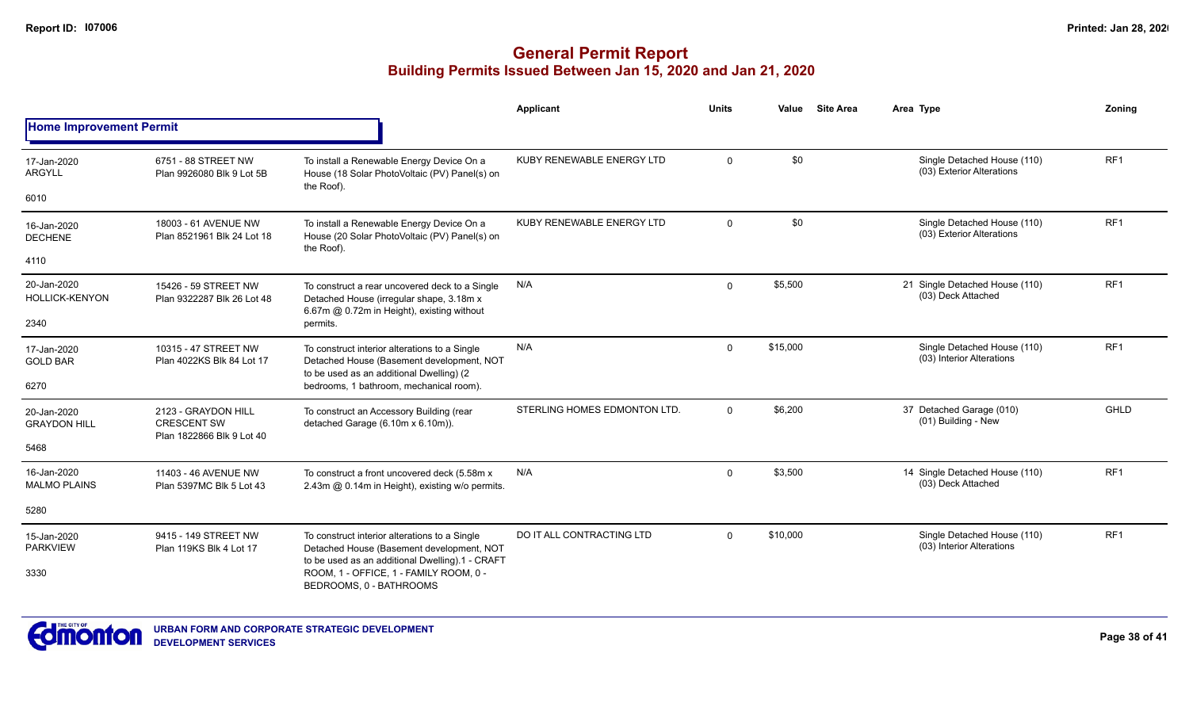|                                      |                                                    |                                                                                                                                          | Applicant                    | <b>Units</b> | Value    | <b>Site Area</b> | Area Type                                                | Zonina          |
|--------------------------------------|----------------------------------------------------|------------------------------------------------------------------------------------------------------------------------------------------|------------------------------|--------------|----------|------------------|----------------------------------------------------------|-----------------|
| <b>Home Improvement Permit</b>       |                                                    |                                                                                                                                          |                              |              |          |                  |                                                          |                 |
| 17-Jan-2020<br><b>ARGYLL</b>         | 6751 - 88 STREET NW<br>Plan 9926080 Blk 9 Lot 5B   | To install a Renewable Energy Device On a<br>House (18 Solar PhotoVoltaic (PV) Panel(s) on                                               | KUBY RENEWABLE ENERGY LTD    | $\mathbf{0}$ | \$0      |                  | Single Detached House (110)<br>(03) Exterior Alterations | RF1             |
| 6010                                 |                                                    | the Roof).                                                                                                                               |                              |              |          |                  |                                                          |                 |
| 16-Jan-2020<br><b>DECHENE</b>        | 18003 - 61 AVENUE NW<br>Plan 8521961 Blk 24 Lot 18 | To install a Renewable Energy Device On a<br>House (20 Solar PhotoVoltaic (PV) Panel(s) on<br>the Roof).                                 | KUBY RENEWABLE ENERGY LTD    | $\Omega$     | \$0      |                  | Single Detached House (110)<br>(03) Exterior Alterations | RF <sub>1</sub> |
| 4110                                 |                                                    |                                                                                                                                          |                              |              |          |                  |                                                          |                 |
| 20-Jan-2020<br><b>HOLLICK-KENYON</b> | 15426 - 59 STREET NW<br>Plan 9322287 Blk 26 Lot 48 | To construct a rear uncovered deck to a Single<br>Detached House (irregular shape, 3.18m x<br>6.67m @ 0.72m in Height), existing without | N/A                          | $\mathbf 0$  | \$5,500  |                  | 21 Single Detached House (110)<br>(03) Deck Attached     | RF <sub>1</sub> |
| 2340                                 |                                                    | permits.                                                                                                                                 |                              |              |          |                  |                                                          |                 |
| 17-Jan-2020<br><b>GOLD BAR</b>       | 10315 - 47 STREET NW<br>Plan 4022KS Blk 84 Lot 17  | To construct interior alterations to a Single<br>Detached House (Basement development, NOT<br>to be used as an additional Dwelling) (2   | N/A                          | $\Omega$     | \$15,000 |                  | Single Detached House (110)<br>(03) Interior Alterations | RF <sub>1</sub> |
| 6270                                 |                                                    | bedrooms, 1 bathroom, mechanical room).                                                                                                  |                              |              |          |                  |                                                          |                 |
| 20-Jan-2020<br><b>GRAYDON HILL</b>   | 2123 - GRAYDON HILL<br><b>CRESCENT SW</b>          | To construct an Accessory Building (rear<br>detached Garage (6.10m x 6.10m)).                                                            | STERLING HOMES EDMONTON LTD. | $\Omega$     | \$6,200  |                  | 37 Detached Garage (010)<br>(01) Building - New          | GHLD            |
| 5468                                 | Plan 1822866 Blk 9 Lot 40                          |                                                                                                                                          |                              |              |          |                  |                                                          |                 |
| 16-Jan-2020<br><b>MALMO PLAINS</b>   | 11403 - 46 AVENUE NW<br>Plan 5397MC Blk 5 Lot 43   | To construct a front uncovered deck (5.58m x)<br>2.43m @ 0.14m in Height), existing w/o permits.                                         | N/A                          | $\mathbf 0$  | \$3,500  |                  | 14 Single Detached House (110)<br>(03) Deck Attached     | RF <sub>1</sub> |
| 5280                                 |                                                    |                                                                                                                                          |                              |              |          |                  |                                                          |                 |
| 15-Jan-2020<br><b>PARKVIEW</b>       | 9415 - 149 STREET NW<br>Plan 119KS Blk 4 Lot 17    | To construct interior alterations to a Single<br>Detached House (Basement development, NOT                                               | DO IT ALL CONTRACTING LTD    | $\Omega$     | \$10,000 |                  | Single Detached House (110)<br>(03) Interior Alterations | RF <sub>1</sub> |
| 3330                                 |                                                    | to be used as an additional Dwelling).1 - CRAFT<br>ROOM. 1 - OFFICE. 1 - FAMILY ROOM. 0 -<br>BEDROOMS, 0 - BATHROOMS                     |                              |              |          |                  |                                                          |                 |

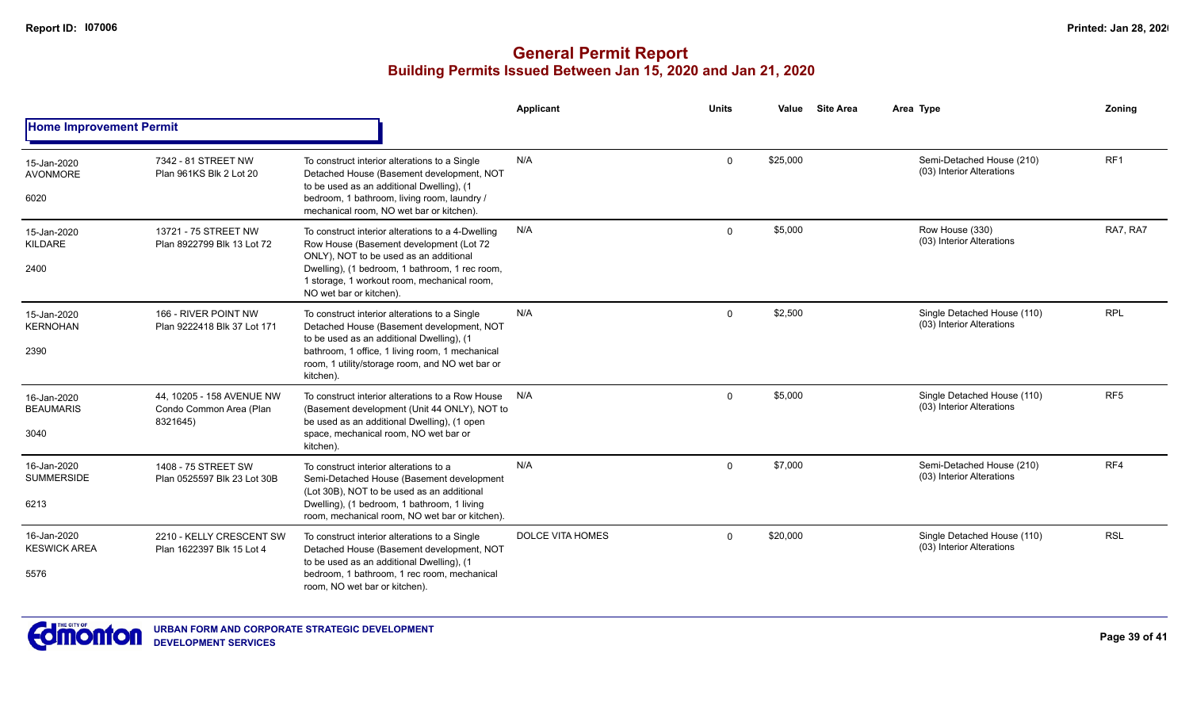|                                            |                                                                  |                                                                                                                                                                                                                                                                    | Applicant               | <b>Units</b> | Value    | <b>Site Area</b> | Area Type                                                | Zoning          |
|--------------------------------------------|------------------------------------------------------------------|--------------------------------------------------------------------------------------------------------------------------------------------------------------------------------------------------------------------------------------------------------------------|-------------------------|--------------|----------|------------------|----------------------------------------------------------|-----------------|
| <b>Home Improvement Permit</b>             |                                                                  |                                                                                                                                                                                                                                                                    |                         |              |          |                  |                                                          |                 |
| 15-Jan-2020<br><b>AVONMORE</b><br>6020     | 7342 - 81 STREET NW<br>Plan 961KS Blk 2 Lot 20                   | To construct interior alterations to a Single<br>Detached House (Basement development, NOT<br>to be used as an additional Dwelling), (1<br>bedroom, 1 bathroom, living room, laundry /<br>mechanical room, NO wet bar or kitchen).                                 | N/A                     | $\mathbf 0$  | \$25,000 |                  | Semi-Detached House (210)<br>(03) Interior Alterations   | RF1             |
| 15-Jan-2020<br>KILDARE<br>2400             | 13721 - 75 STREET NW<br>Plan 8922799 Blk 13 Lot 72               | To construct interior alterations to a 4-Dwelling<br>Row House (Basement development (Lot 72<br>ONLY), NOT to be used as an additional<br>Dwelling), (1 bedroom, 1 bathroom, 1 rec room,<br>1 storage, 1 workout room, mechanical room,<br>NO wet bar or kitchen). | N/A                     | $\Omega$     | \$5,000  |                  | Row House (330)<br>(03) Interior Alterations             | RA7, RA7        |
| 15-Jan-2020<br><b>KERNOHAN</b><br>2390     | 166 - RIVER POINT NW<br>Plan 9222418 Blk 37 Lot 171              | To construct interior alterations to a Single<br>Detached House (Basement development, NOT<br>to be used as an additional Dwelling), (1<br>bathroom, 1 office, 1 living room, 1 mechanical<br>room, 1 utility/storage room, and NO wet bar or<br>kitchen).         | N/A                     | $\Omega$     | \$2,500  |                  | Single Detached House (110)<br>(03) Interior Alterations | <b>RPL</b>      |
| 16-Jan-2020<br><b>BEAUMARIS</b><br>3040    | 44, 10205 - 158 AVENUE NW<br>Condo Common Area (Plan<br>8321645) | To construct interior alterations to a Row House<br>(Basement development (Unit 44 ONLY), NOT to<br>be used as an additional Dwelling), (1 open<br>space, mechanical room, NO wet bar or<br>kitchen).                                                              | N/A                     | $\Omega$     | \$5,000  |                  | Single Detached House (110)<br>(03) Interior Alterations | RF <sub>5</sub> |
| 16-Jan-2020<br><b>SUMMERSIDE</b><br>6213   | 1408 - 75 STREET SW<br>Plan 0525597 Blk 23 Lot 30B               | To construct interior alterations to a<br>Semi-Detached House (Basement development<br>(Lot 30B), NOT to be used as an additional<br>Dwelling), (1 bedroom, 1 bathroom, 1 living<br>room, mechanical room, NO wet bar or kitchen).                                 | N/A                     | $\Omega$     | \$7,000  |                  | Semi-Detached House (210)<br>(03) Interior Alterations   | RF4             |
| 16-Jan-2020<br><b>KESWICK AREA</b><br>5576 | 2210 - KELLY CRESCENT SW<br>Plan 1622397 Blk 15 Lot 4            | To construct interior alterations to a Single<br>Detached House (Basement development, NOT<br>to be used as an additional Dwelling), (1<br>bedroom. 1 bathroom. 1 rec room, mechanical<br>room, NO wet bar or kitchen).                                            | <b>DOLCE VITA HOMES</b> | $\Omega$     | \$20,000 |                  | Single Detached House (110)<br>(03) Interior Alterations | <b>RSL</b>      |

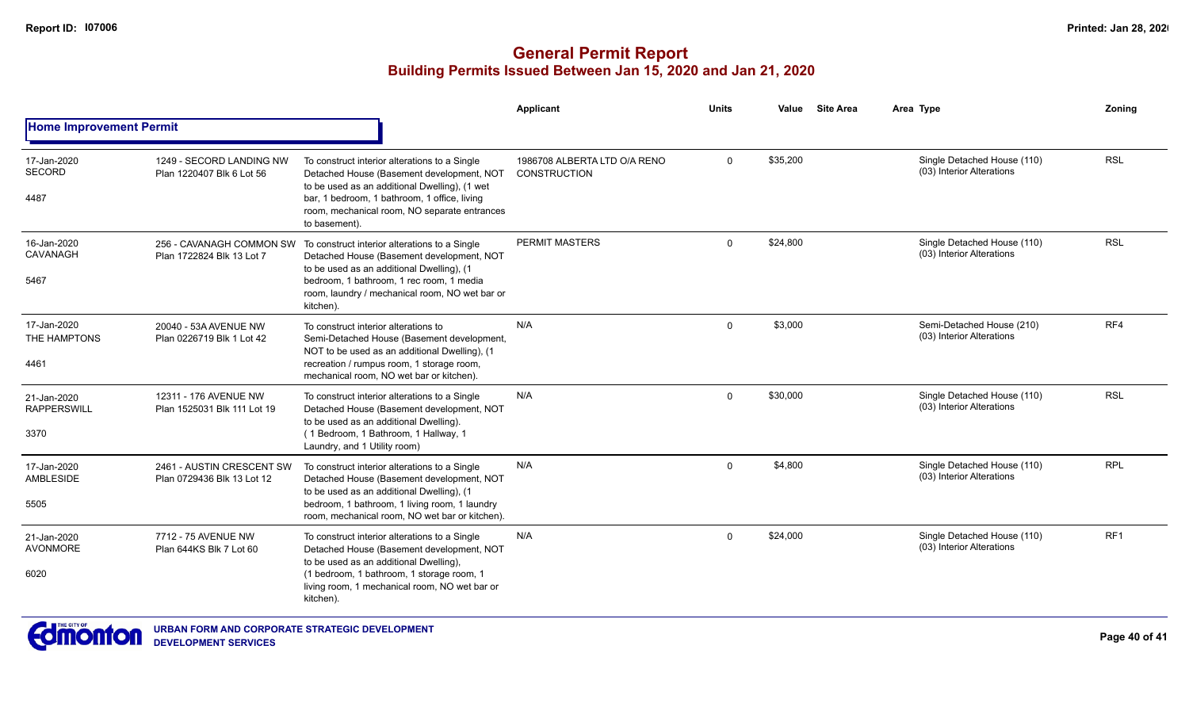|                                   |                                                                                                         |                                                                                                                                             | <b>Applicant</b>                                    | <b>Units</b> | Value    | <b>Site Area</b> | Area Type                                                | Zonina          |
|-----------------------------------|---------------------------------------------------------------------------------------------------------|---------------------------------------------------------------------------------------------------------------------------------------------|-----------------------------------------------------|--------------|----------|------------------|----------------------------------------------------------|-----------------|
| <b>Home Improvement Permit</b>    |                                                                                                         |                                                                                                                                             |                                                     |              |          |                  |                                                          |                 |
| 17-Jan-2020<br><b>SECORD</b>      | 1249 - SECORD LANDING NW<br>Plan 1220407 Blk 6 Lot 56                                                   | To construct interior alterations to a Single<br>Detached House (Basement development, NOT<br>to be used as an additional Dwelling), (1 wet | 1986708 ALBERTA LTD O/A RENO<br><b>CONSTRUCTION</b> | $\mathbf 0$  | \$35,200 |                  | Single Detached House (110)<br>(03) Interior Alterations | <b>RSL</b>      |
| 4487                              |                                                                                                         | bar, 1 bedroom, 1 bathroom, 1 office, living<br>room, mechanical room, NO separate entrances<br>to basement).                               |                                                     |              |          |                  |                                                          |                 |
| 16-Jan-2020<br>CAVANAGH           | 256 - CAVANAGH COMMON SW<br>Plan 1722824 Blk 13 Lot 7                                                   | To construct interior alterations to a Single<br>Detached House (Basement development, NOT<br>to be used as an additional Dwelling), (1     | PERMIT MASTERS                                      | $\Omega$     | \$24,800 |                  | Single Detached House (110)<br>(03) Interior Alterations | <b>RSL</b>      |
| 5467                              | bedroom, 1 bathroom, 1 rec room, 1 media<br>room, laundry / mechanical room, NO wet bar or<br>kitchen). |                                                                                                                                             |                                                     |              |          |                  |                                                          |                 |
| 17-Jan-2020<br>THE HAMPTONS       | 20040 - 53A AVENUE NW<br>Plan 0226719 Blk 1 Lot 42                                                      | To construct interior alterations to<br>Semi-Detached House (Basement development,<br>NOT to be used as an additional Dwelling), (1         | N/A                                                 | $\Omega$     | \$3,000  |                  | Semi-Detached House (210)<br>(03) Interior Alterations   | RF4             |
| 4461                              |                                                                                                         | recreation / rumpus room, 1 storage room,<br>mechanical room. NO wet bar or kitchen).                                                       |                                                     |              |          |                  |                                                          |                 |
| 21-Jan-2020<br><b>RAPPERSWILL</b> | 12311 - 176 AVENUE NW<br>Plan 1525031 Blk 111 Lot 19                                                    | To construct interior alterations to a Single<br>Detached House (Basement development, NOT<br>to be used as an additional Dwelling).        | N/A                                                 | $\Omega$     | \$30,000 |                  | Single Detached House (110)<br>(03) Interior Alterations | <b>RSL</b>      |
| 3370                              |                                                                                                         | (1 Bedroom, 1 Bathroom, 1 Hallway, 1<br>Laundry, and 1 Utility room)                                                                        |                                                     |              |          |                  |                                                          |                 |
| 17-Jan-2020<br>AMBLESIDE          | 2461 - AUSTIN CRESCENT SW<br>Plan 0729436 Blk 13 Lot 12                                                 | To construct interior alterations to a Single<br>Detached House (Basement development, NOT<br>to be used as an additional Dwelling), (1     | N/A                                                 | $\Omega$     | \$4,800  |                  | Single Detached House (110)<br>(03) Interior Alterations | <b>RPL</b>      |
| 5505                              |                                                                                                         | bedroom, 1 bathroom, 1 living room, 1 laundry<br>room, mechanical room. NO wet bar or kitchen).                                             |                                                     |              |          |                  |                                                          |                 |
| 21-Jan-2020<br><b>AVONMORE</b>    | 7712 - 75 AVENUE NW<br>Plan 644KS Blk 7 Lot 60                                                          | To construct interior alterations to a Single<br>Detached House (Basement development, NOT<br>to be used as an additional Dwelling),        | N/A                                                 | $\Omega$     | \$24,000 |                  | Single Detached House (110)<br>(03) Interior Alterations | RF <sub>1</sub> |
| 6020                              |                                                                                                         | (1 bedroom, 1 bathroom, 1 storage room, 1<br>living room, 1 mechanical room, NO wet bar or<br>kitchen).                                     |                                                     |              |          |                  |                                                          |                 |